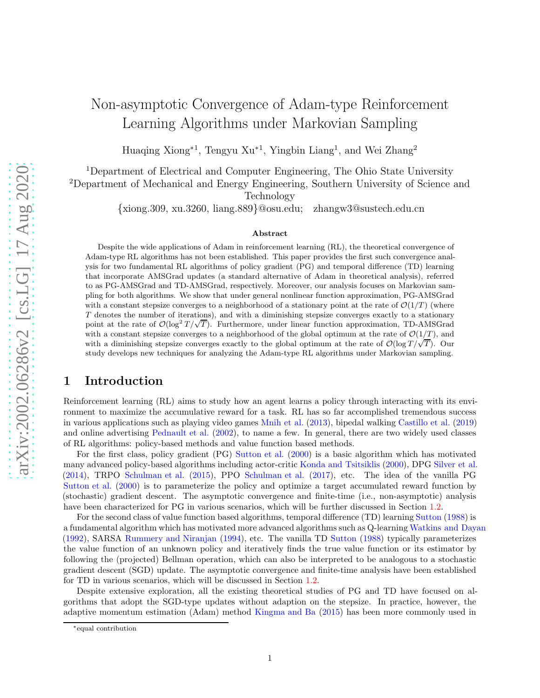# Non-asymptotic Convergence of Adam-type Reinforcement Learning Algorithms under Markovian Sampling

Huaqing Xiong<sup>\*1</sup>, Tengyu Xu<sup>\*1</sup>, Yingbin Liang<sup>1</sup>, and Wei Zhang<sup>2</sup>

<sup>1</sup>Department of Electrical and Computer Engineering, The Ohio State University <sup>2</sup>Department of Mechanical and Energy Engineering, Southern University of Science and

Technology

{xiong.309, xu.3260, liang.889}@osu.edu; zhangw3@sustech.edu.cn

#### Abstract

Despite the wide applications of Adam in reinforcement learning (RL), the theoretical convergence of Adam-type RL algorithms has not been established. This paper provides the first such convergence analysis for two fundamental RL algorithms of policy gradient (PG) and temporal difference (TD) learning that incorporate AMSGrad updates (a standard alternative of Adam in theoretical analysis), referred to as PG-AMSGrad and TD-AMSGrad, respectively. Moreover, our analysis focuses on Markovian sampling for both algorithms. We show that under general nonlinear function approximation, PG-AMSGrad with a constant stepsize converges to a neighborhood of a stationary point at the rate of  $\mathcal{O}(1/T)$  (where T denotes the number of iterations), and with a diminishing stepsize converges exactly to a stationary point at the rate of  $\mathcal{O}(\log^2 T / \sqrt{T})$ . Furthermore, under linear function approximation, TD-AMSGrad with a constant stepsize converges to a neighborhood of the global optimum at the rate of  $\mathcal{O}(1/T)$ , and with a diminishing stepsize converges exactly to the global optimum at the rate of  $\mathcal{O}(\log T/\sqrt{T})$ . Our study develops new techniques for analyzing the Adam-type RL algorithms under Markovian sampling.

### 1 Introduction

Reinforcement learning (RL) aims to study how an agent learns a policy through interacting with its environment to maximize the accumulative reward for a task. RL has so far accomplished tremendous success in various applications such as playing video games [Mnih et al.](#page-13-0) [\(2013](#page-13-0)), bipedal walking [Castillo et al.](#page-12-0) [\(2019](#page-12-0)) and online advertising [Pednault et al.](#page-13-1) [\(2002\)](#page-13-1), to name a few. In general, there are two widely used classes of RL algorithms: policy-based methods and value function based methods.

For the first class, policy gradient (PG) [Sutton et al.](#page-14-0) [\(2000\)](#page-14-0) is a basic algorithm which has motivated many advanced policy-based algorithms including actor-critic [Konda and Tsitsiklis](#page-13-2) [\(2000\)](#page-13-2), DPG [Silver et al.](#page-14-1) [\(2014\)](#page-14-1), TRPO [Schulman et al.](#page-14-2) [\(2015\)](#page-14-2), PPO [Schulman et al.](#page-14-3) [\(2017\)](#page-14-3), etc. The idea of the vanilla PG [Sutton et al.](#page-14-0) [\(2000\)](#page-14-0) is to parameterize the policy and optimize a target accumulated reward function by (stochastic) gradient descent. The asymptotic convergence and finite-time (i.e., non-asymptotic) analysis have been characterized for PG in various scenarios, which will be further discussed in Section [1.2.](#page-1-0)

For the second class of value function based algorithms, temporal difference (TD) learning [Sutton](#page-14-4) [\(1988](#page-14-4)) is a fundamental algorithm which has motivated more advanced algorithms such as Q-learning [Watkins and Dayan](#page-14-5) [\(1992\)](#page-14-5), SARSA [Rummery and Niranjan](#page-13-3) [\(1994](#page-13-3)), etc. The vanilla TD [Sutton](#page-14-4) [\(1988\)](#page-14-4) typically parameterizes the value function of an unknown policy and iteratively finds the true value function or its estimator by following the (projected) Bellman operation, which can also be interpreted to be analogous to a stochastic gradient descent (SGD) update. The asymptotic convergence and finite-time analysis have been established for TD in various scenarios, which will be discussed in Section [1.2.](#page-1-0)

Despite extensive exploration, all the existing theoretical studies of PG and TD have focused on algorithms that adopt the SGD-type updates without adaption on the stepsize. In practice, however, the adaptive momentum estimation (Adam) method [Kingma and Ba](#page-13-4) [\(2015\)](#page-13-4) has been more commonly used in

<sup>∗</sup>equal contribution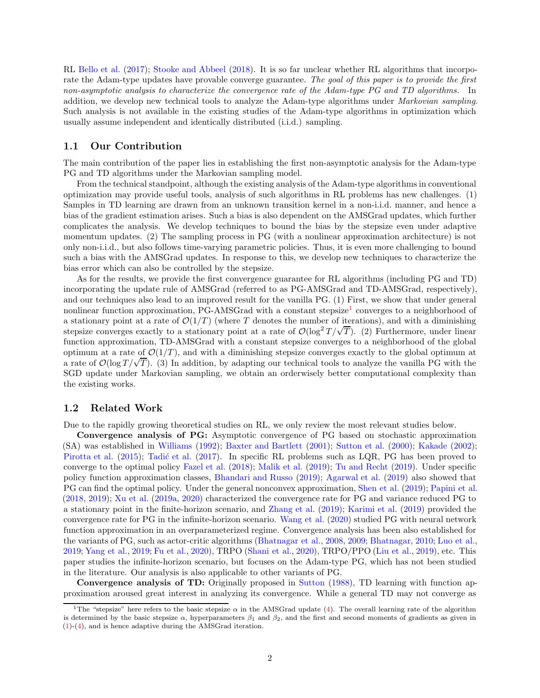RL [Bello et al.](#page-12-1) [\(2017\)](#page-12-1); [Stooke and Abbeel](#page-14-6) [\(2018\)](#page-14-6). It is so far unclear whether RL algorithms that incorporate the Adam-type updates have provable converge guarantee. The goal of this paper is to provide the first non-asymptotic analysis to characterize the convergence rate of the Adam-type PG and TD algorithms. In addition, we develop new technical tools to analyze the Adam-type algorithms under Markovian sampling. Such analysis is not available in the existing studies of the Adam-type algorithms in optimization which usually assume independent and identically distributed (i.i.d.) sampling.

### 1.1 Our Contribution

The main contribution of the paper lies in establishing the first non-asymptotic analysis for the Adam-type PG and TD algorithms under the Markovian sampling model.

From the technical standpoint, although the existing analysis of the Adam-type algorithms in conventional optimization may provide useful tools, analysis of such algorithms in RL problems has new challenges. (1) Samples in TD learning are drawn from an unknown transition kernel in a non-i.i.d. manner, and hence a bias of the gradient estimation arises. Such a bias is also dependent on the AMSGrad updates, which further complicates the analysis. We develop techniques to bound the bias by the stepsize even under adaptive momentum updates. (2) The sampling process in PG (with a nonlinear approximation architecture) is not only non-i.i.d., but also follows time-varying parametric policies. Thus, it is even more challenging to bound such a bias with the AMSGrad updates. In response to this, we develop new techniques to characterize the bias error which can also be controlled by the stepsize.

As for the results, we provide the first convergence guarantee for RL algorithms (including PG and TD) incorporating the update rule of AMSGrad (referred to as PG-AMSGrad and TD-AMSGrad, respectively), and our techniques also lead to an improved result for the vanilla PG. (1) First, we show that under general nonlinear function approximation, PG-AMSGrad with a constant stepsize<sup>[1](#page-1-1)</sup> converges to a neighborhood of a stationary point at a rate of  $\mathcal{O}(1/T)$  (where T denotes the number of iterations), and with a diminishing stepsize converges exactly to a stationary point at a rate of  $\mathcal{O}(\log^2 T / \sqrt{T})$ . (2) Furthermore, under linear function approximation, TD-AMSGrad with a constant stepsize converges to a neighborhood of the global optimum at a rate of  $\mathcal{O}(1/T)$ , and with a diminishing stepsize converges exactly to the global optimum at a rate of  $\mathcal{O}(\log T/\sqrt{T})$ . (3) In addition, by adapting our technical tools to analyze the vanilla PG with the SGD update under Markovian sampling, we obtain an orderwisely better computational complexity than the existing works.

### <span id="page-1-0"></span>1.2 Related Work

Due to the rapidly growing theoretical studies on RL, we only review the most relevant studies below.

Convergence analysis of PG: Asymptotic convergence of PG based on stochastic approximation (SA) was established in [Williams](#page-14-7) [\(1992\)](#page-14-7); [Baxter and Bartlett](#page-12-2) [\(2001\)](#page-12-2); [Sutton et al.](#page-14-0) [\(2000](#page-14-0)); [Kakade](#page-13-5) [\(2002\)](#page-13-5); [Pirotta et al.](#page-13-6) [\(2015\)](#page-13-6); Tadić et al. [\(2017\)](#page-14-8). In specific RL problems such as LQR, PG has been proved to converge to the optimal policy [Fazel et al.](#page-12-3) [\(2018\)](#page-12-3); [Malik et al.](#page-13-7) [\(2019\)](#page-13-7); [Tu and Recht](#page-14-9) [\(2019\)](#page-14-9). Under specific policy function approximation classes, [Bhandari and Russo](#page-12-4) [\(2019\)](#page-12-4); [Agarwal et al.](#page-12-5) [\(2019](#page-12-5)) also showed that PG can find the optimal policy. Under the general nonconvex approximation, [Shen et al.](#page-14-10) [\(2019](#page-14-10)); [Papini et al.](#page-13-8) [\(2018,](#page-13-8) [2019\)](#page-13-9); [Xu et al.](#page-14-11) [\(2019a,](#page-14-11) [2020\)](#page-14-12) characterized the convergence rate for PG and variance reduced PG to a stationary point in the finite-horizon scenario, and [Zhang et al.](#page-15-0) [\(2019\)](#page-15-0); [Karimi et al.](#page-13-10) [\(2019\)](#page-13-10) provided the convergence rate for PG in the infinite-horizon scenario. [Wang et al.](#page-14-13) [\(2020\)](#page-14-13) studied PG with neural network function approximation in an overparameterized regime. Convergence analysis has been also established for the variants of PG, such as actor-critic algorithms [\(Bhatnagar et al.,](#page-12-6) [2008](#page-12-6), [2009;](#page-12-7) [Bhatnagar,](#page-12-8) [2010](#page-12-8); [Luo et al.,](#page-13-11) [2019;](#page-13-11) [Yang et al.](#page-15-1), [2019;](#page-15-1) [Fu et al.](#page-12-9), [2020\)](#page-12-9), TRPO [\(Shani et al.,](#page-14-14) [2020\)](#page-14-14), TRPO/PPO [\(Liu et al.,](#page-13-12) [2019\)](#page-13-12), etc. This paper studies the infinite-horizon scenario, but focuses on the Adam-type PG, which has not been studied in the literature. Our analysis is also applicable to other variants of PG.

Convergence analysis of TD: Originally proposed in [Sutton](#page-14-4) [\(1988](#page-14-4)), TD learning with function approximation aroused great interest in analyzing its convergence. While a general TD may not converge as

<span id="page-1-1"></span><sup>&</sup>lt;sup>1</sup>The "stepsize" here refers to the basic stepsize  $\alpha$  in the AMSGrad update [\(4\)](#page-3-0). The overall learning rate of the algorithm is determined by the basic stepsize  $\alpha$ , hyperparameters  $\beta_1$  and  $\beta_2$ , and the first and second moments of gradients as given in [\(1\)](#page-3-1)-[\(4\)](#page-3-0), and is hence adaptive during the AMSGrad iteration.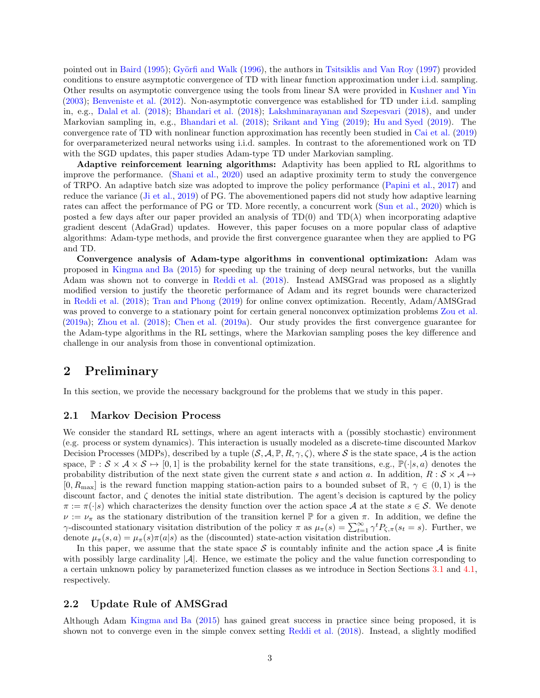pointed out in [Baird](#page-12-10) [\(1995](#page-12-10)); Györfi and Walk [\(1996\)](#page-12-11), the authors in [Tsitsiklis and Van Roy](#page-14-15) [\(1997\)](#page-14-15) provided conditions to ensure asymptotic convergence of TD with linear function approximation under i.i.d. sampling. Other results on asymptotic convergence using the tools from linear SA were provided in [Kushner and Yin](#page-13-13) [\(2003\)](#page-13-13); [Benveniste et al.](#page-12-12) [\(2012\)](#page-12-12). Non-asymptotic convergence was established for TD under i.i.d. sampling in, e.g., [Dalal et al.](#page-12-13) [\(2018\)](#page-12-13); [Bhandari et al.](#page-12-14) [\(2018\)](#page-12-14); [Lakshminarayanan and Szepesvari](#page-13-14) [\(2018\)](#page-13-14), and under Markovian sampling in, e.g., [Bhandari et al.](#page-12-14) [\(2018\)](#page-12-14); [Srikant and Ying](#page-14-16) [\(2019\)](#page-14-16); [Hu and Syed](#page-12-15) [\(2019](#page-12-15)). The convergence rate of TD with nonlinear function approximation has recently been studied in [Cai et al.](#page-12-16) [\(2019](#page-12-16)) for overparameterized neural networks using i.i.d. samples. In contrast to the aforementioned work on TD with the SGD updates, this paper studies Adam-type TD under Markovian sampling.

Adaptive reinforcement learning algorithms: Adaptivity has been applied to RL algorithms to improve the performance. [\(Shani et al.](#page-14-14), [2020\)](#page-14-14) used an adaptive proximity term to study the convergence of TRPO. An adaptive batch size was adopted to improve the policy performance [\(Papini et al.,](#page-13-15) [2017\)](#page-13-15) and reduce the variance [\(Ji et al.,](#page-13-16) [2019\)](#page-13-16) of PG. The abovementioned papers did not study how adaptive learning rates can affect the performance of PG or TD. More recently, a concurrent work [\(Sun et al.,](#page-14-17) [2020\)](#page-14-17) which is posted a few days after our paper provided an analysis of  $TD(0)$  and  $TD(\lambda)$  when incorporating adaptive gradient descent (AdaGrad) updates. However, this paper focuses on a more popular class of adaptive algorithms: Adam-type methods, and provide the first convergence guarantee when they are applied to PG and TD.

Convergence analysis of Adam-type algorithms in conventional optimization: Adam was proposed in [Kingma and Ba](#page-13-4) [\(2015\)](#page-13-4) for speeding up the training of deep neural networks, but the vanilla Adam was shown not to converge in [Reddi et al.](#page-13-17) [\(2018](#page-13-17)). Instead AMSGrad was proposed as a slightly modified version to justify the theoretic performance of Adam and its regret bounds were characterized in [Reddi et al.](#page-13-17) [\(2018\)](#page-13-17); [Tran and Phong](#page-14-18) [\(2019\)](#page-14-18) for online convex optimization. Recently, Adam/AMSGrad was proved to converge to a stationary point for certain general nonconvex optimization problems [Zou et al.](#page-15-2) [\(2019a\)](#page-15-2); [Zhou et al.](#page-15-3) [\(2018\)](#page-15-3); [Chen et al.](#page-12-17) [\(2019a\)](#page-12-17). Our study provides the first convergence guarantee for the Adam-type algorithms in the RL settings, where the Markovian sampling poses the key difference and challenge in our analysis from those in conventional optimization.

### 2 Preliminary

In this section, we provide the necessary background for the problems that we study in this paper.

#### 2.1 Markov Decision Process

We consider the standard RL settings, where an agent interacts with a (possibly stochastic) environment (e.g. process or system dynamics). This interaction is usually modeled as a discrete-time discounted Markov Decision Processes (MDPs), described by a tuple  $(S, \mathcal{A}, \mathbb{P}, R, \gamma, \zeta)$ , where S is the state space, A is the action space,  $\mathbb{P}: \mathcal{S} \times \mathcal{A} \times \mathcal{S} \mapsto [0, 1]$  is the probability kernel for the state transitions, e.g.,  $\mathbb{P}(\cdot|s, a)$  denotes the probability distribution of the next state given the current state s and action a. In addition,  $R : S \times A \mapsto$  $[0, R_{\text{max}}]$  is the reward function mapping station-action pairs to a bounded subset of  $\mathbb{R}, \gamma \in (0, 1)$  is the discount factor, and  $\zeta$  denotes the initial state distribution. The agent's decision is captured by the policy  $\pi := \pi(\cdot|s)$  which characterizes the density function over the action space A at the state  $s \in \mathcal{S}$ . We denote  $\nu := \nu_{\pi}$  as the stationary distribution of the transition kernel P for a given  $\pi$ . In addition, we define the γ-discounted stationary visitation distribution of the policy π as  $\mu_{\pi}(s) = \sum_{t=1}^{\infty} \gamma^t P_{\zeta,\pi}(s_t = s)$ . Further, we denote  $\mu_{\pi}(s, a) = \mu_{\pi}(s)\pi(a|s)$  as the (discounted) state-action visitation distribution.

In this paper, we assume that the state space S is countably infinite and the action space  $\mathcal A$  is finite with possibly large cardinality  $|\mathcal{A}|$ . Hence, we estimate the policy and the value function corresponding to a certain unknown policy by parameterized function classes as we introduce in Section Sections [3.1](#page-3-2) and [4.1,](#page-7-0) respectively.

### 2.2 Update Rule of AMSGrad

Although Adam [Kingma and Ba](#page-13-4) [\(2015\)](#page-13-4) has gained great success in practice since being proposed, it is shown not to converge even in the simple convex setting [Reddi et al.](#page-13-17) [\(2018](#page-13-17)). Instead, a slightly modified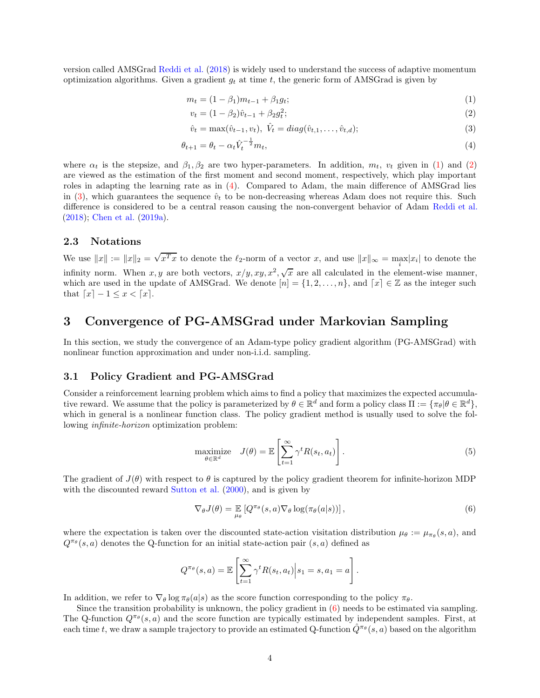version called AMSGrad [Reddi et al.](#page-13-17) [\(2018\)](#page-13-17) is widely used to understand the success of adaptive momentum optimization algorithms. Given a gradient  $g_t$  at time t, the generic form of AMSGrad is given by

$$
m_t = (1 - \beta_1)m_{t-1} + \beta_1 g_t; \tag{1}
$$

<span id="page-3-4"></span><span id="page-3-3"></span><span id="page-3-1"></span><span id="page-3-0"></span>
$$
v_t = (1 - \beta_2)\hat{v}_{t-1} + \beta_2 g_t^2; \tag{2}
$$

$$
\hat{v}_t = \max(\hat{v}_{t-1}, v_t), \ \hat{V}_t = diag(\hat{v}_{t,1}, \dots, \hat{v}_{t,d}); \tag{3}
$$

$$
\theta_{t+1} = \theta_t - \alpha_t \hat{V}_t^{-\frac{1}{2}} m_t,\tag{4}
$$

where  $\alpha_t$  is the stepsize, and  $\beta_1, \beta_2$  are two hyper-parameters. In addition,  $m_t$ ,  $v_t$  given in [\(1\)](#page-3-1) and [\(2\)](#page-3-3) are viewed as the estimation of the first moment and second moment, respectively, which play important roles in adapting the learning rate as in [\(4\)](#page-3-0). Compared to Adam, the main difference of AMSGrad lies in [\(3\)](#page-3-4), which guarantees the sequence  $\hat{v}_t$  to be non-decreasing whereas Adam does not require this. Such difference is considered to be a central reason causing the non-convergent behavior of Adam [Reddi et al.](#page-13-17) [\(2018\)](#page-13-17); [Chen et al.](#page-12-17) [\(2019a\)](#page-12-17).

### 2.3 Notations

We use  $||x|| := ||x||_2 = \sqrt{x^T x}$  to denote the  $\ell_2$ -norm of a vector x, and use  $||x||_{\infty} = \max_i |x_i|$  to denote the infinity norm. When x, y are both vectors,  $x/y, xy, x^2, \sqrt{x}$  are all calculated in the element-wise manner, which are used in the update of AMSGrad. We denote  $[n] = \{1, 2, ..., n\}$ , and  $[x] \in \mathbb{Z}$  as the integer such that  $\lceil x \rceil - 1 \leq x < \lceil x \rceil$ .

## <span id="page-3-6"></span>3 Convergence of PG-AMSGrad under Markovian Sampling

In this section, we study the convergence of an Adam-type policy gradient algorithm (PG-AMSGrad) with nonlinear function approximation and under non-i.i.d. sampling.

### <span id="page-3-2"></span>3.1 Policy Gradient and PG-AMSGrad

Consider a reinforcement learning problem which aims to find a policy that maximizes the expected accumulative reward. We assume that the policy is parameterized by  $\theta \in \mathbb{R}^d$  and form a policy class  $\Pi := {\{\pi_\theta | \theta \in \mathbb{R}^d\}}$ , which in general is a nonlinear function class. The policy gradient method is usually used to solve the following infinite-horizon optimization problem:

$$
\underset{\theta \in \mathbb{R}^d}{\text{maximize}} \quad J(\theta) = \mathbb{E} \left[ \sum_{t=1}^{\infty} \gamma^t R(s_t, a_t) \right]. \tag{5}
$$

The gradient of  $J(\theta)$  with respect to  $\theta$  is captured by the policy gradient theorem for infinite-horizon MDP with the discounted reward [Sutton et al.](#page-14-0) [\(2000](#page-14-0)), and is given by

<span id="page-3-5"></span>
$$
\nabla_{\theta} J(\theta) = \mathbb{E}_{\mu_{\theta}} \left[ Q^{\pi_{\theta}}(s, a) \nabla_{\theta} \log(\pi_{\theta}(a|s)) \right], \tag{6}
$$

where the expectation is taken over the discounted state-action visitation distribution  $\mu_{\theta} := \mu_{\pi_{\theta}}(s, a)$ , and  $Q^{\pi_{\theta}}(s, a)$  denotes the Q-function for an initial state-action pair  $(s, a)$  defined as

$$
Q^{\pi_{\theta}}(s, a) = \mathbb{E}\left[\sum_{t=1}^{\infty} \gamma^{t} R(s_t, a_t) \middle| s_1 = s, a_1 = a\right].
$$

In addition, we refer to  $\nabla_{\theta} \log \pi_{\theta}(a|s)$  as the score function corresponding to the policy  $\pi_{\theta}$ .

Since the transition probability is unknown, the policy gradient in [\(6\)](#page-3-5) needs to be estimated via sampling. The Q-function  $Q^{\pi_{\theta}}(s, a)$  and the score function are typically estimated by independent samples. First, at each time t, we draw a sample trajectory to provide an estimated Q-function  $\tilde{Q}^{\pi_{\theta}}(s, a)$  based on the algorithm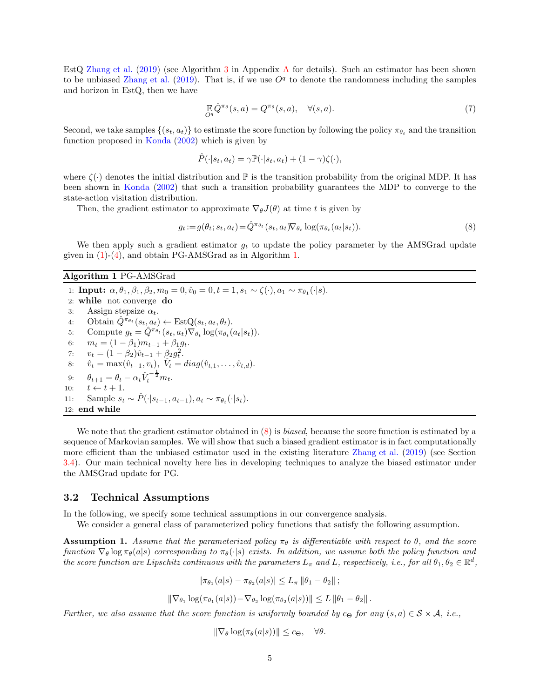EstQ [Zhang et al.](#page-15-0) [\(2019](#page-15-0)) (see Algorithm [3](#page-16-0) in Appendix [A](#page-16-1) for details). Such an estimator has been shown to be unbiased [Zhang et al.](#page-15-0) [\(2019\)](#page-15-0). That is, if we use  $O<sup>q</sup>$  to denote the randomness including the samples and horizon in EstQ, then we have

$$
\mathbb{E}_{Q^q} \hat{Q}^{\pi_\theta}(s, a) = Q^{\pi_\theta}(s, a), \quad \forall (s, a). \tag{7}
$$

Second, we take samples  $\{(s_t, a_t)\}\)$  to estimate the score function by following the policy  $\pi_{\theta_t}$  and the transition function proposed in [Konda](#page-13-18) [\(2002\)](#page-13-18) which is given by

$$
\hat{P}(\cdot|s_t, a_t) = \gamma \mathbb{P}(\cdot|s_t, a_t) + (1 - \gamma)\zeta(\cdot),
$$

where  $\zeta(\cdot)$  denotes the initial distribution and  $\mathbb P$  is the transition probability from the original MDP. It has been shown in [Konda](#page-13-18) [\(2002\)](#page-13-18) that such a transition probability guarantees the MDP to converge to the state-action visitation distribution.

Then, the gradient estimator to approximate  $\nabla_{\theta}J(\theta)$  at time t is given by

<span id="page-4-1"></span>
$$
g_t := g(\theta_t; s_t, a_t) = \hat{Q}^{\pi_{\theta_t}}(s_t, a_t) \nabla_{\theta_t} \log(\pi_{\theta_t}(a_t|s_t)).
$$
\n
$$
(8)
$$

We then apply such a gradient estimator  $g_t$  to update the policy parameter by the AMSGrad update given in  $(1)-(4)$  $(1)-(4)$ , and obtain PG-AMSGrad as in Algorithm [1.](#page-4-0)

### <span id="page-4-0"></span>Algorithm 1 PG-AMSGrad

1: **Input:**  $\alpha, \theta_1, \beta_1, \beta_2, m_0 = 0, \hat{v}_0 = 0, t = 1, s_1 \sim \zeta(\cdot), a_1 \sim \pi_{\theta_1}(\cdot | s).$ 2: while not converge do 3: Assign stepsize  $\alpha_t$ . 4: Obtain  $\hat{Q}^{\pi_{\theta_t}}(s_t, a_t) \leftarrow \text{EstQ}(s_t, a_t, \theta_t).$ 5: Compute  $g_t = \hat{Q}^{\pi_{\theta_t}}(s_t, a_t) \nabla_{\theta_t} \log(\pi_{\theta_t}(a_t|s_t)).$ 6:  $m_t = (1 - \beta_1)m_{t-1} + \beta_1 g_t$ .<br>7:  $v_t = (1 - \beta_2)\hat{v}_{t-1} + \beta_2 g_t^2$ . 7:  $v_t = (1 - \beta_2)\hat{v}_{t-1} + \beta_2 g_t^2$ . 8:  $\hat{v}_t = \max(\hat{v}_{t-1}, v_t), \ \hat{V}_t = diag(\hat{v}_{t,1}, \dots, \hat{v}_{t,d}).$ 9:  $\theta_{t+1} = \theta_t - \alpha_t \hat{V}_t^{-\frac{1}{2}} m_t.$ 10:  $t \leftarrow t + 1.$ <br>11: Sample  $s_t$ 11: Sample  $s_t \sim \hat{P}(\cdot|s_{t-1}, a_{t-1}), a_t \sim \pi_{\theta_t}(\cdot|s_t).$ 12: end while

We note that the gradient estimator obtained in  $(8)$  is *biased*, because the score function is estimated by a sequence of Markovian samples. We will show that such a biased gradient estimator is in fact computationally more efficient than the unbiased estimator used in the existing literature [Zhang et al.](#page-15-0) [\(2019\)](#page-15-0) (see Section [3.4\)](#page-6-0). Our main technical novelty here lies in developing techniques to analyze the biased estimator under the AMSGrad update for PG.

#### 3.2 Technical Assumptions

In the following, we specify some technical assumptions in our convergence analysis.

<span id="page-4-2"></span>We consider a general class of parameterized policy functions that satisfy the following assumption.

**Assumption 1.** Assume that the parameterized policy  $\pi_{\theta}$  is differentiable with respect to  $\theta$ , and the score function  $\nabla_{\theta} \log \pi_{\theta}(a|s)$  corresponding to  $\pi_{\theta}(\cdot|s)$  exists. In addition, we assume both the policy function and the score function are Lipschitz continuous with the parameters  $L_\pi$  and L, respectively, i.e., for all  $\theta_1, \theta_2 \in \mathbb{R}^d$ ,

$$
|\pi_{\theta_1}(a|s) - \pi_{\theta_2}(a|s)| \le L_{\pi} \|\theta_1 - \theta_2\|;
$$

 $\|\nabla_{\theta_1} \log(\pi_{\theta_1}(a|s)) - \nabla_{\theta_2} \log(\pi_{\theta_2}(a|s))\| \leq L \|\theta_1 - \theta_2\|.$ 

Further, we also assume that the score function is uniformly bounded by  $c_{\Theta}$  for any  $(s, a) \in S \times A$ , i.e.,

$$
\|\nabla_{\theta}\log(\pi_{\theta}(a|s))\| \leq c_{\Theta}, \quad \forall \theta.
$$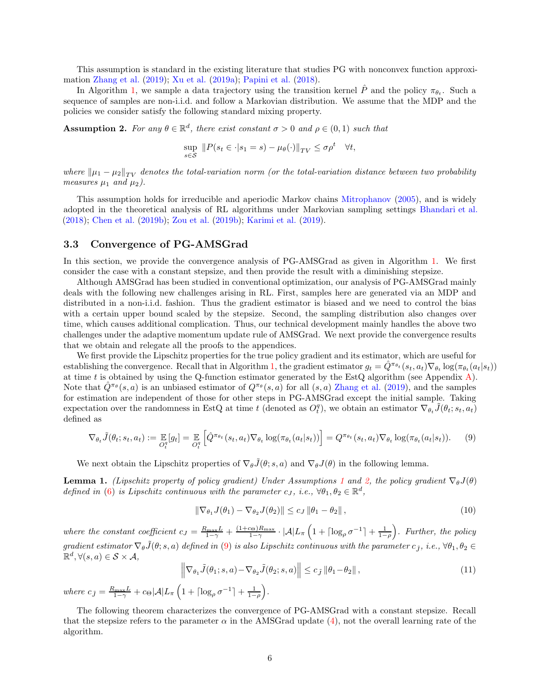This assumption is standard in the existing literature that studies PG with nonconvex function approximation [Zhang et al.](#page-15-0) [\(2019\)](#page-15-0); [Xu et al.](#page-14-11) [\(2019a](#page-14-11)); [Papini et al.](#page-13-8) [\(2018\)](#page-13-8).

In Algorithm [1,](#page-4-0) we sample a data trajectory using the transition kernel  $\hat{P}$  and the policy  $\pi_{\theta_t}$ . Such a sequence of samples are non-i.i.d. and follow a Markovian distribution. We assume that the MDP and the policies we consider satisfy the following standard mixing property.

<span id="page-5-0"></span>**Assumption 2.** For any  $\theta \in \mathbb{R}^d$ , there exist constant  $\sigma > 0$  and  $\rho \in (0,1)$  such that

$$
\sup_{s \in \mathcal{S}} \| P(s_t \in \cdot | s_1 = s) - \mu_\theta(\cdot) \|_{TV} \le \sigma \rho^t \quad \forall t,
$$

where  $\|\mu_1 - \mu_2\|_{TV}$  denotes the total-variation norm (or the total-variation distance between two probability measures  $\mu_1$  and  $\mu_2$ ).

This assumption holds for irreducible and aperiodic Markov chains [Mitrophanov](#page-13-19) [\(2005](#page-13-19)), and is widely adopted in the theoretical analysis of RL algorithms under Markovian sampling settings [Bhandari et al.](#page-12-14) [\(2018\)](#page-12-14); [Chen et al.](#page-12-18) [\(2019b\)](#page-12-18); [Zou et al.](#page-15-4) [\(2019b](#page-15-4)); [Karimi et al.](#page-13-10) [\(2019](#page-13-10)).

### 3.3 Convergence of PG-AMSGrad

In this section, we provide the convergence analysis of PG-AMSGrad as given in Algorithm [1.](#page-4-0) We first consider the case with a constant stepsize, and then provide the result with a diminishing stepsize.

Although AMSGrad has been studied in conventional optimization, our analysis of PG-AMSGrad mainly deals with the following new challenges arising in RL. First, samples here are generated via an MDP and distributed in a non-i.i.d. fashion. Thus the gradient estimator is biased and we need to control the bias with a certain upper bound scaled by the stepsize. Second, the sampling distribution also changes over time, which causes additional complication. Thus, our technical development mainly handles the above two challenges under the adaptive momentum update rule of AMSGrad. We next provide the convergence results that we obtain and relegate all the proofs to the appendices.

We first provide the Lipschitz properties for the true policy gradient and its estimator, which are useful for establishing the convergence. Recall that in Algorithm [1,](#page-4-0) the gradient estimator  $g_t = \hat{Q}^{\pi_{\theta_t}}(s_t, a_t) \nabla_{\theta_t} \log(\pi_{\theta_t}(a_t|s_t))$ at time t is obtained by using the Q-function estimator generated by the EstQ algorithm (see Appendix  $A$ ). Note that  $\hat{Q}^{\pi_{\theta}}(s, a)$  is an unbiased estimator of  $Q^{\pi_{\theta}}(s, a)$  for all  $(s, a)$  [Zhang et al.](#page-15-0) [\(2019](#page-15-0)), and the samples for estimation are independent of those for other steps in PG-AMSGrad except the initial sample. Taking expectation over the randomness in EstQ at time t (denoted as  $O_t^q$ ), we obtain an estimator  $\nabla_{\theta_t} \tilde{J}(\theta_t; s_t, a_t)$ defined as

$$
\nabla_{\theta_t} \tilde{J}(\theta_t; s_t, a_t) := \mathbb{E}_{O_t^q}[g_t] = \mathbb{E}_{O_t^q} \left[ \hat{Q}^{\pi_{\theta_t}}(s_t, a_t) \nabla_{\theta_t} \log(\pi_{\theta_t}(a_t|s_t)) \right] = Q^{\pi_{\theta_t}}(s_t, a_t) \nabla_{\theta_t} \log(\pi_{\theta_t}(a_t|s_t)).
$$
 (9)

<span id="page-5-2"></span>We next obtain the Lipschitz properties of  $\nabla_{\theta}\tilde{J}(\theta; s, a)$  and  $\nabla_{\theta}J(\theta)$  in the following lemma.

**Lemma [1](#page-4-2).** (Lipschitz property of policy gradient) Under Assumptions 1 and [2,](#page-5-0) the policy gradient  $\nabla_{\theta}J(\theta)$ defined in [\(6\)](#page-3-5) is Lipschitz continuous with the parameter  $c_J$ , i.e.,  $\forall \theta_1, \theta_2 \in \mathbb{R}^d$ ,

<span id="page-5-1"></span>
$$
\|\nabla_{\theta_1} J(\theta_1) - \nabla_{\theta_2} J(\theta_2)\| \leq c_J \|\theta_1 - \theta_2\|,
$$
\n(10)

where the constant coefficient  $c_J = \frac{R_{\text{max}}L}{1-\gamma} + \frac{(1+c_{\Theta})R_{\text{max}}}{1-\gamma}$  $\frac{\sigma(\Theta)R_{\max}}{1-\gamma} \cdot |\mathcal{A}| L_{\pi} \left(1 + \lceil \log_{\rho} \sigma^{-1} \rceil + \frac{1}{1-\rho} \right)$  . Further, the policy gradient estimator  $\nabla_{\theta}\tilde{J}(\theta; s, a)$  defined in [\(9\)](#page-5-1) is also Lipschitz continuous with the parameter  $c_{\tilde{J}}$ , i.e.,  $\forall \theta_1, \theta_2 \in$  $\mathbb{R}^d, \forall (s,a) \in \mathcal{S} \times \mathcal{A},$ 

<span id="page-5-4"></span>
$$
\left\|\nabla_{\theta_1}\tilde{J}(\theta_1;s,a) - \nabla_{\theta_2}\tilde{J}(\theta_2;s,a)\right\| \le c_{\tilde{J}}\left\|\theta_1 - \theta_2\right\|,\tag{11}
$$

where  $c_{\tilde{J}} = \frac{R_{\text{max}}L}{1-\gamma} + c_{\Theta} |\mathcal{A}| L_{\pi} \left( 1 + \lceil \log_{\rho} \sigma^{-1} \rceil + \frac{1}{1-\rho} \right)$ .

<span id="page-5-3"></span>The following theorem characterizes the convergence of PG-AMSGrad with a constant stepsize. Recall that the stepsize refers to the parameter  $\alpha$  in the AMSGrad update [\(4\)](#page-3-0), not the overall learning rate of the algorithm.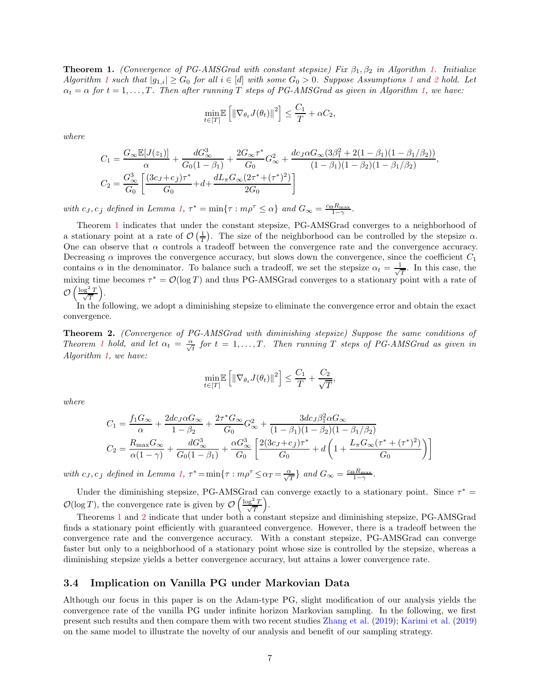**Theorem [1.](#page-4-0)** (Convergence of PG-AMSGrad with constant stepsize) Fix  $\beta_1$ ,  $\beta_2$  in Algorithm 1. Initialize Algorithm [1](#page-4-2) such that  $|g_{1,i}| \geq G_0$  for all  $i \in [d]$  with some  $G_0 > 0$ . Suppose Assumptions 1 and [2](#page-5-0) hold. Let  $\alpha_t = \alpha$  for  $t = 1, \ldots, T$  $t = 1, \ldots, T$  $t = 1, \ldots, T$ . Then after running T steps of PG-AMSGrad as given in Algorithm 1, we have:

$$
\min_{t \in [T]} \mathbb{E}\left[\left\|\nabla_{\theta_t} J(\theta_t)\right\|^2\right] \le \frac{C_1}{T} + \alpha C_2,
$$

where

$$
C_1 = \frac{G_{\infty} \mathbb{E}[J(z_1)]}{\alpha} + \frac{dG_{\infty}^3}{G_0 (1 - \beta_1)} + \frac{2G_{\infty} \tau^*}{G_0} G_{\infty}^2 + \frac{dc_J \alpha G_{\infty} (3\beta_1^2 + 2(1 - \beta_1)(1 - \beta_1/\beta_2))}{(1 - \beta_1)(1 - \beta_2)(1 - \beta_1/\beta_2)},
$$
  
\n
$$
C_2 = \frac{G_{\infty}^3}{G_0} \left[ \frac{(3c_J + c_j)\tau^*}{G_0} + d + \frac{dL_{\pi} G_{\infty} (2\tau^* + (\tau^*)^2)}{2G_0} \right]
$$

with  $c_J, c_{\tilde{J}}$  defined in Lemma [1,](#page-5-2)  $\tau^* = \min\{\tau : m\rho^{\tau} \leq \alpha\}$  and  $G_{\infty} = \frac{c_{\Theta}R_{\max}}{1-\gamma}$ .

Theorem [1](#page-5-3) indicates that under the constant stepsize, PG-AMSGrad converges to a neighborhood of a stationary point at a rate of  $\mathcal{O}\left(\frac{1}{T}\right)$ . The size of the neighborhood can be controlled by the stepsize  $\alpha$ . One can observe that  $\alpha$  controls a tradeoff between the convergence rate and the convergence accuracy. Decreasing  $\alpha$  improves the convergence accuracy, but slows down the convergence, since the coefficient  $C_1$ contains  $\alpha$  in the denominator. To balance such a tradeoff, we set the stepsize  $\alpha_t = \frac{1}{\sqrt{2\pi}}$  $\frac{1}{T}$ . In this case, the mixing time becomes  $\tau^* = \mathcal{O}(\log T)$  and thus PG-AMSGrad converges to a stationary point with a rate of  $\mathcal{O}\left(\frac{\log^2 T}{\sqrt{T}}\right)$  $\boldsymbol{\mathcal{I}}$ .

<span id="page-6-1"></span>In the following, we adopt a diminishing stepsize to eliminate the convergence error and obtain the exact convergence.

Theorem 2. (Convergence of PG-AMSGrad with diminishing stepsize) Suppose the same conditions of Theorem [1](#page-5-3) hold, and let  $\alpha_t = \frac{\alpha}{\sqrt{t}}$  for  $t = 1, ..., T$ . Then running T steps of PG-AMSGrad as given in Algorithm [1,](#page-4-0) we have:

$$
\min_{t \in [T]} \mathbb{E}\left[\left\|\nabla_{\theta_t} J(\theta_t)\right\|^2\right] \le \frac{C_1}{T} + \frac{C_2}{\sqrt{T}},
$$

where

$$
C_1 = \frac{f_1 G_{\infty}}{\alpha} + \frac{2dc_J\alpha G_{\infty}}{1 - \beta_2} + \frac{2\tau^* G_{\infty}}{G_0}G_{\infty}^2 + \frac{3dc_J\beta_1^2 \alpha G_{\infty}}{(1 - \beta_1)(1 - \beta_2)(1 - \beta_1/\beta_2)}
$$
  
\n
$$
C_2 = \frac{R_{\max} G_{\infty}}{\alpha(1 - \gamma)} + \frac{dG_{\infty}^3}{G_0(1 - \beta_1)} + \frac{\alpha G_{\infty}^3}{G_0} \left[ \frac{2(3c_J + c_J)\tau^*}{G_0} + d\left(1 + \frac{L_{\pi} G_{\infty}(\tau^* + (\tau^*)^2)}{G_0}\right) \right]
$$

with  $c_J, c_{\tilde{J}}$  defined in Lemma [1,](#page-5-2)  $\tau^* = \min\{\tau : m\rho^{\tau} \leq \alpha_T = \frac{\alpha}{\sqrt{T}}\}$  and  $G_{\infty} = \frac{c_{\Theta}R_{\max}}{1-\gamma}$ .

Under the diminishing stepsize, PG-AMSGrad can converge exactly to a stationary point. Since  $\tau^*$  $\mathcal{O}(\log T)$ , the convergence rate is given by  $\mathcal{O}\left(\frac{\log^2 T}{\sqrt{T}}\right)$ T .

Theorems [1](#page-5-3) and [2](#page-6-1) indicate that under both a constant stepsize and diminishing stepsize, PG-AMSGrad finds a stationary point efficiently with guaranteed convergence. However, there is a tradeoff between the convergence rate and the convergence accuracy. With a constant stepsize, PG-AMSGrad can converge faster but only to a neighborhood of a stationary point whose size is controlled by the stepsize, whereas a diminishing stepsize yields a better convergence accuracy, but attains a lower convergence rate.

### <span id="page-6-0"></span>3.4 Implication on Vanilla PG under Markovian Data

Although our focus in this paper is on the Adam-type PG, slight modification of our analysis yields the convergence rate of the vanilla PG under infinite horizon Markovian sampling. In the following, we first present such results and then compare them with two recent studies [Zhang et al.](#page-15-0) [\(2019\)](#page-15-0); [Karimi et al.](#page-13-10) [\(2019](#page-13-10)) on the same model to illustrate the novelty of our analysis and benefit of our sampling strategy.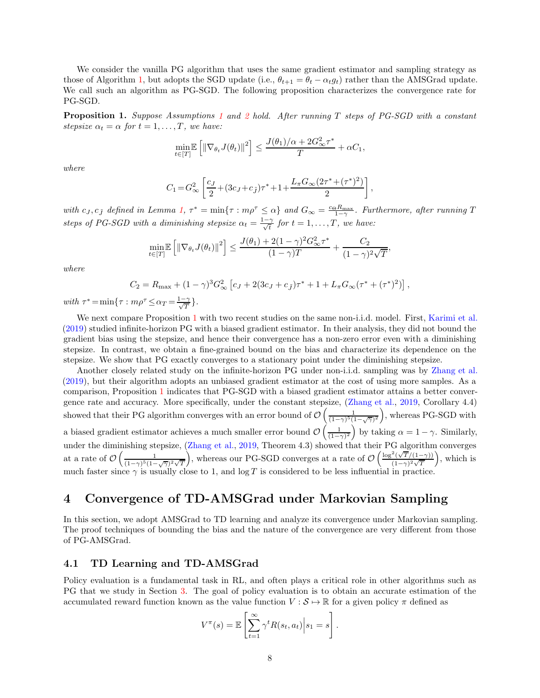We consider the vanilla PG algorithm that uses the same gradient estimator and sampling strategy as those of Algorithm [1,](#page-4-0) but adopts the SGD update (i.e.,  $\theta_{t+1} = \theta_t - \alpha_t g_t$ ) rather than the AMSGrad update. We call such an algorithm as PG-SGD. The following proposition characterizes the convergence rate for PG-SGD.

<span id="page-7-1"></span>Proposition 1. Suppose Assumptions [1](#page-4-2) and [2](#page-5-0) hold. After running T steps of PG-SGD with a constant stepsize  $\alpha_t = \alpha$  for  $t = 1, \ldots, T$ , we have:

$$
\min_{t \in [T]} \mathbb{E}\left[\left\|\nabla_{\theta_t} J(\theta_t)\right\|^2\right] \le \frac{J(\theta_1)/\alpha + 2G_{\infty}^2 \tau^*}{T} + \alpha C_1,
$$

where

$$
C_1\!=\!G_{\infty}^2\left[\frac{c_J}{2}\!+\!(3c_J\!+\!c_{\bar{J}})\tau^*\!+\!1\!+\!\frac{L_{\pi}G_{\infty}(2\tau^*\!+\!(\tau^*)^2)}{2}\right],
$$

with  $c_J, c_{\tilde{J}}$  defined in Lemma [1,](#page-5-2)  $\tau^* = \min\{\tau : m\rho^{\tau} \leq \alpha\}$  and  $G_{\infty} = \frac{c_{\Theta}R_{\max}}{1-\gamma}$ . Furthermore, after running T steps of PG-SGD with a diminishing stepsize  $\alpha_t = \frac{1-\gamma}{\sqrt{t}}$  for  $t = 1, \ldots, T$ , we have:

$$
\min_{t \in [T]} \mathbb{E}\left[\left\|\nabla_{\theta_t} J(\theta_t)\right\|^2\right] \le \frac{J(\theta_1) + 2(1-\gamma)^2 G_{\infty}^2 \tau^*}{(1-\gamma)T} + \frac{C_2}{(1-\gamma)^2 \sqrt{T}},
$$

where

$$
C_2 = R_{\text{max}} + (1 - \gamma)^3 G_{\infty}^2 \left[ c_J + 2(3c_J + c_{\tilde{J}}) \tau^* + 1 + L_{\pi} G_{\infty} (\tau^* + (\tau^*)^2) \right],
$$

with  $\tau^* = \min\{\tau : m\rho^{\tau} \le \alpha_T = \frac{1-\gamma}{\sqrt{T}}\}.$ 

We next compare Proposition [1](#page-7-1) with two recent studies on the same non-i.i.d. model. First, [Karimi et al.](#page-13-10) [\(2019\)](#page-13-10) studied infinite-horizon PG with a biased gradient estimator. In their analysis, they did not bound the gradient bias using the stepsize, and hence their convergence has a non-zero error even with a diminishing stepsize. In contrast, we obtain a fine-grained bound on the bias and characterize its dependence on the stepsize. We show that PG exactly converges to a stationary point under the diminishing stepsize.

Another closely related study on the infinite-horizon PG under non-i.i.d. sampling was by [Zhang et al.](#page-15-0) [\(2019\)](#page-15-0), but their algorithm adopts an unbiased gradient estimator at the cost of using more samples. As a comparison, Proposition [1](#page-7-1) indicates that PG-SGD with a biased gradient estimator attains a better convergence rate and accuracy. More specifically, under the constant stepsize, [\(Zhang et al.](#page-15-0), [2019,](#page-15-0) Corollary 4.4) showed that their PG algorithm converges with an error bound of  $\mathcal{O}\left(\frac{1}{(1-\gamma)^5(1-\sqrt{\gamma})^2}\right)$ , whereas PG-SGD with a biased gradient estimator achieves a much smaller error bound  $\mathcal{O}\left(\frac{1}{(1-\gamma)^2}\right)$  by taking  $\alpha = 1 - \gamma$ . Similarly, under the diminishing stepsize, [\(Zhang et al.](#page-15-0), [2019,](#page-15-0) Theorem 4.3) showed that their PG algorithm converges at a rate of  $\mathcal{O}\left(\frac{1}{(1-\gamma)^5(1-\gamma)}\right)$  $(1-\gamma)^5(1-\sqrt{\gamma})^2\sqrt{T}$ ), whereas our PG-SGD converges at a rate of  $\mathcal{O}\left(\frac{\log^2(\sqrt{T}/(1-\gamma))}{(1-\gamma)^2\sqrt{T}}\right)$  $(1-\gamma)^2 \sqrt{T}$  , which is much faster since  $\gamma$  is usually close to 1, and  $\log T$  is considered to be less influential in practice.

### 4 Convergence of TD-AMSGrad under Markovian Sampling

In this section, we adopt AMSGrad to TD learning and analyze its convergence under Markovian sampling. The proof techniques of bounding the bias and the nature of the convergence are very different from those of PG-AMSGrad.

### <span id="page-7-0"></span>4.1 TD Learning and TD-AMSGrad

Policy evaluation is a fundamental task in RL, and often plays a critical role in other algorithms such as PG that we study in Section [3.](#page-3-6) The goal of policy evaluation is to obtain an accurate estimation of the accumulated reward function known as the value function  $V : \mathcal{S} \mapsto \mathbb{R}$  for a given policy  $\pi$  defined as

$$
V^{\pi}(s) = \mathbb{E}\left[\sum_{t=1}^{\infty} \gamma^t R(s_t, a_t) \middle| s_1 = s\right].
$$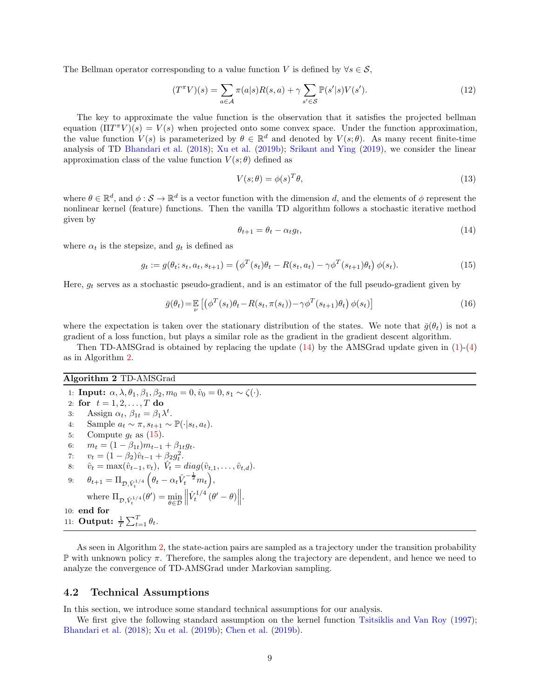The Bellman operator corresponding to a value function V is defined by  $\forall s \in \mathcal{S}$ ,

$$
(T^{\pi}V)(s) = \sum_{a \in \mathcal{A}} \pi(a|s)R(s,a) + \gamma \sum_{s' \in \mathcal{S}} \mathbb{P}(s'|s)V(s'). \tag{12}
$$

The key to approximate the value function is the observation that it satisfies the projected bellman equation  $(\Pi T^{\pi}V)(s) = V(s)$  when projected onto some convex space. Under the function approximation, the value function  $V(s)$  is parameterized by  $\theta \in \mathbb{R}^d$  and denoted by  $V(s; \theta)$ . As many recent finite-time analysis of TD [Bhandari et al.](#page-12-14) [\(2018\)](#page-12-14); [Xu et al.](#page-14-19) [\(2019b](#page-14-19)); [Srikant and Ying](#page-14-16) [\(2019\)](#page-14-16), we consider the linear approximation class of the value function  $V(s; \theta)$  defined as

$$
V(s; \theta) = \phi(s)^T \theta,\tag{13}
$$

where  $\theta \in \mathbb{R}^d$ , and  $\phi: \mathcal{S} \to \mathbb{R}^d$  is a vector function with the dimension d, and the elements of  $\phi$  represent the nonlinear kernel (feature) functions. Then the vanilla TD algorithm follows a stochastic iterative method given by

<span id="page-8-2"></span><span id="page-8-0"></span>
$$
\theta_{t+1} = \theta_t - \alpha_t g_t,\tag{14}
$$

where  $\alpha_t$  is the stepsize, and  $g_t$  is defined as

$$
g_t := g(\theta_t; s_t, a_t, s_{t+1}) = (\phi^T(s_t)\theta_t - R(s_t, a_t) - \gamma \phi^T(s_{t+1})\theta_t) \phi(s_t).
$$
 (15)

Here,  $g_t$  serves as a stochastic pseudo-gradient, and is an estimator of the full pseudo-gradient given by

<span id="page-8-3"></span>
$$
\bar{g}(\theta_t) = \mathbb{E}_{\nu} \left[ \left( \phi^T(s_t) \theta_t - R(s_t, \pi(s_t)) - \gamma \phi^T(s_{t+1}) \theta_t \right) \phi(s_t) \right]
$$
\n(16)

where the expectation is taken over the stationary distribution of the states. We note that  $\bar{g}(\theta_t)$  is not a gradient of a loss function, but plays a similar role as the gradient in the gradient descent algorithm.

Then TD-AMSGrad is obtained by replacing the update  $(14)$  by the AMSGrad update given in  $(1)-(4)$  $(1)-(4)$ as in Algorithm [2.](#page-8-1)

#### <span id="page-8-1"></span>Algorithm 2 TD-AMSGrad

1: **Input:**  $\alpha$ ,  $\lambda$ ,  $\theta_1$ ,  $\beta_1$ ,  $\beta_2$ ,  $m_0 = 0$ ,  $\hat{v}_0 = 0$ ,  $s_1 \sim \zeta(\cdot)$ . 2: for  $t = 1, 2, ..., T$  do 3: Assign  $\alpha_t$ ,  $\beta_{1t} = \beta_1 \lambda^t$ . 4: Sample  $a_t \sim \pi$ ,  $s_{t+1} \sim \mathbb{P}(\cdot|s_t, a_t)$ .<br>5: Compute  $q_t$  as (15). Compute  $g_t$  as [\(15\)](#page-8-2). 6:  $m_t = (1 - \beta_{1t})m_{t-1} + \beta_{1t}g_t$ .<br>7:  $v_t = (1 - \beta_2)\hat{v}_{t-1} + \beta_2g_t^2$ . 7:  $v_t = (1 - \beta_2)\hat{v}_{t-1} + \beta_2 g_t^2$ . 8:  $\hat{v}_t = \max(\hat{v}_{t-1}, v_t), \ \hat{V}_t = diag(\hat{v}_{t,1}, \dots, \hat{v}_{t,d}).$ 9:  $\theta_{t+1} = \Pi_{\mathcal{D}, \hat{V}_t^{1/4}}$  $\left(\theta_t - \alpha_t \hat{V}_t^{-\frac{1}{2}} m_t\right),\right$ where  $\Pi_{\mathcal{D}, \hat{V}_t^{1/4}}(\theta') = \min_{\theta \in \mathcal{D}}$  $\left\|\hat{V}_t^{1/4}(\theta'-\theta)\right\|.$ 10: end for 11: Output:  $\frac{1}{T} \sum_{t=1}^{T} \theta_t$ .

As seen in Algorithm [2,](#page-8-1) the state-action pairs are sampled as a trajectory under the transition probability  $\mathbb P$  with unknown policy  $\pi$ . Therefore, the samples along the trajectory are dependent, and hence we need to analyze the convergence of TD-AMSGrad under Markovian sampling.

#### 4.2 Technical Assumptions

In this section, we introduce some standard technical assumptions for our analysis.

<span id="page-8-4"></span>We first give the following standard assumption on the kernel function [Tsitsiklis and Van Roy](#page-14-15) [\(1997\)](#page-14-15); [Bhandari et al.](#page-12-14) [\(2018\)](#page-12-14); [Xu et al.](#page-14-19) [\(2019b](#page-14-19)); [Chen et al.](#page-12-18) [\(2019b\)](#page-12-18).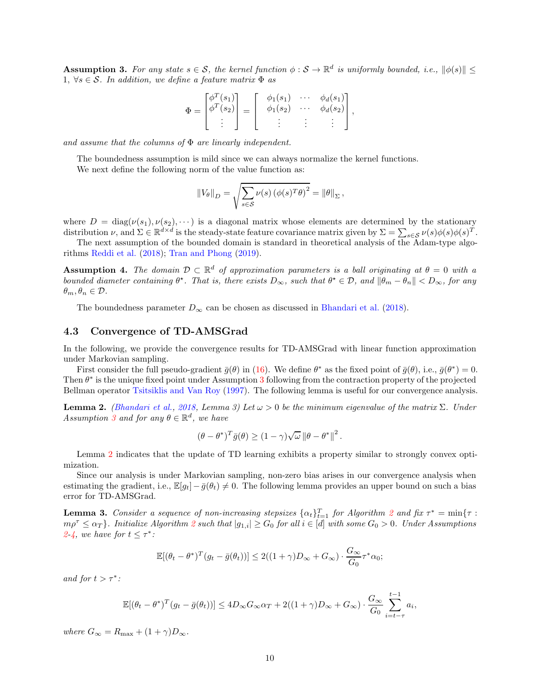**Assumption 3.** For any state  $s \in \mathcal{S}$ , the kernel function  $\phi : \mathcal{S} \to \mathbb{R}^d$  is uniformly bounded, i.e.,  $\|\phi(s)\| \leq$ 1,  $\forall s \in \mathcal{S}$ . In addition, we define a feature matrix  $\Phi$  as

$$
\Phi = \begin{bmatrix} \phi^T(s_1) \\ \phi^T(s_2) \\ \vdots \end{bmatrix} = \begin{bmatrix} \phi_1(s_1) & \cdots & \phi_d(s_1) \\ \phi_1(s_2) & \cdots & \phi_d(s_2) \\ \vdots & \vdots & \vdots \end{bmatrix},
$$

and assume that the columns of  $\Phi$  are linearly independent.

The boundedness assumption is mild since we can always normalize the kernel functions.

We next define the following norm of the value function as:

$$
||V_{\theta}||_{D} = \sqrt{\sum_{s \in S} \nu(s) (\phi(s)^{T} \theta)^{2}} = ||\theta||_{\Sigma},
$$

where  $D = \text{diag}(\nu(s_1), \nu(s_2), \dots)$  is a diagonal matrix whose elements are determined by the stationary distribution  $\nu$ , and  $\Sigma \in \mathbb{R}^{d \times d}$  is the steady-state feature covariance matrix given by  $\Sigma = \sum_{s \in \mathcal{S}} \nu(s) \phi(s) \phi(s)^T$ .

<span id="page-9-1"></span>The next assumption of the bounded domain is standard in theoretical analysis of the Adam-type algorithms [Reddi et al.](#page-13-17) [\(2018\)](#page-13-17); [Tran and Phong](#page-14-18) [\(2019](#page-14-18)).

**Assumption 4.** The domain  $\mathcal{D} \subset \mathbb{R}^d$  of approximation parameters is a ball originating at  $\theta = 0$  with a bounded diameter containing  $\theta^*$ . That is, there exists  $D_{\infty}$ , such that  $\theta^* \in \mathcal{D}$ , and  $\|\theta_m - \theta_n\| < D_{\infty}$ , for any  $\theta_m, \theta_n \in \mathcal{D}$ .

The boundedness parameter  $D_{\infty}$  can be chosen as discussed in [Bhandari et al.](#page-12-14) [\(2018\)](#page-12-14).

### 4.3 Convergence of TD-AMSGrad

In the following, we provide the convergence results for TD-AMSGrad with linear function approximation under Markovian sampling.

First consider the full pseudo-gradient  $\bar{g}(\theta)$  in [\(16\)](#page-8-3). We define  $\theta^*$  as the fixed point of  $\bar{g}(\theta)$ , i.e.,  $\bar{g}(\theta^*) = 0$ . Then  $\theta^*$  is the unique fixed point under Assumption [3](#page-8-4) following from the contraction property of the projected Bellman operator [Tsitsiklis and Van Roy](#page-14-15) [\(1997\)](#page-14-15). The following lemma is useful for our convergence analysis.

<span id="page-9-0"></span>**Lemma 2.** [\(Bhandari et al.](#page-12-14), [2018,](#page-12-14) Lemma 3) Let  $ω > 0$  be the minimum eigenvalue of the matrix  $Σ$ . Under Assumption [3](#page-8-4) and for any  $\theta \in \mathbb{R}^d$ , we have

$$
(\theta - \theta^*)^T \bar{g}(\theta) \ge (1 - \gamma) \sqrt{\omega} \left\|\theta - \theta^*\right\|^2.
$$

Lemma [2](#page-9-0) indicates that the update of TD learning exhibits a property similar to strongly convex optimization.

Since our analysis is under Markovian sampling, non-zero bias arises in our convergence analysis when estimating the gradient, i.e.,  $\mathbb{E}[g_t] - \bar{g}(\theta_t) \neq 0$ . The following lemma provides an upper bound on such a bias error for TD-AMSGrad.

<span id="page-9-2"></span>**Lemma 3.** Consider a sequence of non-increasing stepsizes  $\{\alpha_t\}_{t=1}^T$  for Algorithm [2](#page-8-1) and fix  $\tau^* = \min\{\tau :$  $m\rho^{\tau} \leq \alpha_T$ . Initialize Algorithm [2](#page-8-1) such that  $|g_{1,i}| \geq G_0$  for all  $i \in [d]$  with some  $G_0 > 0$ . Under Assumptions [2](#page-5-0)[-4,](#page-9-1) we have for  $t \leq \tau^*$ :

$$
\mathbb{E}[(\theta_t - \theta^*)^T (g_t - \bar{g}(\theta_t))] \le 2((1 + \gamma)D_{\infty} + G_{\infty}) \cdot \frac{G_{\infty}}{G_0} \tau^* \alpha_0;
$$

and for  $t > \tau^*$ :

$$
\mathbb{E}[(\theta_t - \theta^*)^T (g_t - \bar{g}(\theta_t))] \le 4D_{\infty} G_{\infty} \alpha_T + 2((1 + \gamma)D_{\infty} + G_{\infty}) \cdot \frac{G_{\infty}}{G_0} \sum_{i=t-\tau}^{t-1} a_i,
$$

where  $G_{\infty} = R_{\text{max}} + (1 + \gamma)D_{\infty}$ .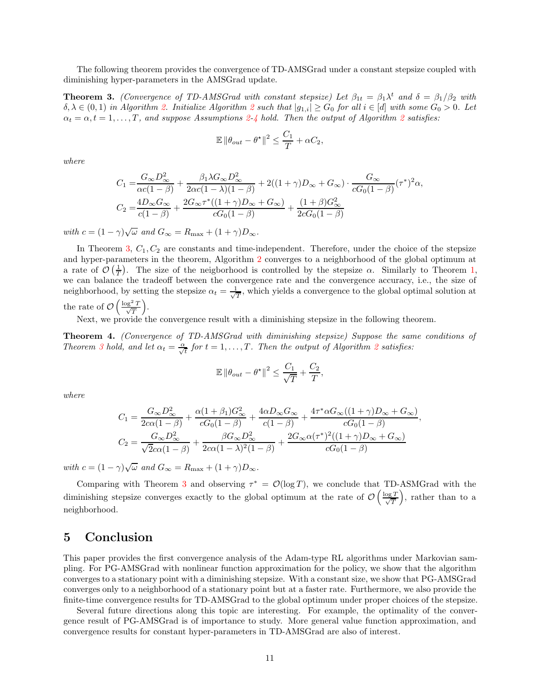<span id="page-10-0"></span>The following theorem provides the convergence of TD-AMSGrad under a constant stepsize coupled with diminishing hyper-parameters in the AMSGrad update.

**Theorem 3.** (Convergence of TD-AMSGrad with constant stepsize) Let  $\beta_{1t} = \beta_1 \lambda^t$  and  $\delta = \beta_1/\beta_2$  with  $\delta, \lambda \in (0,1)$  in Algorithm [2.](#page-8-1) Initialize Algorithm [2](#page-8-1) such that  $|g_{1,i}| \geq G_0$  for all  $i \in [d]$  with some  $G_0 > 0$ . Let  $\alpha_t = \alpha, t = 1, \ldots, T$ , and suppose Assumptions [2-](#page-5-0)[4](#page-9-1) hold. Then the output of Algorithm [2](#page-8-1) satisfies:

$$
\mathbb{E} \left\| \theta_{out} - \theta^{\star} \right\|^2 \le \frac{C_1}{T} + \alpha C_2,
$$

where

$$
C_1 = \frac{G_{\infty}D_{\infty}^2}{\alpha c(1-\beta)} + \frac{\beta_1 \lambda G_{\infty}D_{\infty}^2}{2\alpha c(1-\lambda)(1-\beta)} + 2((1+\gamma)D_{\infty} + G_{\infty}) \cdot \frac{G_{\infty}}{cG_0(1-\beta)}(\tau^*)^2 \alpha,
$$
  
\n
$$
C_2 = \frac{4D_{\infty}G_{\infty}}{c(1-\beta)} + \frac{2G_{\infty}\tau^*((1+\gamma)D_{\infty} + G_{\infty})}{cG_0(1-\beta)} + \frac{(1+\beta)G_{\infty}^2}{2cG_0(1-\beta)}
$$

with  $c = (1 - \gamma)\sqrt{\omega}$  and  $G_{\infty} = R_{\text{max}} + (1 + \gamma)D_{\infty}$ .

In Theorem [3,](#page-10-0)  $C_1$ ,  $C_2$  are constants and time-independent. Therefore, under the choice of the stepsize and hyper-parameters in the theorem, Algorithm [2](#page-8-1) converges to a neighborhood of the global optimum at a rate of  $\mathcal{O}\left(\frac{1}{T}\right)$ . The size of the neigborhood is controlled by the stepsize  $\alpha$ . Similarly to Theorem [1,](#page-5-3) we can balance the tradeoff between the convergence rate and the convergence accuracy, i.e., the size of neighborhood, by setting the stepsize  $\alpha_t = \frac{1}{\sqrt{2\pi}}$  $\frac{1}{T}$ , which yields a convergence to the global optimal solution at the rate of  $\mathcal{O}\left(\frac{\log^2 T}{\sqrt{T}}\right)$  $\tau$ .

<span id="page-10-1"></span>Next, we provide the convergence result with a diminishing stepsize in the following theorem.

Theorem 4. (Convergence of TD-AMSGrad with diminishing stepsize) Suppose the same conditions of Theorem [3](#page-10-0) hold, and let  $\alpha_t = \frac{\alpha}{\sqrt{t}}$  for  $t = 1, ..., T$ . Then the output of Algorithm [2](#page-8-1) satisfies:

$$
\mathbb{E} \left\| \theta_{out} - \theta^{\star} \right\|^2 \le \frac{C_1}{\sqrt{T}} + \frac{C_2}{T},
$$

where

$$
C_1 = \frac{G_{\infty}D_{\infty}^2}{2c\alpha(1-\beta)} + \frac{\alpha(1+\beta_1)G_{\infty}^2}{cG_0(1-\beta)} + \frac{4\alpha D_{\infty}G_{\infty}}{c(1-\beta)} + \frac{4\tau^*\alpha G_{\infty}((1+\gamma)D_{\infty} + G_{\infty})}{cG_0(1-\beta)},
$$
  

$$
C_2 = \frac{G_{\infty}D_{\infty}^2}{\sqrt{2}c\alpha(1-\beta)} + \frac{\beta G_{\infty}D_{\infty}^2}{2c\alpha(1-\lambda)^2(1-\beta)} + \frac{2G_{\infty}\alpha(\tau^*)^2((1+\gamma)D_{\infty} + G_{\infty})}{cG_0(1-\beta)}.
$$

with  $c = (1 - \gamma)\sqrt{\omega}$  and  $G_{\infty} = R_{\text{max}} + (1 + \gamma)D_{\infty}$ .

Comparing with Theorem [3](#page-10-0) and observing  $\tau^* = \mathcal{O}(\log T)$ , we conclude that TD-ASMGrad with the diminishing stepsize converges exactly to the global optimum at the rate of  $\mathcal{O}\left(\frac{\log T}{\sqrt{T}}\right)$ T , rather than to a neighborhood.

### 5 Conclusion

This paper provides the first convergence analysis of the Adam-type RL algorithms under Markovian sampling. For PG-AMSGrad with nonlinear function approximation for the policy, we show that the algorithm converges to a stationary point with a diminishing stepsize. With a constant size, we show that PG-AMSGrad converges only to a neighborhood of a stationary point but at a faster rate. Furthermore, we also provide the finite-time convergence results for TD-AMSGrad to the global optimum under proper choices of the stepsize.

Several future directions along this topic are interesting. For example, the optimality of the convergence result of PG-AMSGrad is of importance to study. More general value function approximation, and convergence results for constant hyper-parameters in TD-AMSGrad are also of interest.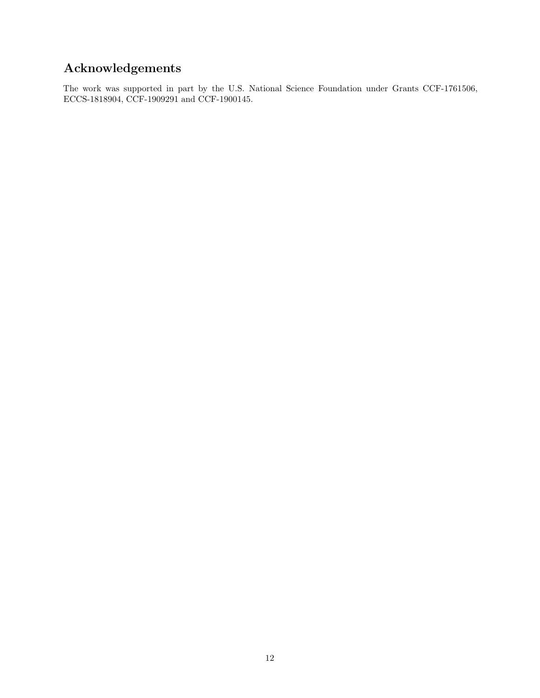# Acknowledgements

The work was supported in part by the U.S. National Science Foundation under Grants CCF-1761506, ECCS-1818904, CCF-1909291 and CCF-1900145.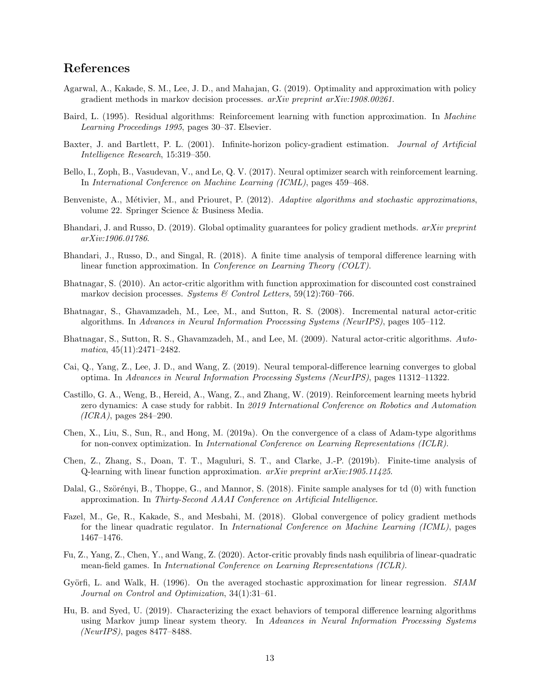### References

- <span id="page-12-5"></span>Agarwal, A., Kakade, S. M., Lee, J. D., and Mahajan, G. (2019). Optimality and approximation with policy gradient methods in markov decision processes. arXiv preprint arXiv:1908.00261.
- <span id="page-12-10"></span>Baird, L. (1995). Residual algorithms: Reinforcement learning with function approximation. In Machine Learning Proceedings 1995, pages 30–37. Elsevier.
- <span id="page-12-2"></span>Baxter, J. and Bartlett, P. L. (2001). Infinite-horizon policy-gradient estimation. Journal of Artificial Intelligence Research, 15:319–350.
- <span id="page-12-1"></span>Bello, I., Zoph, B., Vasudevan, V., and Le, Q. V. (2017). Neural optimizer search with reinforcement learning. In International Conference on Machine Learning (ICML), pages 459–468.
- <span id="page-12-12"></span>Benveniste, A., Métivier, M., and Priouret, P. (2012). Adaptive algorithms and stochastic approximations, volume 22. Springer Science & Business Media.
- <span id="page-12-4"></span>Bhandari, J. and Russo, D. (2019). Global optimality guarantees for policy gradient methods. arXiv preprint arXiv:1906.01786.
- <span id="page-12-14"></span>Bhandari, J., Russo, D., and Singal, R. (2018). A finite time analysis of temporal difference learning with linear function approximation. In Conference on Learning Theory (COLT).
- <span id="page-12-8"></span>Bhatnagar, S. (2010). An actor-critic algorithm with function approximation for discounted cost constrained markov decision processes. Systems  $\mathcal C$  Control Letters, 59(12):760–766.
- <span id="page-12-6"></span>Bhatnagar, S., Ghavamzadeh, M., Lee, M., and Sutton, R. S. (2008). Incremental natural actor-critic algorithms. In Advances in Neural Information Processing Systems (NeurIPS), pages 105–112.
- <span id="page-12-7"></span>Bhatnagar, S., Sutton, R. S., Ghavamzadeh, M., and Lee, M. (2009). Natural actor-critic algorithms. Automatica, 45(11):2471–2482.
- <span id="page-12-16"></span>Cai, Q., Yang, Z., Lee, J. D., and Wang, Z. (2019). Neural temporal-difference learning converges to global optima. In Advances in Neural Information Processing Systems (NeurIPS), pages 11312–11322.
- <span id="page-12-0"></span>Castillo, G. A., Weng, B., Hereid, A., Wang, Z., and Zhang, W. (2019). Reinforcement learning meets hybrid zero dynamics: A case study for rabbit. In 2019 International Conference on Robotics and Automation (ICRA), pages 284–290.
- <span id="page-12-17"></span>Chen, X., Liu, S., Sun, R., and Hong, M. (2019a). On the convergence of a class of Adam-type algorithms for non-convex optimization. In International Conference on Learning Representations (ICLR).
- <span id="page-12-18"></span>Chen, Z., Zhang, S., Doan, T. T., Maguluri, S. T., and Clarke, J.-P. (2019b). Finite-time analysis of Q-learning with linear function approximation.  $a r X i v \text{ } preprint \text{ } a r X i v$ :1905.11425.
- <span id="page-12-13"></span>Dalal, G., Szörényi, B., Thoppe, G., and Mannor, S. (2018). Finite sample analyses for td (0) with function approximation. In Thirty-Second AAAI Conference on Artificial Intelligence.
- <span id="page-12-3"></span>Fazel, M., Ge, R., Kakade, S., and Mesbahi, M. (2018). Global convergence of policy gradient methods for the linear quadratic regulator. In International Conference on Machine Learning (ICML), pages 1467–1476.
- <span id="page-12-9"></span>Fu, Z., Yang, Z., Chen, Y., and Wang, Z. (2020). Actor-critic provably finds nash equilibria of linear-quadratic mean-field games. In International Conference on Learning Representations (ICLR).
- <span id="page-12-11"></span>Györfi, L. and Walk, H. (1996). On the averaged stochastic approximation for linear regression. SIAM Journal on Control and Optimization, 34(1):31–61.
- <span id="page-12-15"></span>Hu, B. and Syed, U. (2019). Characterizing the exact behaviors of temporal difference learning algorithms using Markov jump linear system theory. In Advances in Neural Information Processing Systems (NeurIPS), pages 8477–8488.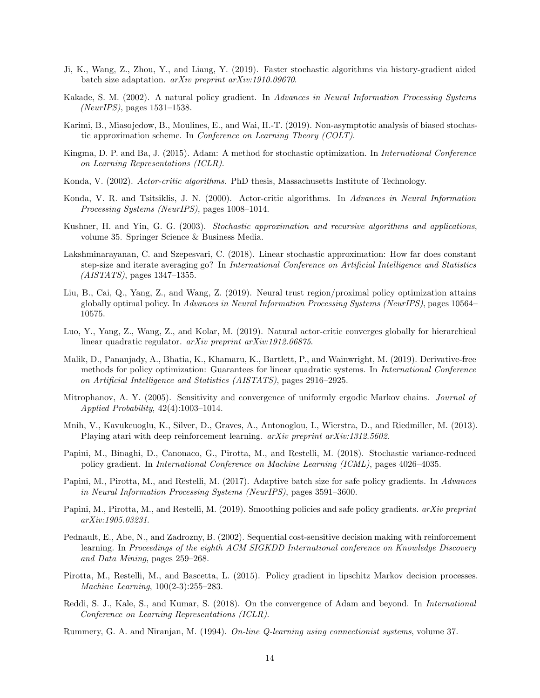- <span id="page-13-16"></span>Ji, K., Wang, Z., Zhou, Y., and Liang, Y. (2019). Faster stochastic algorithms via history-gradient aided batch size adaptation. arXiv preprint arXiv:1910.09670.
- <span id="page-13-5"></span>Kakade, S. M. (2002). A natural policy gradient. In Advances in Neural Information Processing Systems (NeurIPS), pages 1531–1538.
- <span id="page-13-10"></span>Karimi, B., Miasojedow, B., Moulines, E., and Wai, H.-T. (2019). Non-asymptotic analysis of biased stochastic approximation scheme. In Conference on Learning Theory (COLT).
- <span id="page-13-4"></span>Kingma, D. P. and Ba, J. (2015). Adam: A method for stochastic optimization. In International Conference on Learning Representations (ICLR).
- <span id="page-13-18"></span>Konda, V. (2002). Actor-critic algorithms. PhD thesis, Massachusetts Institute of Technology.
- <span id="page-13-2"></span>Konda, V. R. and Tsitsiklis, J. N. (2000). Actor-critic algorithms. In Advances in Neural Information Processing Systems (NeurIPS), pages 1008–1014.
- <span id="page-13-13"></span>Kushner, H. and Yin, G. G. (2003). Stochastic approximation and recursive algorithms and applications, volume 35. Springer Science & Business Media.
- <span id="page-13-14"></span>Lakshminarayanan, C. and Szepesvari, C. (2018). Linear stochastic approximation: How far does constant step-size and iterate averaging go? In International Conference on Artificial Intelligence and Statistics (AISTATS), pages 1347–1355.
- <span id="page-13-12"></span>Liu, B., Cai, Q., Yang, Z., and Wang, Z. (2019). Neural trust region/proximal policy optimization attains globally optimal policy. In Advances in Neural Information Processing Systems (NeurIPS), pages 10564– 10575.
- <span id="page-13-11"></span>Luo, Y., Yang, Z., Wang, Z., and Kolar, M. (2019). Natural actor-critic converges globally for hierarchical linear quadratic regulator. *arXiv preprint arXiv:1912.06875*.
- <span id="page-13-7"></span>Malik, D., Pananjady, A., Bhatia, K., Khamaru, K., Bartlett, P., and Wainwright, M. (2019). Derivative-free methods for policy optimization: Guarantees for linear quadratic systems. In International Conference on Artificial Intelligence and Statistics (AISTATS), pages 2916–2925.
- <span id="page-13-19"></span>Mitrophanov, A. Y. (2005). Sensitivity and convergence of uniformly ergodic Markov chains. Journal of Applied Probability, 42(4):1003–1014.
- <span id="page-13-0"></span>Mnih, V., Kavukcuoglu, K., Silver, D., Graves, A., Antonoglou, I., Wierstra, D., and Riedmiller, M. (2013). Playing atari with deep reinforcement learning. arXiv preprint arXiv:1312.5602.
- <span id="page-13-8"></span>Papini, M., Binaghi, D., Canonaco, G., Pirotta, M., and Restelli, M. (2018). Stochastic variance-reduced policy gradient. In International Conference on Machine Learning (ICML), pages 4026–4035.
- <span id="page-13-15"></span>Papini, M., Pirotta, M., and Restelli, M. (2017). Adaptive batch size for safe policy gradients. In Advances in Neural Information Processing Systems (NeurIPS), pages 3591–3600.
- <span id="page-13-9"></span>Papini, M., Pirotta, M., and Restelli, M. (2019). Smoothing policies and safe policy gradients. arXiv preprint arXiv:1905.03231.
- <span id="page-13-1"></span>Pednault, E., Abe, N., and Zadrozny, B. (2002). Sequential cost-sensitive decision making with reinforcement learning. In Proceedings of the eighth ACM SIGKDD International conference on Knowledge Discovery and Data Mining, pages 259–268.
- <span id="page-13-6"></span>Pirotta, M., Restelli, M., and Bascetta, L. (2015). Policy gradient in lipschitz Markov decision processes. Machine Learning, 100(2-3):255–283.
- <span id="page-13-17"></span>Reddi, S. J., Kale, S., and Kumar, S. (2018). On the convergence of Adam and beyond. In International Conference on Learning Representations (ICLR).
- <span id="page-13-3"></span>Rummery, G. A. and Niranjan, M. (1994). On-line Q-learning using connectionist systems, volume 37.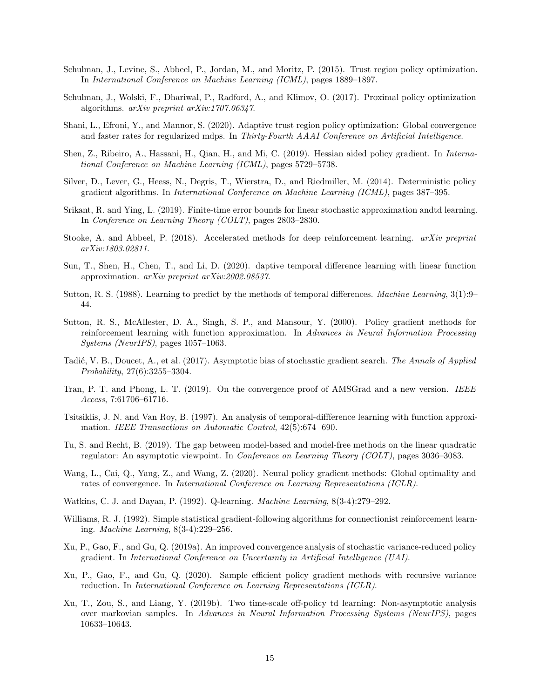- <span id="page-14-2"></span>Schulman, J., Levine, S., Abbeel, P., Jordan, M., and Moritz, P. (2015). Trust region policy optimization. In International Conference on Machine Learning (ICML), pages 1889–1897.
- <span id="page-14-3"></span>Schulman, J., Wolski, F., Dhariwal, P., Radford, A., and Klimov, O. (2017). Proximal policy optimization algorithms. arXiv preprint arXiv:1707.06347.
- <span id="page-14-14"></span>Shani, L., Efroni, Y., and Mannor, S. (2020). Adaptive trust region policy optimization: Global convergence and faster rates for regularized mdps. In Thirty-Fourth AAAI Conference on Artificial Intelligence.
- <span id="page-14-10"></span>Shen, Z., Ribeiro, A., Hassani, H., Qian, H., and Mi, C. (2019). Hessian aided policy gradient. In International Conference on Machine Learning (ICML), pages 5729–5738.
- <span id="page-14-1"></span>Silver, D., Lever, G., Heess, N., Degris, T., Wierstra, D., and Riedmiller, M. (2014). Deterministic policy gradient algorithms. In International Conference on Machine Learning (ICML), pages 387–395.
- <span id="page-14-16"></span>Srikant, R. and Ying, L. (2019). Finite-time error bounds for linear stochastic approximation andtd learning. In Conference on Learning Theory (COLT), pages 2803–2830.
- <span id="page-14-6"></span>Stooke, A. and Abbeel, P. (2018). Accelerated methods for deep reinforcement learning. arXiv preprint arXiv:1803.02811.
- <span id="page-14-17"></span>Sun, T., Shen, H., Chen, T., and Li, D. (2020). daptive temporal difference learning with linear function approximation. arXiv preprint arXiv:2002.08537.
- <span id="page-14-4"></span>Sutton, R. S. (1988). Learning to predict by the methods of temporal differences. Machine Learning, 3(1):9– 44.
- <span id="page-14-0"></span>Sutton, R. S., McAllester, D. A., Singh, S. P., and Mansour, Y. (2000). Policy gradient methods for reinforcement learning with function approximation. In Advances in Neural Information Processing Systems (NeurIPS), pages 1057–1063.
- <span id="page-14-8"></span>Tadić, V. B., Doucet, A., et al. (2017). Asymptotic bias of stochastic gradient search. The Annals of Applied Probability, 27(6):3255–3304.
- <span id="page-14-18"></span>Tran, P. T. and Phong, L. T. (2019). On the convergence proof of AMSGrad and a new version. IEEE Access, 7:61706–61716.
- <span id="page-14-15"></span>Tsitsiklis, J. N. and Van Roy, B. (1997). An analysis of temporal-diffference learning with function approximation. IEEE Transactions on Automatic Control, 42(5):674 690.
- <span id="page-14-9"></span>Tu, S. and Recht, B. (2019). The gap between model-based and model-free methods on the linear quadratic regulator: An asymptotic viewpoint. In Conference on Learning Theory (COLT), pages 3036–3083.
- <span id="page-14-13"></span>Wang, L., Cai, Q., Yang, Z., and Wang, Z. (2020). Neural policy gradient methods: Global optimality and rates of convergence. In International Conference on Learning Representations (ICLR).
- <span id="page-14-5"></span>Watkins, C. J. and Dayan, P. (1992). Q-learning. Machine Learning, 8(3-4):279–292.
- <span id="page-14-7"></span>Williams, R. J. (1992). Simple statistical gradient-following algorithms for connectionist reinforcement learning. Machine Learning, 8(3-4):229–256.
- <span id="page-14-11"></span>Xu, P., Gao, F., and Gu, Q. (2019a). An improved convergence analysis of stochastic variance-reduced policy gradient. In International Conference on Uncertainty in Artificial Intelligence (UAI).
- <span id="page-14-12"></span>Xu, P., Gao, F., and Gu, Q. (2020). Sample efficient policy gradient methods with recursive variance reduction. In International Conference on Learning Representations (ICLR).
- <span id="page-14-19"></span>Xu, T., Zou, S., and Liang, Y. (2019b). Two time-scale off-policy td learning: Non-asymptotic analysis over markovian samples. In Advances in Neural Information Processing Systems (NeurIPS), pages 10633–10643.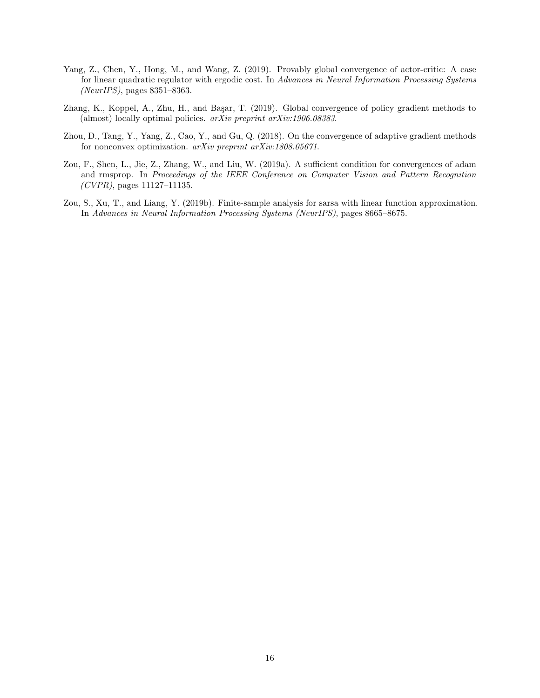- <span id="page-15-1"></span>Yang, Z., Chen, Y., Hong, M., and Wang, Z. (2019). Provably global convergence of actor-critic: A case for linear quadratic regulator with ergodic cost. In Advances in Neural Information Processing Systems (NeurIPS), pages 8351–8363.
- <span id="page-15-0"></span>Zhang, K., Koppel, A., Zhu, H., and Başar, T. (2019). Global convergence of policy gradient methods to (almost) locally optimal policies. arXiv preprint arXiv:1906.08383.
- <span id="page-15-3"></span>Zhou, D., Tang, Y., Yang, Z., Cao, Y., and Gu, Q. (2018). On the convergence of adaptive gradient methods for nonconvex optimization. arXiv preprint arXiv:1808.05671.
- <span id="page-15-2"></span>Zou, F., Shen, L., Jie, Z., Zhang, W., and Liu, W. (2019a). A sufficient condition for convergences of adam and rmsprop. In Proceedings of the IEEE Conference on Computer Vision and Pattern Recognition  $(CVPR)$ , pages 11127-11135.
- <span id="page-15-4"></span>Zou, S., Xu, T., and Liang, Y. (2019b). Finite-sample analysis for sarsa with linear function approximation. In Advances in Neural Information Processing Systems (NeurIPS), pages 8665–8675.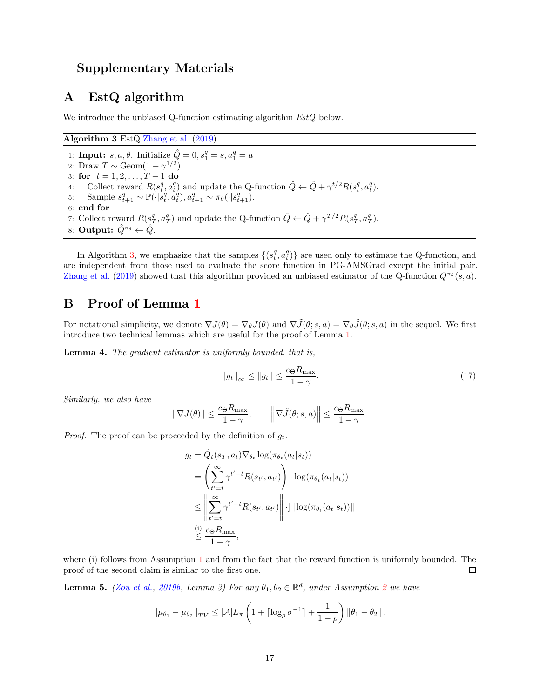### Supplementary Materials

### <span id="page-16-1"></span>A EstQ algorithm

<span id="page-16-0"></span>We introduce the unbiased Q-function estimating algorithm  $EstQ$  below.

Algorithm 3 EstQ [Zhang et al.](#page-15-0) [\(2019\)](#page-15-0)

1: **Input:**  $s, a, \theta$ . Initialize  $\hat{Q} = 0, s_1^q = s, a_1^q = a$ 2: Draw  $T \sim \text{Geom}(1-\gamma^{1/2})$ . 3: for  $t = 1, 2, \ldots, T - 1$  do<br>4: Collect reward  $R(s_t^q, a_t^q)$ 4: Collect reward  $R(s_t^q, a_t^q)$  and update the Q-function  $\hat{Q} \leftarrow \hat{Q} + \gamma^{t/2} R(s_t^q, a_t^q)$ . 5: Sample  $s_{t+1}^q$  ∼  $\mathbb{P}(\cdot | s_t^q, a_t^q), a_{t+1}^q$  ∼ π<sub>θ</sub>(·| $s_{t+1}^q$ ). 6: end for 7: Collect reward  $R(s_T^q, a_T^q)$  and update the Q-function  $\hat{Q} \leftarrow \hat{Q} + \gamma^{T/2} R(s_T^q, a_T^q)$ . 8: Output:  $\hat{Q}^{\pi_{\theta}} \leftarrow \hat{Q}$ .

In Algorithm [3,](#page-16-0) we emphasize that the samples  $\{(s_t^q, a_t^q)\}\$ are used only to estimate the Q-function, and are independent from those used to evaluate the score function in PG-AMSGrad except the initial pair. [Zhang et al.](#page-15-0) [\(2019\)](#page-15-0) showed that this algorithm provided an unbiased estimator of the Q-function  $Q^{\pi_{\theta}}(s, a)$ .

### B Proof of Lemma [1](#page-5-2)

<span id="page-16-3"></span>For notational simplicity, we denote  $\nabla J(\theta) = \nabla_{\theta} J(\theta)$  and  $\nabla \tilde{J}(\theta; s, a) = \nabla_{\theta} \tilde{J}(\theta; s, a)$  in the sequel. We first introduce two technical lemmas which are useful for the proof of Lemma [1.](#page-5-2)

Lemma 4. The gradient estimator is uniformly bounded, that is,

$$
\|g_t\|_{\infty} \le \|g_t\| \le \frac{c_{\Theta} R_{\max}}{1 - \gamma}.
$$
\n(17)

Similarly, we also have

$$
\|\nabla J(\theta)\| \le \frac{c_{\Theta} R_{\max}}{1 - \gamma}; \qquad \left\|\nabla \tilde{J}(\theta; s, a)\right\| \le \frac{c_{\Theta} R_{\max}}{1 - \gamma}.
$$

*Proof.* The proof can be proceeded by the definition of  $g_t$ .

$$
g_t = \hat{Q}_t(s_T, a_t) \nabla_{\theta_t} \log(\pi_{\theta_t}(a_t|s_t))
$$
  
\n
$$
= \left(\sum_{t'=t}^{\infty} \gamma^{t'-t} R(s_{t'}, a_{t'})\right) \cdot \log(\pi_{\theta_t}(a_t|s_t))
$$
  
\n
$$
\leq \left\|\sum_{t'=t}^{\infty} \gamma^{t'-t} R(s_{t'}, a_{t'})\right\| \cdot \|\log(\pi_{\theta_t}(a_t|s_t))\|
$$
  
\n
$$
\leq \frac{c_{\Theta} R_{\max}}{1 - \gamma},
$$

where (i) follows from Assumption [1](#page-4-2) and from the fact that the reward function is uniformly bounded. The proof of the second claim is similar to the first one.  $\Box$ 

<span id="page-16-2"></span>**Lemma 5.** [\(Zou et al.,](#page-15-4) [2019b](#page-15-4), Lemma 3) For any  $\theta_1, \theta_2 \in \mathbb{R}^d$  $\theta_1, \theta_2 \in \mathbb{R}^d$  $\theta_1, \theta_2 \in \mathbb{R}^d$ , under Assumption 2 we have

$$
\|\mu_{\theta_1}-\mu_{\theta_2}\|_{TV}\leq |\mathcal{A}|L_{\pi}\left(1+\lceil \log_{\rho}\sigma^{-1}\rceil+\frac{1}{1-\rho}\right)\|\theta_1-\theta_2\|.
$$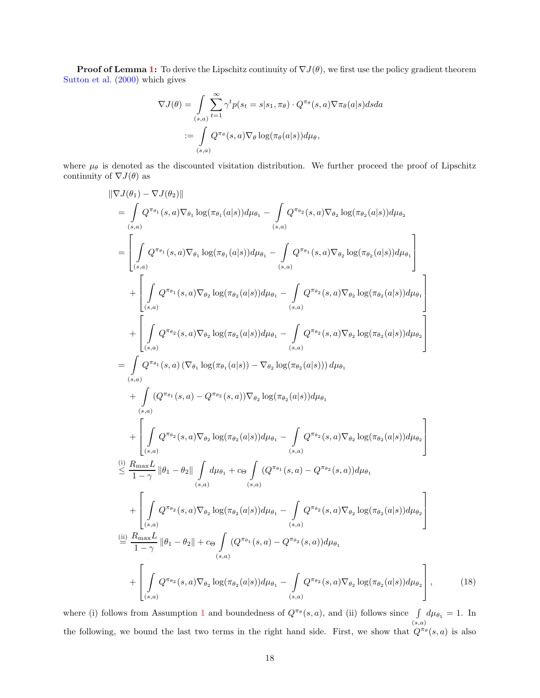**Proof of Lemma [1:](#page-5-2)** To derive the Lipschitz continuity of  $\nabla J(\theta)$ , we first use the policy gradient theorem [Sutton et al.](#page-14-0) [\(2000\)](#page-14-0) which gives

$$
\nabla J(\theta) = \int_{(s,a)} \sum_{t=1}^{\infty} \gamma^t p(s_t = s | s_1, \pi_\theta) \cdot Q^{\pi_\theta}(s, a) \nabla \pi_\theta(a|s) ds da
$$
  

$$
:= \int_{(s,a)} Q^{\pi_\theta}(s, a) \nabla_\theta \log(\pi_\theta(a|s)) d\mu_\theta,
$$

where  $\mu_{\theta}$  is denoted as the discounted visitation distribution. We further proceed the proof of Lipschitz continuity of  $\nabla J(\theta)$  as

$$
\|\nabla J(\theta_{1}) - \nabla J(\theta_{2})\|
$$
\n
$$
= \int Q^{\pi_{\theta_{1}}}(s, a) \nabla_{\theta_{1}} \log(\pi_{\theta_{1}}(a|s)) d\mu_{\theta_{1}} - \int Q^{\pi_{\theta_{2}}}(s, a) \nabla_{\theta_{2}} \log(\pi_{\theta_{2}}(a|s)) d\mu_{\theta_{2}}\n\\ = \left[ \int Q^{\pi_{\theta_{1}}}(s, a) \nabla_{\theta_{1}} \log(\pi_{\theta_{1}}(a|s)) d\mu_{\theta_{1}} - \int Q^{\pi_{\theta_{1}}}(s, a) \nabla_{\theta_{2}} \log(\pi_{\theta_{2}}(a|s)) d\mu_{\theta_{1}} \right] \right.\\ + \left. \left[ \int Q^{\pi_{\theta_{1}}}(s, a) \nabla_{\theta_{2}} \log(\pi_{\theta_{2}}(a|s)) d\mu_{\theta_{1}} - \int Q^{\pi_{\theta_{2}}}(s, a) \nabla_{\theta_{2}} \log(\pi_{\theta_{2}}(a|s)) d\mu_{\theta_{1}} \right] \right] \right.\\ + \left. \left[ \int Q^{\pi_{\theta_{2}}}(s, a) \nabla_{\theta_{2}} \log(\pi_{\theta_{2}}(a|s)) d\mu_{\theta_{1}} - \int Q^{\pi_{\theta_{2}}}(s, a) \nabla_{\theta_{2}} \log(\pi_{\theta_{2}}(a|s)) d\mu_{\theta_{2}} \right] \right]
$$
\n
$$
= \int Q^{\pi_{\theta_{1}}}(s, a) (\nabla_{\theta_{1}} \log(\pi_{\theta_{1}}(a|s)) - \nabla_{\theta_{2}} \log(\pi_{\theta_{2}}(a|s))) d\mu_{\theta_{1}}
$$
\n
$$
+ \left[ \int Q^{\pi_{\theta_{1}}}(s, a) \nabla_{\theta_{1}} \log(\pi_{\theta_{1}}(a|s)) - \nabla_{\theta_{2}} \log(\pi_{\theta_{2}}(a|s))) d\mu_{\theta_{1}} \right]
$$
\n
$$
+ \left[ \int Q^{\pi_{\theta_{2}}}(s, a) \nabla_{\theta_{2}} \log(\pi_{\theta_{2}}(a|s)) d\mu_{\theta_{1}} - \int Q^{\pi_{\theta_{2}}}(s, a) \nabla_{\theta
$$

<span id="page-17-0"></span>where (i) follows from Assumption [1](#page-4-2) and boundedness of  $Q^{\pi_{\theta}}(s, a)$ , and (ii) follows since  $\int$  $(s,a)$  $d\mu_{\theta_1} = 1$ . In the following, we bound the last two terms in the right hand side. First, we show that  $Q^{\pi_{\theta}}(s, a)$  is also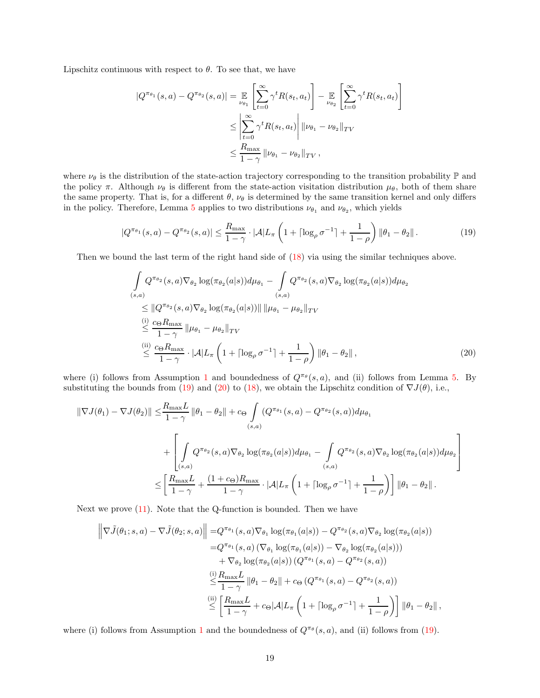Lipschitz continuous with respect to  $\theta$ . To see that, we have

$$
|Q^{\pi_{\theta_1}}(s, a) - Q^{\pi_{\theta_2}}(s, a)| = \mathbb{E}_{\nu_{\theta_1}} \left[ \sum_{t=0}^{\infty} \gamma^t R(s_t, a_t) \right] - \mathbb{E}_{\nu_{\theta_2}} \left[ \sum_{t=0}^{\infty} \gamma^t R(s_t, a_t) \right]
$$
  

$$
\leq \left| \sum_{t=0}^{\infty} \gamma^t R(s_t, a_t) \right| ||\nu_{\theta_1} - \nu_{\theta_2}||_{TV}
$$
  

$$
\leq \frac{R_{\max}}{1 - \gamma} ||\nu_{\theta_1} - \nu_{\theta_2}||_{TV},
$$

where  $\nu_{\theta}$  is the distribution of the state-action trajectory corresponding to the transition probability  $\mathbb{P}$  and the policy  $\pi$ . Although  $\nu_{\theta}$  is different from the state-action visitation distribution  $\mu_{\theta}$ , both of them share the same property. That is, for a different  $\theta$ ,  $\nu_{\theta}$  is determined by the same transition kernel and only differs in the policy. Therefore, Lemma [5](#page-16-2) applies to two distributions  $\nu_{\theta_1}$  and  $\nu_{\theta_2}$ , which yields

<span id="page-18-0"></span>
$$
|Q^{\pi_{\theta_1}}(s, a) - Q^{\pi_{\theta_2}}(s, a)| \le \frac{R_{\max}}{1 - \gamma} \cdot |\mathcal{A}| L_{\pi} \left(1 + \lceil \log_{\rho} \sigma^{-1} \rceil + \frac{1}{1 - \rho} \right) \|\theta_1 - \theta_2\|.
$$
 (19)

Then we bound the last term of the right hand side of  $(18)$  via using the similar techniques above.

<span id="page-18-1"></span>
$$
\int_{(s,a)} Q^{\pi_{\theta_2}}(s, a) \nabla_{\theta_2} \log(\pi_{\theta_2}(a|s)) d\mu_{\theta_1} - \int_{(s,a)} Q^{\pi_{\theta_2}}(s, a) \nabla_{\theta_2} \log(\pi_{\theta_2}(a|s)) d\mu_{\theta_2}
$$
\n
$$
\leq ||Q^{\pi_{\theta_2}}(s, a) \nabla_{\theta_2} \log(\pi_{\theta_2}(a|s))|| ||\mu_{\theta_1} - \mu_{\theta_2}||_{TV}
$$
\n
$$
\leq \frac{\sum_{i=1}^{n} C_i}{1-\gamma} ||\mu_{\theta_1} - \mu_{\theta_2}||_{TV}
$$
\n
$$
\leq \frac{\sum_{i=1}^{n} C_i}{1-\gamma} \cdot |\mathcal{A}| L_{\pi} \left(1 + \left\lceil \log_{\rho} \sigma^{-1} \right\rceil + \frac{1}{1-\rho} \right) ||\theta_1 - \theta_2||,
$$
\n(20)

where (i) follows from Assumption [1](#page-4-2) and boundedness of  $Q^{\pi_{\theta}}(s, a)$ , and (ii) follows from Lemma [5.](#page-16-2) By substituting the bounds from [\(19\)](#page-18-0) and [\(20\)](#page-18-1) to [\(18\)](#page-17-0), we obtain the Lipschitz condition of  $\nabla J(\theta)$ , i.e.,

$$
\begin{split} \|\nabla J(\theta_1) - \nabla J(\theta_2)\| &\leq & \frac{R_{\max}L}{1-\gamma} \left\|\theta_1 - \theta_2\right\| + c_{\Theta} \int_{(s,a)} (Q^{\pi_{\theta_1}}(s,a) - Q^{\pi_{\theta_2}}(s,a)) d\mu_{\theta_1} \\ &+ \left[ \int_{(s,a)} Q^{\pi_{\theta_2}}(s,a) \nabla_{\theta_2} \log(\pi_{\theta_2}(a|s)) d\mu_{\theta_1} - \int_{(s,a)} Q^{\pi_{\theta_2}}(s,a) \nabla_{\theta_2} \log(\pi_{\theta_2}(a|s)) d\mu_{\theta_2} \right] \\ &\leq & \left[ \frac{R_{\max}L}{1-\gamma} + \frac{(1+c_{\Theta})R_{\max}}{1-\gamma} \cdot |\mathcal{A}| L_{\pi} \left(1 + \lceil \log_{\rho} \sigma^{-1} \rceil + \frac{1}{1-\rho} \right) \right] \|\theta_1 - \theta_2\| \, . \end{split}
$$

Next we prove  $(11)$ . Note that the Q-function is bounded. Then we have

$$
\begin{split}\n\left\|\nabla\tilde{J}(\theta_{1};s,a)-\nabla\tilde{J}(\theta_{2};s,a)\right\| &=Q^{\pi_{\theta_{1}}}(s,a)\nabla_{\theta_{1}}\log(\pi_{\theta_{1}}(a|s))-Q^{\pi_{\theta_{2}}}(s,a)\nabla_{\theta_{2}}\log(\pi_{\theta_{2}}(a|s)) \\
&=Q^{\pi_{\theta_{1}}}(s,a)\left(\nabla_{\theta_{1}}\log(\pi_{\theta_{1}}(a|s))- \nabla_{\theta_{2}}\log(\pi_{\theta_{2}}(a|s))\right) \\
&+\nabla_{\theta_{2}}\log(\pi_{\theta_{2}}(a|s))\left(Q^{\pi_{\theta_{1}}}(s,a)-Q^{\pi_{\theta_{2}}}(s,a)\right) \\
&\stackrel{\text{(i)}}{\leq} \frac{R_{\max}L}{1-\gamma}\left\|\theta_{1}-\theta_{2}\right\|+c_{\Theta}\left(Q^{\pi_{\theta_{1}}}(s,a)-Q^{\pi_{\theta_{2}}}(s,a)\right) \\
&\stackrel{\text{(ii)}}{\leq} \left[\frac{R_{\max}L}{1-\gamma}+c_{\Theta}|\mathcal{A}|L_{\pi}\left(1+\lceil\log_{\rho}\sigma^{-1}\rceil+\frac{1}{1-\rho}\right)\right]\left\|\theta_{1}-\theta_{2}\right\|, \n\end{split}
$$

where (i) follows from Assumption [1](#page-4-2) and the boundedness of  $Q^{\pi_{\theta}}(s, a)$ , and (ii) follows from [\(19\)](#page-18-0).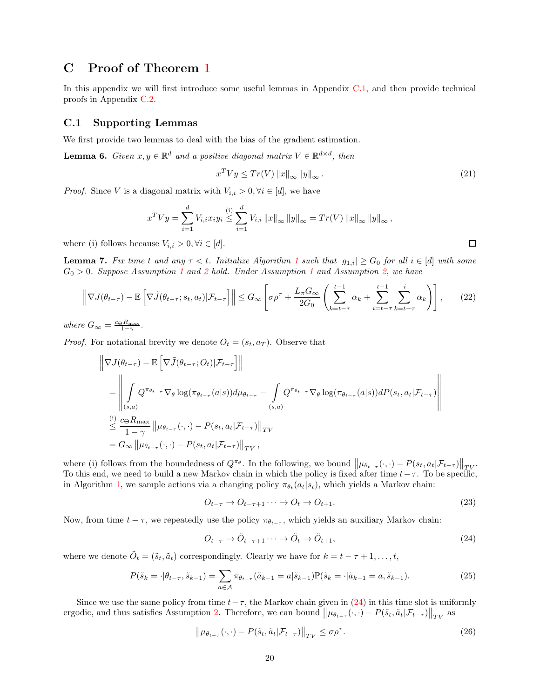### C Proof of Theorem [1](#page-5-3)

In this appendix we will first introduce some useful lemmas in Appendix [C.1,](#page-19-0) and then provide technical proofs in Appendix [C.2.](#page-23-0)

### <span id="page-19-0"></span>C.1 Supporting Lemmas

<span id="page-19-3"></span>We first provide two lemmas to deal with the bias of the gradient estimation.

**Lemma 6.** Given  $x, y \in \mathbb{R}^d$  and a positive diagonal matrix  $V \in \mathbb{R}^{d \times d}$ , then

$$
x^T V y \leq Tr(V) \|x\|_{\infty} \|y\|_{\infty}.
$$
\n(21)

 $\Box$ 

*Proof.* Since V is a diagonal matrix with  $V_{i,i} > 0, \forall i \in [d]$ , we have

$$
x^T V y = \sum_{i=1}^d V_{i,i} x_i y_i \stackrel{\text{(i)}}{\leq} \sum_{i=1}^d V_{i,i} ||x||_{\infty} ||y||_{\infty} = Tr(V) ||x||_{\infty} ||y||_{\infty},
$$

<span id="page-19-4"></span>where (i) follows because  $V_{i,i} > 0, \forall i \in [d]$ .

**Lemma 7.** Fix time t and any  $\tau < t$ . Initialize Algorithm [1](#page-4-0) such that  $|g_{1,i}| \geq G_0$  for all  $i \in [d]$  with some  $G_0 > 0$ . Suppose Assumption [1](#page-4-2) and [2](#page-5-0) hold. Under Assumption 1 and Assumption [2,](#page-5-0) we have

$$
\left\|\nabla J(\theta_{t-\tau}) - \mathbb{E}\left[\nabla \tilde{J}(\theta_{t-\tau}; s_t, a_t)|\mathcal{F}_{t-\tau}\right]\right\| \leq G_{\infty} \left[\sigma \rho^{\tau} + \frac{L_{\pi} G_{\infty}}{2G_0} \left(\sum_{k=t-\tau}^{t-1} \alpha_k + \sum_{i=t-\tau}^{t-1} \sum_{k=t-\tau}^{i} \alpha_k\right)\right],\tag{22}
$$

where  $G_{\infty} = \frac{c_{\Theta} R_{\text{max}}}{1 - \gamma}$ .

*Proof.* For notational brevity we denote  $O_t = (s_t, a_T)$ . Observe that

$$
\begin{aligned}\n\left\| \nabla J(\theta_{t-\tau}) - \mathbb{E} \left[ \nabla \tilde{J}(\theta_{t-\tau}; O_t) | \mathcal{F}_{t-\tau} \right] \right\| \\
&= \left\| \int_{(s,a)} Q^{\pi_{\theta_{t-\tau}}} \nabla_{\theta} \log(\pi_{\theta_{t-\tau}}(a|s)) d\mu_{\theta_{t-\tau}} - \int_{(s,a)} Q^{\pi_{\theta_{t-\tau}}} \nabla_{\theta} \log(\pi_{\theta_{t-\tau}}(a|s)) dP(s_t, a_t | \mathcal{F}_{t-\tau}) \right\| \\
&\leq \frac{\int_{(s,a)} Q^{\pi_{\theta_{t-\tau}}} \log R_{\max}}{1-\gamma} \left\| \mu_{\theta_{t-\tau}}(\cdot, \cdot) - P(s_t, a_t | \mathcal{F}_{t-\tau}) \right\|_{TV}, \\
&= G_{\infty} \left\| \mu_{\theta_{t-\tau}}(\cdot, \cdot) - P(s_t, a_t | \mathcal{F}_{t-\tau}) \right\|_{TV},\n\end{aligned}
$$

where (i) follows from the boundedness of  $Q^{\pi_{\theta}}$ . In the following, we bound  $\|\mu_{\theta_{t-\tau}}(\cdot,\cdot)-P(s_t, a_t|\mathcal{F}_{t-\tau})\|_{TV}$ . To this end, we need to build a new Markov chain in which the policy is fixed after time  $t-\tau$ . To be specific, in Algorithm [1,](#page-4-0) we sample actions via a changing policy  $\pi_{\theta_t}(a_t|s_t)$ , which yields a Markov chain:

$$
O_{t-\tau} \to O_{t-\tau+1} \cdots \to O_t \to O_{t+1}.\tag{23}
$$

Now, from time  $t - \tau$ , we repeatedly use the policy  $\pi_{\theta_{t-\tau}}$ , which yields an auxiliary Markov chain:

<span id="page-19-1"></span>
$$
O_{t-\tau} \to \tilde{O}_{t-\tau+1} \cdots \to \tilde{O}_t \to \tilde{O}_{t+1},\tag{24}
$$

where we denote  $\tilde{O}_t = (\tilde{s}_t, \tilde{a}_t)$  correspondingly. Clearly we have for  $k = t - \tau + 1, \ldots, t$ ,

$$
P(\tilde{s}_k = \cdot | \theta_{t-\tau}, \tilde{s}_{k-1}) = \sum_{a \in \mathcal{A}} \pi_{\theta_{t-\tau}}(\tilde{a}_{k-1} = a | \tilde{s}_{k-1}) \mathbb{P}(\tilde{s}_k = \cdot | \tilde{a}_{k-1} = a, \tilde{s}_{k-1}).
$$
\n(25)

Since we use the same policy from time  $t-\tau$ , the Markov chain given in [\(24\)](#page-19-1) in this time slot is uniformly ergodic, and thus satisfies Assumption [2.](#page-5-0) Therefore, we can bound  $\|\mu_{\theta_{t-\tau}}(\cdot,\cdot)-P(\tilde{s}_t,\tilde{a}_t|\mathcal{F}_{t-\tau})\|_{TV}$  as

<span id="page-19-2"></span>
$$
\left\|\mu_{\theta_{t-\tau}}(\cdot,\cdot)-P(\tilde{s}_t,\tilde{a}_t|\mathcal{F}_{t-\tau})\right\|_{TV}\leq \sigma\rho^{\tau}.
$$
\n(26)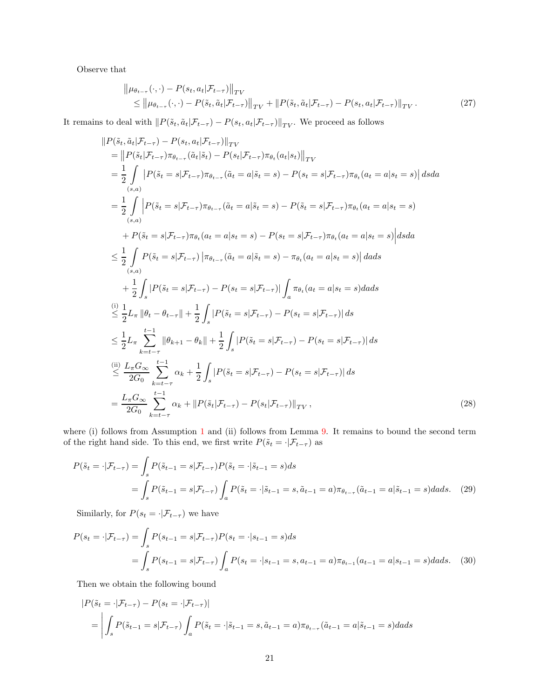Observe that

<span id="page-20-1"></span>
$$
\|\mu_{\theta_{t-\tau}}(\cdot,\cdot)-P(s_t, a_t|\mathcal{F}_{t-\tau})\|_{TV} \leq \|\mu_{\theta_{t-\tau}}(\cdot,\cdot)-P(\tilde{s}_t, \tilde{a}_t|\mathcal{F}_{t-\tau})\|_{TV} + \|P(\tilde{s}_t, \tilde{a}_t|\mathcal{F}_{t-\tau})-P(s_t, a_t|\mathcal{F}_{t-\tau})\|_{TV}.
$$
\n(27)

It remains to deal with  $\|P(\tilde{s}_t, \tilde{a}_t|\mathcal{F}_{t-\tau}) - P(s_t, a_t|\mathcal{F}_{t-\tau})\|_{TV}.$  We proceed as follows

$$
\|P(\tilde{s}_{t}, \tilde{a}_{t} | \mathcal{F}_{t-\tau}) - P(s_{t}, a_{t} | \mathcal{F}_{t-\tau})\|_{TV} \n= \|P(\tilde{s}_{t} | \mathcal{F}_{t-\tau}) \pi_{\theta_{t-\tau}}(\tilde{a}_{t} | \tilde{s}_{t}) - P(s_{t} | \mathcal{F}_{t-\tau}) \pi_{\theta_{t}}(a_{t} | s_{t})\|_{TV} \n= \frac{1}{2} \int_{s} |P(\tilde{s}_{t} = s | \mathcal{F}_{t-\tau}) \pi_{\theta_{t-\tau}}(\tilde{a}_{t} = a | \tilde{s}_{t} = s) - P(s_{t} = s | \mathcal{F}_{t-\tau}) \pi_{\theta_{t}}(a_{t} = a | s_{t} = s) | dsda \n= \frac{1}{2} \int_{(s,a)} |P(\tilde{s}_{t} = s | \mathcal{F}_{t-\tau}) \pi_{\theta_{t-\tau}}(\tilde{a}_{t} = a | \tilde{s}_{t} = s) - P(\tilde{s}_{t} = s | \mathcal{F}_{t-\tau}) \pi_{\theta_{t}}(a_{t} = a | s_{t} = s) \n+ P(\tilde{s}_{t} = s | \mathcal{F}_{t-\tau}) \pi_{\theta_{t}}(a_{t} = a | s_{t} = s) - P(s_{t} = s | \mathcal{F}_{t-\tau}) \pi_{\theta_{t}}(a_{t} = a | s_{t} = s) | dsda \n\leq \frac{1}{2} \int_{(s,a)} P(\tilde{s}_{t} = s | \mathcal{F}_{t-\tau}) | \pi_{\theta_{t-\tau}}(\tilde{a}_{t} = a | \tilde{s}_{t} = s) - \pi_{\theta_{t}}(a_{t} = a | s_{t} = s) | dsds \n+ \frac{1}{2} \int_{s} |P(\tilde{s}_{t} = s | \mathcal{F}_{t-\tau}) - P(s_{t} = s | \mathcal{F}_{t-\tau})| \int_{a} \pi_{\theta_{t}}(a_{t} = a | s_{t} = s) dads \n\leq \frac{1}{2} L_{\pi} ||\theta_{t} - \theta_{t-\tau}|| + \frac{1}{2} \int_{s} |P(\tilde{s}_{t} = s | \mathcal{F}_{t-\tau}) - P(s_{t} = s | \mathcal{F}_{t-\tau})| ds \n\leq \
$$

where (i) follows from Assumption [1](#page-4-2) and (ii) follows from Lemma [9.](#page-22-0) It remains to bound the second term of the right hand side. To this end, we first write  $P(\tilde{s}_t = \cdot | \mathcal{F}_{t-\tau})$  as

<span id="page-20-0"></span>
$$
P(\tilde{s}_t = \cdot | \mathcal{F}_{t-\tau}) = \int_s P(\tilde{s}_{t-1} = s | \mathcal{F}_{t-\tau}) P(\tilde{s}_t = \cdot | \tilde{s}_{t-1} = s) ds
$$
  
= 
$$
\int_s P(\tilde{s}_{t-1} = s | \mathcal{F}_{t-\tau}) \int_a P(\tilde{s}_t = \cdot | \tilde{s}_{t-1} = s, \tilde{a}_{t-1} = a) \pi_{\theta_{t-\tau}}(\tilde{a}_{t-1} = a | \tilde{s}_{t-1} = s) dads.
$$
 (29)

Similarly, for  $P(s_t = \cdot | \mathcal{F}_{t-\tau})$  we have

$$
P(s_t = \cdot | \mathcal{F}_{t-\tau}) = \int_s P(s_{t-1} = s | \mathcal{F}_{t-\tau}) P(s_t = \cdot | s_{t-1} = s) ds
$$
  
= 
$$
\int_s P(s_{t-1} = s | \mathcal{F}_{t-\tau}) \int_a P(s_t = \cdot | s_{t-1} = s, a_{t-1} = a) \pi_{\theta_{t-1}} (a_{t-1} = a | s_{t-1} = s) dads.
$$
 (30)

Then we obtain the following bound

$$
|P(\tilde{s}_t = \cdot | \mathcal{F}_{t-\tau}) - P(s_t = \cdot | \mathcal{F}_{t-\tau})|
$$
  
= 
$$
\left| \int_s P(\tilde{s}_{t-1} = s | \mathcal{F}_{t-\tau}) \int_a P(\tilde{s}_t = \cdot | \tilde{s}_{t-1} = s, \tilde{a}_{t-1} = a) \pi_{\theta_{t-\tau}}(\tilde{a}_{t-1} = a | \tilde{s}_{t-1} = s) dads \right|
$$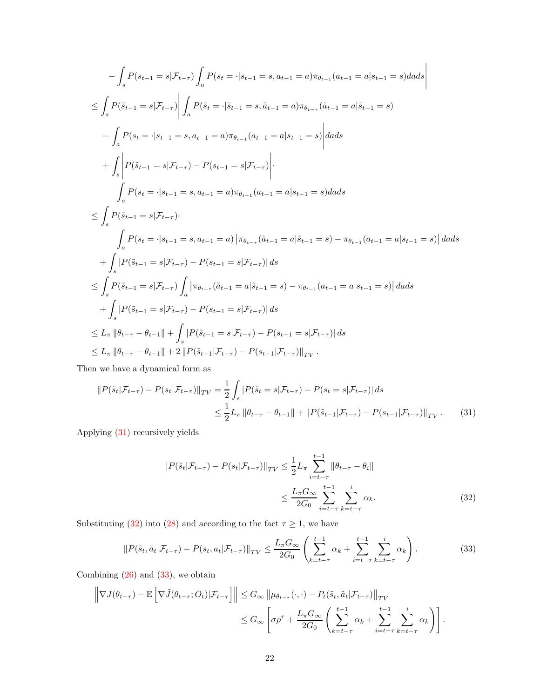$$
-\int_{s} P(s_{t-1} = s | \mathcal{F}_{t-\tau}) \int_{a} P(s_{t} = \cdot | s_{t-1} = s, a_{t-1} = a) \pi_{\theta_{t-1}}(a_{t-1} = a | s_{t-1} = s) dads
$$
  
\n
$$
\leq \int_{s} P(\tilde{s}_{t-1} = s | \mathcal{F}_{t-\tau}) \Big| \int_{a} P(\tilde{s}_{t} = \cdot | \tilde{s}_{t-1} = s, \tilde{a}_{t-1} = a) \pi_{\theta_{t-\tau}}(\tilde{a}_{t-1} = a | \tilde{s}_{t-1} = s)
$$
  
\n
$$
-\int_{a} P(s_{t} = \cdot | s_{t-1} = s, a_{t-1} = a) \pi_{\theta_{t-1}}(a_{t-1} = a | s_{t-1} = s) \Big| dads
$$
  
\n
$$
+\int_{s} \Big| P(\tilde{s}_{t-1} = s | \mathcal{F}_{t-\tau}) - P(s_{t-1} = s | \mathcal{F}_{t-\tau}) \Big|.
$$
  
\n
$$
\int_{a} P(s_{t} = \cdot | s_{t-1} = s, a_{t-1} = a) \pi_{\theta_{t-1}}(a_{t-1} = a | s_{t-1} = s) dads
$$
  
\n
$$
\leq \int_{s} P(\tilde{s}_{t-1} = s | \mathcal{F}_{t-\tau}).
$$
  
\n
$$
\int_{a} P(s_{t} = \cdot | s_{t-1} = s, a_{t-1} = a) | \pi_{\theta_{t-\tau}}(\tilde{a}_{t-1} = a | \tilde{s}_{t-1} = s) - \pi_{\theta_{t-1}}(a_{t-1} = a | s_{t-1} = s) | dads
$$
  
\n
$$
+\int_{s} |P(\tilde{s}_{t-1} = s | \mathcal{F}_{t-\tau}) - P(s_{t-1} = s | \mathcal{F}_{t-\tau}) | ds
$$
  
\n
$$
\leq \int_{s} P(\tilde{s}_{t-1} = s | \mathcal{F}_{t-\tau}) \int_{a} |\pi_{\theta_{t-\tau}}(\tilde{a}_{t-1} = a | \tilde{s}_{t-1} = s) - \pi_{\theta_{t-1}}(a_{t-1} = a | s_{t-1} = s) |
$$

Then we have a dynamical form as

$$
||P(\tilde{s}_t|\mathcal{F}_{t-\tau}) - P(s_t|\mathcal{F}_{t-\tau})||_{TV} = \frac{1}{2} \int_s |P(\tilde{s}_t = s|\mathcal{F}_{t-\tau}) - P(s_t = s|\mathcal{F}_{t-\tau})| ds
$$
  

$$
\leq \frac{1}{2} L_{\pi} ||\theta_{t-\tau} - \theta_{t-1}|| + ||P(\tilde{s}_{t-1}|\mathcal{F}_{t-\tau}) - P(s_{t-1}|\mathcal{F}_{t-\tau})||_{TV}. \tag{31}
$$

Applying [\(31\)](#page-21-0) recursively yields

<span id="page-21-1"></span><span id="page-21-0"></span>
$$
||P(\tilde{s}_t|\mathcal{F}_{t-\tau}) - P(s_t|\mathcal{F}_{t-\tau})||_{TV} \le \frac{1}{2}L_{\pi} \sum_{i=t-\tau}^{t-1} ||\theta_{t-\tau} - \theta_i||
$$
  

$$
\le \frac{L_{\pi}G_{\infty}}{2G_0} \sum_{i=t-\tau}^{t-1} \sum_{k=t-\tau}^{i} \alpha_k.
$$
 (32)

Substituting [\(32\)](#page-21-1) into [\(28\)](#page-20-0) and according to the fact  $\tau \geq 1$ , we have

<span id="page-21-2"></span>
$$
||P(\tilde{s}_t, \tilde{a}_t | \mathcal{F}_{t-\tau}) - P(s_t, a_t | \mathcal{F}_{t-\tau})||_{TV} \le \frac{L_{\pi} G_{\infty}}{2G_0} \left( \sum_{k=t-\tau}^{t-1} \alpha_k + \sum_{i=t-\tau}^{t-1} \sum_{k=t-\tau}^{i} \alpha_k \right). \tag{33}
$$

Combining [\(26\)](#page-19-2) and [\(33\)](#page-21-2), we obtain

$$
\left\| \nabla J(\theta_{t-\tau}) - \mathbb{E} \left[ \nabla \tilde{J}(\theta_{t-\tau}; O_t) | \mathcal{F}_{t-\tau} \right] \right\| \leq G_{\infty} \left\| \mu_{\theta_{t-\tau}}(\cdot, \cdot) - P_t(\tilde{s}_t, \tilde{a}_t | \mathcal{F}_{t-\tau}) \right\|_{TV} \n\leq G_{\infty} \left[ \sigma \rho^{\tau} + \frac{L_{\pi} G_{\infty}}{2G_0} \left( \sum_{k=t-\tau}^{t-1} \alpha_k + \sum_{i=t-\tau}^{t-1} \sum_{k=t-\tau}^{i} \alpha_k \right) \right].
$$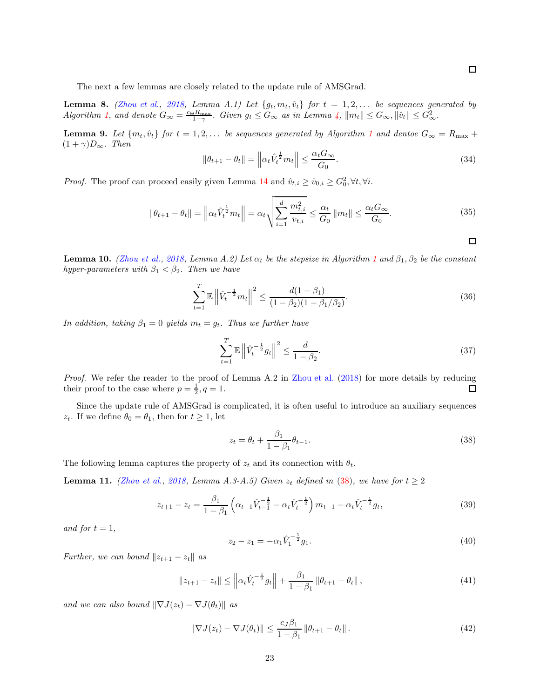$\Box$ 

 $\Box$ 

<span id="page-22-2"></span>The next a few lemmas are closely related to the update rule of AMSGrad.

**Lemma 8.** [\(Zhou et al.](#page-15-3), [2018,](#page-15-3) Lemma A.1) Let  $\{g_t, m_t, \hat{v}_t\}$  for  $t = 1, 2, \ldots$  be sequences generated by Algorithm [1,](#page-4-0) and denote  $G_{\infty} = \frac{c_{\Theta} R_{\text{max}}}{1-\gamma}$ . Given  $g_t \leq G_{\infty}$  as in Lemma [4,](#page-16-3)  $||m_t|| \leq G_{\infty}$ ,  $||\hat{v}_t|| \leq G_{\infty}^2$ .

<span id="page-22-0"></span>**Lemma 9.** Let  $\{m_t, \hat{v}_t\}$  for  $t = 1, 2, \ldots$  $t = 1, 2, \ldots$  $t = 1, 2, \ldots$  be sequences generated by Algorithm 1 and dentoe  $G_{\infty} = R_{\max}$  +  $(1 + \gamma)D_{\infty}$ . Then

$$
\|\theta_{t+1} - \theta_t\| = \left\|\alpha_t \hat{V}_t^{\frac{1}{2}} m_t\right\| \le \frac{\alpha_t G_{\infty}}{G_0}.
$$
\n(34)

*Proof.* The proof can proceed easily given Lemma [14](#page-34-0) and  $\hat{v}_{t,i} \geq \hat{v}_{0,i} \geq G_0^2, \forall t, \forall i$ .

$$
\|\theta_{t+1} - \theta_t\| = \left\|\alpha_t \hat{V}_t^{\frac{1}{2}} m_t\right\| = \alpha_t \sqrt{\sum_{i=1}^d \frac{m_{t,i}^2}{v_{t,i}}} \le \frac{\alpha_t}{G_0} \left\|m_t\right\| \le \frac{\alpha_t G_\infty}{G_0}.
$$
 (35)

<span id="page-22-4"></span>**Lemma [1](#page-4-0)0.** [\(Zhou et al.](#page-15-3), [2018](#page-15-3), Lemma A.2) Let  $\alpha_t$  be the stepsize in Algorithm 1 and  $\beta_1, \beta_2$  be the constant hyper-parameters with  $\beta_1 < \beta_2$ . Then we have

$$
\sum_{t=1}^{T} \mathbb{E} \left\| \hat{V}_t^{-\frac{1}{2}} m_t \right\|^2 \le \frac{d(1-\beta_1)}{(1-\beta_2)(1-\beta_1/\beta_2)}.
$$
\n(36)

In addition, taking  $\beta_1 = 0$  yields  $m_t = g_t$ . Thus we further have

$$
\sum_{t=1}^{T} \mathbb{E} \left\| \hat{V}_t^{-\frac{1}{2}} g_t \right\|^2 \le \frac{d}{1 - \beta_2}.
$$
\n(37)

Proof. We refer the reader to the proof of Lemma A.2 in [Zhou et al.](#page-15-3) [\(2018\)](#page-15-3) for more details by reducing their proof to the case where  $p = \frac{1}{2}, q = 1$ .  $\Box$ 

Since the update rule of AMSGrad is complicated, it is often useful to introduce an auxiliary sequences  $z_t$ . If we define  $\theta_0 = \theta_1$ , then for  $t \geq 1$ , let

<span id="page-22-1"></span>
$$
z_t = \theta_t + \frac{\beta_1}{1 - \beta_1} \theta_{t-1}.
$$
\n
$$
(38)
$$

<span id="page-22-3"></span>The following lemma captures the property of  $z_t$  and its connection with  $\theta_t$ .

**Lemma 11.** [\(Zhou et al.,](#page-15-3) [2018](#page-15-3), Lemma A.3-A.5) Given  $z_t$  defined in [\(38\)](#page-22-1), we have for  $t \geq 2$ 

$$
z_{t+1} - z_t = \frac{\beta_1}{1 - \beta_1} \left( \alpha_{t-1} \hat{V}_{t-1}^{-\frac{1}{2}} - \alpha_t \hat{V}_t^{-\frac{1}{2}} \right) m_{t-1} - \alpha_t \hat{V}_t^{-\frac{1}{2}} g_t,
$$
\n(39)

and for  $t = 1$ ,

$$
z_2 - z_1 = -\alpha_1 \hat{V}_1^{-\frac{1}{2}} g_1.
$$
\n<sup>(40)</sup>

Further, we can bound  $||z_{t+1} - z_t||$  as

$$
||z_{t+1} - z_t|| \le ||\alpha_t \hat{V}_t^{-\frac{1}{2}} g_t|| + \frac{\beta_1}{1 - \beta_1} ||\theta_{t+1} - \theta_t||,
$$
\n(41)

and we can also bound  $\|\nabla J(z_t) - \nabla J(\theta_t)\|$  as

$$
\|\nabla J(z_t) - \nabla J(\theta_t)\| \le \frac{c_J \beta_1}{1 - \beta_1} \|\theta_{t+1} - \theta_t\|.
$$
 (42)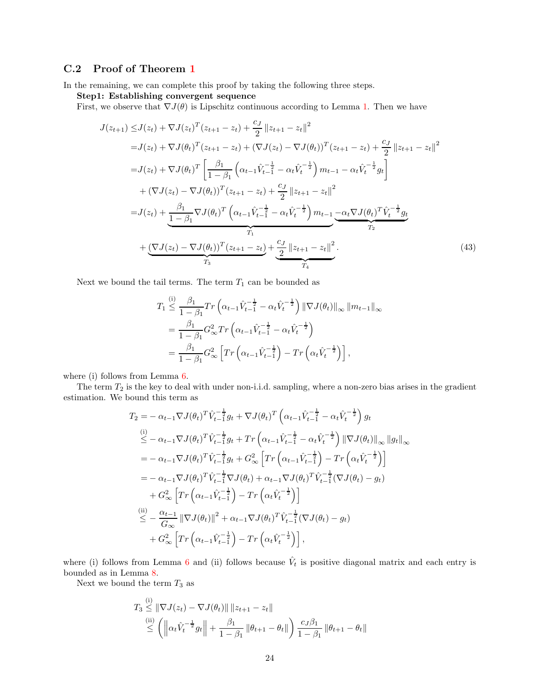### <span id="page-23-0"></span>C.2 Proof of Theorem [1](#page-5-3)

In the remaining, we can complete this proof by taking the following three steps.

Step1: Establishing convergent sequence

First, we observe that  $\nabla J(\theta)$  is Lipschitz continuous according to Lemma [1.](#page-5-2) Then we have

$$
J(z_{t+1}) \leq J(z_t) + \nabla J(z_t)^T (z_{t+1} - z_t) + \frac{c_J}{2} ||z_{t+1} - z_t||^2
$$
  
\n
$$
= J(z_t) + \nabla J(\theta_t)^T (z_{t+1} - z_t) + (\nabla J(z_t) - \nabla J(\theta_t))^T (z_{t+1} - z_t) + \frac{c_J}{2} ||z_{t+1} - z_t||^2
$$
  
\n
$$
= J(z_t) + \nabla J(\theta_t)^T \left[ \frac{\beta_1}{1 - \beta_1} \left( \alpha_{t-1} \hat{V}_{t-1}^{-\frac{1}{2}} - \alpha_t \hat{V}_t^{-\frac{1}{2}} \right) m_{t-1} - \alpha_t \hat{V}_t^{-\frac{1}{2}} g_t \right]
$$
  
\n
$$
+ (\nabla J(z_t) - \nabla J(\theta_t))^T (z_{t+1} - z_t) + \frac{c_J}{2} ||z_{t+1} - z_t||^2
$$
  
\n
$$
= J(z_t) + \frac{\beta_1}{1 - \beta_1} \nabla J(\theta_t)^T \left( \alpha_{t-1} \hat{V}_{t-1}^{-\frac{1}{2}} - \alpha_t \hat{V}_t^{-\frac{1}{2}} \right) m_{t-1} - \frac{\alpha_t \nabla J(\theta_t)^T \hat{V}_t^{-\frac{1}{2}} g_t}{\hat{Y}_2}
$$
  
\n
$$
+ \underbrace{(\nabla J(z_t) - \nabla J(\theta_t))^T (z_{t+1} - z_t)}_{T_3} + \underbrace{\frac{c_J}{2} ||z_{t+1} - z_t||^2}_{T_4}.
$$
\n(43)

Next we bound the tail terms. The term  $T_1$  can be bounded as

<span id="page-23-1"></span>
$$
T_1 \stackrel{\text{(i)}}{\leq} \frac{\beta_1}{1 - \beta_1} Tr \left( \alpha_{t-1} \hat{V}_{t-1}^{-\frac{1}{2}} - \alpha_t \hat{V}_t^{-\frac{1}{2}} \right) \|\nabla J(\theta_t)\|_{\infty} \|m_{t-1}\|_{\infty}
$$
  
\n
$$
= \frac{\beta_1}{1 - \beta_1} G_{\infty}^2 Tr \left( \alpha_{t-1} \hat{V}_{t-1}^{-\frac{1}{2}} - \alpha_t \hat{V}_t^{-\frac{1}{2}} \right)
$$
  
\n
$$
= \frac{\beta_1}{1 - \beta_1} G_{\infty}^2 \left[ Tr \left( \alpha_{t-1} \hat{V}_{t-1}^{-\frac{1}{2}} \right) - Tr \left( \alpha_t \hat{V}_t^{-\frac{1}{2}} \right) \right],
$$

where (i) follows from Lemma [6.](#page-19-3)

The term  $T_2$  is the key to deal with under non-i.i.d. sampling, where a non-zero bias arises in the gradient estimation. We bound this term as

$$
T_2 = -\alpha_{t-1} \nabla J(\theta_t)^T \hat{V}_{t-1}^{-\frac{1}{2}} g_t + \nabla J(\theta_t)^T \left( \alpha_{t-1} \hat{V}_{t-1}^{-\frac{1}{2}} - \alpha_t \hat{V}_t^{-\frac{1}{2}} \right) g_t
$$
  
\n
$$
\stackrel{(i)}{\leq} -\alpha_{t-1} \nabla J(\theta_t)^T \hat{V}_{t-1}^{-\frac{1}{2}} g_t + Tr \left( \alpha_{t-1} \hat{V}_{t-1}^{-\frac{1}{2}} - \alpha_t \hat{V}_t^{-\frac{1}{2}} \right) \| \nabla J(\theta_t) \|_{\infty} \| g_t \|_{\infty}
$$
  
\n
$$
= -\alpha_{t-1} \nabla J(\theta_t)^T \hat{V}_{t-1}^{-\frac{1}{2}} g_t + G_{\infty}^2 \left[ Tr \left( \alpha_{t-1} \hat{V}_{t-1}^{-\frac{1}{2}} \right) - Tr \left( \alpha_t \hat{V}_t^{-\frac{1}{2}} \right) \right]
$$
  
\n
$$
= -\alpha_{t-1} \nabla J(\theta_t)^T \hat{V}_{t-1}^{-\frac{1}{2}} \nabla J(\theta_t) + \alpha_{t-1} \nabla J(\theta_t)^T \hat{V}_{t-1}^{-\frac{1}{2}} (\nabla J(\theta_t) - g_t)
$$
  
\n
$$
+ G_{\infty}^2 \left[ Tr \left( \alpha_{t-1} \hat{V}_{t-1}^{-\frac{1}{2}} \right) - Tr \left( \alpha_t \hat{V}_t^{-\frac{1}{2}} \right) \right]
$$
  
\n
$$
\stackrel{(ii)}{\leq} -\frac{\alpha_{t-1}}{G_{\infty}} || \nabla J(\theta_t) ||^2 + \alpha_{t-1} \nabla J(\theta_t)^T \hat{V}_{t-1}^{-\frac{1}{2}} (\nabla J(\theta_t) - g_t)
$$
  
\n
$$
+ G_{\infty}^2 \left[ Tr \left( \alpha_{t-1} \hat{V}_{t-1}^{-\frac{1}{2}} \right) - Tr \left( \alpha_t \hat{V}_t^{-\frac{1}{2}} \right) \right],
$$

where (i) follows from Lemma [6](#page-19-3) and (ii) follows because  $\hat{V}_t$  is positive diagonal matrix and each entry is bounded as in Lemma [8.](#page-22-2)

Next we bound the term  $T_3$  as

$$
T_3 \leq \|\nabla J(z_t) - \nabla J(\theta_t)\| \|z_{t+1} - z_t\|
$$
  

$$
\leq \left( \left\| \alpha_t \hat{V}_t^{-\frac{1}{2}} g_t \right\| + \frac{\beta_1}{1 - \beta_1} \left\| \theta_{t+1} - \theta_t \right\| \right) \frac{c_J \beta_1}{1 - \beta_1} \left\| \theta_{t+1} - \theta_t \right\|
$$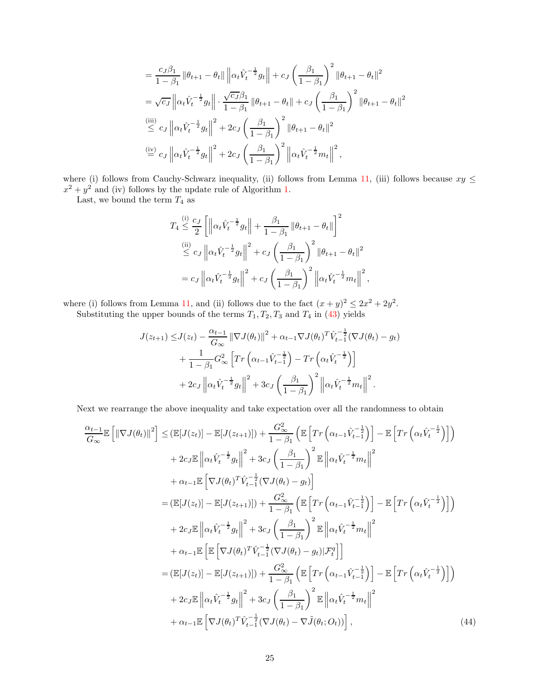$$
= \frac{c_J \beta_1}{1 - \beta_1} \|\theta_{t+1} - \theta_t\| \|\alpha_t \hat{V}_t^{-\frac{1}{2}} g_t\| + c_J \left(\frac{\beta_1}{1 - \beta_1}\right)^2 \|\theta_{t+1} - \theta_t\|^2
$$
  
\n
$$
= \sqrt{c_J} \|\alpha_t \hat{V}_t^{-\frac{1}{2}} g_t\| \cdot \frac{\sqrt{c_J} \beta_1}{1 - \beta_1} \|\theta_{t+1} - \theta_t\| + c_J \left(\frac{\beta_1}{1 - \beta_1}\right)^2 \|\theta_{t+1} - \theta_t\|^2
$$
  
\n
$$
\stackrel{\text{(iii)}}{\leq} c_J \|\alpha_t \hat{V}_t^{-\frac{1}{2}} g_t\|^2 + 2c_J \left(\frac{\beta_1}{1 - \beta_1}\right)^2 \|\theta_{t+1} - \theta_t\|^2
$$
  
\n
$$
\stackrel{\text{(iv)}}{=} c_J \|\alpha_t \hat{V}_t^{-\frac{1}{2}} g_t\|^2 + 2c_J \left(\frac{\beta_1}{1 - \beta_1}\right)^2 \|\alpha_t \hat{V}_t^{-\frac{1}{2}} m_t\|^2,
$$

where (i) follows from Cauchy-Schwarz inequality, (ii) follows from Lemma [11,](#page-22-3) (iii) follows because  $xy \leq$  $x^2 + y^2$  and (iv) follows by the update rule of Algorithm [1.](#page-4-0)

Last, we bound the term  $T_4$  as

$$
T_4 \stackrel{(i)}{\leq} \frac{c_J}{2} \left[ \left\| \alpha_t \hat{V}_t^{-\frac{1}{2}} g_t \right\| + \frac{\beta_1}{1 - \beta_1} \left\| \theta_{t+1} - \theta_t \right\| \right]^2
$$
  
\n
$$
\stackrel{(ii)}{\leq} c_J \left\| \alpha_t \hat{V}_t^{-\frac{1}{2}} g_t \right\|^2 + c_J \left( \frac{\beta_1}{1 - \beta_1} \right)^2 \left\| \theta_{t+1} - \theta_t \right\|^2
$$
  
\n
$$
= c_J \left\| \alpha_t \hat{V}_t^{-\frac{1}{2}} g_t \right\|^2 + c_J \left( \frac{\beta_1}{1 - \beta_1} \right)^2 \left\| \alpha_t \hat{V}_t^{-\frac{1}{2}} m_t \right\|^2,
$$

where (i) follows from Lemma [11,](#page-22-3) and (ii) follows due to the fact  $(x + y)^2 \le 2x^2 + 2y^2$ . Substituting the upper bounds of the terms  $T_1, T_2, T_3$  and  $T_4$  in [\(43\)](#page-23-1) yields

$$
J(z_{t+1}) \leq J(z_t) - \frac{\alpha_{t-1}}{G_{\infty}} \left\| \nabla J(\theta_t) \right\|^2 + \alpha_{t-1} \nabla J(\theta_t)^T \hat{V}_{t-1}^{-\frac{1}{2}} (\nabla J(\theta_t) - g_t) + \frac{1}{1 - \beta_1} G_{\infty}^2 \left[ Tr \left( \alpha_{t-1} \hat{V}_{t-1}^{-\frac{1}{2}} \right) - Tr \left( \alpha_t \hat{V}_t^{-\frac{1}{2}} \right) \right] + 2c_J \left\| \alpha_t \hat{V}_t^{-\frac{1}{2}} g_t \right\|^2 + 3c_J \left( \frac{\beta_1}{1 - \beta_1} \right)^2 \left\| \alpha_t \hat{V}_t^{-\frac{1}{2}} m_t \right\|^2.
$$

Next we rearrange the above inequality and take expectation over all the randomness to obtain

$$
\frac{\alpha_{t-1}}{G_{\infty}}\mathbb{E}\left[\left\|\nabla J(\theta_{t})\right\|^{2}\right] \leq (\mathbb{E}[J(z_{t})] - \mathbb{E}[J(z_{t+1})]) + \frac{G_{\infty}^{2}}{1-\beta_{1}}\left(\mathbb{E}\left[\operatorname{Tr}\left(\alpha_{t-1}\hat{V}_{t-1}^{-\frac{1}{2}}\right)\right] - \mathbb{E}\left[\operatorname{Tr}\left(\alpha_{t}\hat{V}_{t}^{-\frac{1}{2}}\right)\right]\right) \n+ 2c_{J}\mathbb{E}\left\|\alpha_{t}\hat{V}_{t}^{-\frac{1}{2}}g_{t}\right\|^{2} + 3c_{J}\left(\frac{\beta_{1}}{1-\beta_{1}}\right)^{2}\mathbb{E}\left\|\alpha_{t}\hat{V}_{t}^{-\frac{1}{2}}m_{t}\right\|^{2} \n+ \alpha_{t-1}\mathbb{E}\left[\nabla J(\theta_{t})^{T}\hat{V}_{t-1}^{-\frac{1}{2}}(\nabla J(\theta_{t}) - g_{t})\right] \n= (\mathbb{E}[J(z_{t})] - \mathbb{E}[J(z_{t+1})]) + \frac{G_{\infty}^{2}}{1-\beta_{1}}\left(\mathbb{E}\left[\operatorname{Tr}\left(\alpha_{t-1}\hat{V}_{t-1}^{-\frac{1}{2}}\right)\right] - \mathbb{E}\left[\operatorname{Tr}\left(\alpha_{t}\hat{V}_{t}^{-\frac{1}{2}}\right)\right]\right) \n+ 2c_{J}\mathbb{E}\left\|\alpha_{t}\hat{V}_{t}^{-\frac{1}{2}}g_{t}\right\|^{2} + 3c_{J}\left(\frac{\beta_{1}}{1-\beta_{1}}\right)^{2}\mathbb{E}\left\|\alpha_{t}\hat{V}_{t}^{-\frac{1}{2}}m_{t}\right\|^{2} \n+ \alpha_{t-1}\mathbb{E}\left[\mathbb{E}\left[\nabla J(\theta_{t})^{T}\hat{V}_{t-1}^{-\frac{1}{2}}(\nabla J(\theta_{t}) - g_{t})|\mathcal{F}_{t}^{q}\right]\right] \n= (\mathbb{E}[J(z_{t})] - \mathbb{E}[J(z_{t+1})]) + \frac{G_{\infty}^{2}}{1-\beta_{1}}\left(\mathbb{E}\left[\operatorname{Tr}\left(\alpha_{t
$$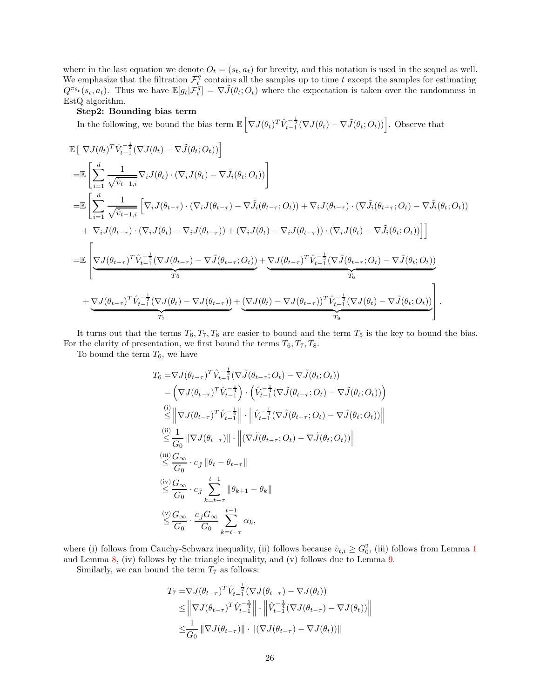where in the last equation we denote  $O_t = (s_t, a_t)$  for brevity, and this notation is used in the sequel as well. We emphasize that the filtration  $\mathcal{F}_t^q$  contains all the samples up to time t except the samples for estimating  $Q^{\pi_{\theta_t}}(s_t, a_t)$ . Thus we have  $\mathbb{E}[g_t | \mathcal{F}_t^q] = \nabla \tilde{J}(\theta_t; O_t)$  where the expectation is taken over the randomness in EstQ algorithm.

#### Step2: Bounding bias term

In the following, we bound the bias term  $\mathbb{E}\left[\nabla J(\theta_t)^T \hat{V}_{t-1}^{-\frac{1}{2}}(\nabla J(\theta_t) - \nabla \tilde{J}(\theta_t; O_t))\right]$ . Observe that

$$
\begin{split}\n&\mathbb{E}\left[\nabla J(\theta_{t})^{T}\hat{V}_{t-1}^{-\frac{1}{2}}(\nabla J(\theta_{t}) - \nabla \tilde{J}(\theta_{t};O_{t}))\right] \\
&= &\mathbb{E}\left[\sum_{i=1}^{d}\frac{1}{\sqrt{\hat{v}_{t-1,i}}}\nabla_{i}J(\theta_{t})\cdot(\nabla_{i}J(\theta_{t}) - \nabla \tilde{J}_{i}(\theta_{t};O_{t}))\right] \\
&= &\mathbb{E}\left[\sum_{i=1}^{d}\frac{1}{\sqrt{\hat{v}_{t-1,i}}}\left[\nabla_{i}J(\theta_{t-\tau})\cdot(\nabla_{i}J(\theta_{t-\tau}) - \nabla \tilde{J}_{i}(\theta_{t-\tau};O_{t})) + \nabla_{i}J(\theta_{t-\tau})\cdot(\nabla \tilde{J}_{i}(\theta_{t-\tau};O_{t}) - \nabla \tilde{J}_{i}(\theta_{t};O_{t}))\right] \\
&+ \nabla_{i}J(\theta_{t-\tau})\cdot(\nabla_{i}J(\theta_{t}) - \nabla_{i}J(\theta_{t-\tau})) + (\nabla_{i}J(\theta_{t}) - \nabla_{i}J(\theta_{t-\tau}))\cdot(\nabla_{i}J(\theta_{t}) - \nabla \tilde{J}_{i}(\theta_{t};O_{t}))\right]\n\end{split}
$$
\n
$$
= \mathbb{E}\left[\underbrace{\nabla J(\theta_{t-\tau})^{T}\hat{V}_{t-1}^{-\frac{1}{2}}(\nabla J(\theta_{t-\tau}) - \nabla \tilde{J}(\theta_{t-\tau};O_{t}))}_{T_{5}} + \underbrace{\nabla J(\theta_{t-\tau})^{T}\hat{V}_{t-1}^{-\frac{1}{2}}(\nabla \tilde{J}(\theta_{t-\tau};O_{t}) - \nabla \tilde{J}(\theta_{t};O_{t}))}_{T_{6}} + \underbrace{\nabla J(\theta_{t-\tau})^{T}\hat{V}_{t-1}^{-\frac{1}{2}}(\nabla J(\theta_{t}) - \nabla J(\theta_{t-\tau}))}{T_{7}} + \underbrace{\nabla J(\theta_{t-\tau})^{T}\hat{V}_{t-1}^{-\frac{1}{2}}(\nabla J(\theta_{t}) - \nabla J(\theta_{t-\tau}))}{T_{8}} + \underbrace{\nabla
$$

It turns out that the terms  $T_6, T_7, T_8$  are easier to bound and the term  $T_5$  is the key to bound the bias. For the clarity of presentation, we first bound the terms  $T_6, T_7, T_8$ .

To bound the term  $T_6$ , we have

$$
T_6 = \nabla J(\theta_{t-\tau})^T \hat{V}_{t-1}^{-\frac{1}{2}} (\nabla \tilde{J}(\theta_{t-\tau}; O_t) - \nabla \tilde{J}(\theta_t; O_t))
$$
  
\n
$$
= (\nabla J(\theta_{t-\tau})^T \hat{V}_{t-1}^{-\frac{1}{4}}) \cdot (\hat{V}_{t-1}^{-\frac{1}{4}} (\nabla \tilde{J}(\theta_{t-\tau}; O_t) - \nabla \tilde{J}(\theta_t; O_t)))
$$
  
\n
$$
\stackrel{(i)}{\leq} ||\nabla J(\theta_{t-\tau})^T \hat{V}_{t-1}^{-\frac{1}{4}}|| \cdot ||\hat{V}_{t-1}^{-\frac{1}{4}} (\nabla \tilde{J}(\theta_{t-\tau}; O_t) - \nabla \tilde{J}(\theta_t; O_t))||
$$
  
\n
$$
\stackrel{(ii)}{\leq} \frac{1}{G_0} ||\nabla J(\theta_{t-\tau})|| \cdot ||(\nabla \tilde{J}(\theta_{t-\tau}; O_t) - \nabla \tilde{J}(\theta_t; O_t))||
$$
  
\n
$$
\stackrel{(iii)}{\leq} \frac{G_\infty}{G_0} \cdot c_{\tilde{J}} ||\theta_t - \theta_{t-\tau}||
$$
  
\n
$$
\stackrel{(iv)}{\leq} \frac{G_\infty}{G_0} \cdot c_{\tilde{J}} \sum_{k=t-\tau}^{t-1} ||\theta_{k+1} - \theta_k||
$$
  
\n
$$
\stackrel{(v)}{\leq} \frac{G_\infty}{G_0} \cdot \frac{c_{\tilde{J}} G_\infty}{G_0} \sum_{k=t-\tau}^{t-1} \alpha_k,
$$

where (i) follows from Cauchy-Schwarz inequality, (ii) follows because  $\hat{v}_{t,i} \geq G_0^2$ , (iii) follows from Lemma [1](#page-5-2) and Lemma [8,](#page-22-2) (iv) follows by the triangle inequality, and (v) follows due to Lemma [9.](#page-22-0)

Similarly, we can bound the term  $T_7$  as follows:

$$
T_7 = \nabla J(\theta_{t-\tau})^T \hat{V}_{t-1}^{-\frac{1}{2}} (\nabla J(\theta_{t-\tau}) - \nabla J(\theta_t))
$$
  
\n
$$
\leq \left\| \nabla J(\theta_{t-\tau})^T \hat{V}_{t-1}^{-\frac{1}{4}} \right\| \cdot \left\| \hat{V}_{t-1}^{-\frac{1}{4}} (\nabla J(\theta_{t-\tau}) - \nabla J(\theta_t)) \right\|
$$
  
\n
$$
\leq \frac{1}{G_0} \left\| \nabla J(\theta_{t-\tau}) \right\| \cdot \left\| (\nabla J(\theta_{t-\tau}) - \nabla J(\theta_t)) \right\|
$$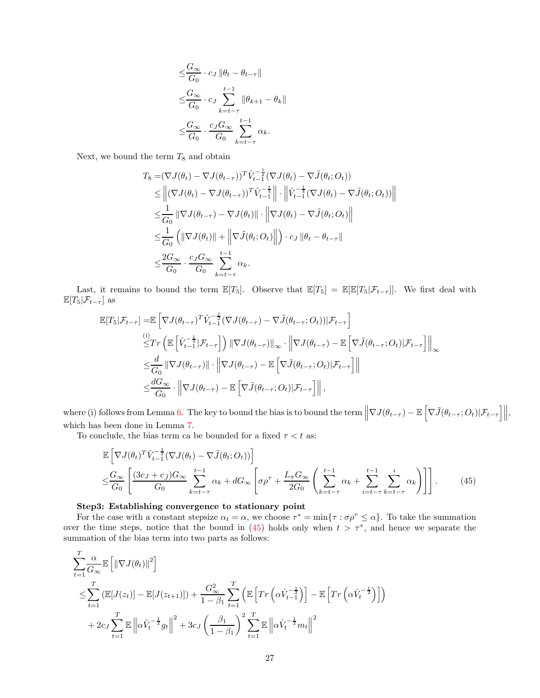$$
\leq \frac{G_{\infty}}{G_0} \cdot c_J \|\theta_t - \theta_{t-\tau}\|
$$
  

$$
\leq \frac{G_{\infty}}{G_0} \cdot c_J \sum_{k=t-\tau}^{t-1} \|\theta_{k+1} - \theta_k\|
$$
  

$$
\leq \frac{G_{\infty}}{G_0} \cdot \frac{c_J G_{\infty}}{G_0} \sum_{k=t-\tau}^{t-1} \alpha_k.
$$

Next, we bound the term  $T_8$  and obtain

$$
T_8 = (\nabla J(\theta_t) - \nabla J(\theta_{t-\tau}))^T \hat{V}_{t-1}^{-\frac{1}{2}} (\nabla J(\theta_t) - \nabla \tilde{J}(\theta_t; O_t))
$$
  
\n
$$
\leq \left\| (\nabla J(\theta_t) - \nabla J(\theta_{t-\tau}))^T \hat{V}_{t-1}^{-\frac{1}{4}} \right\| \cdot \left\| \hat{V}_{t-1}^{-\frac{1}{4}} (\nabla J(\theta_t) - \nabla \tilde{J}(\theta_t; O_t)) \right\|
$$
  
\n
$$
\leq \frac{1}{G_0} \left\| \nabla J(\theta_{t-\tau}) - \nabla J(\theta_t) \right\| \cdot \left\| \nabla J(\theta_t) - \nabla \tilde{J}(\theta_t; O_t) \right\|
$$
  
\n
$$
\leq \frac{1}{G_0} \left( \left\| \nabla J(\theta_t) \right\| + \left\| \nabla \tilde{J}(\theta_t; O_t) \right\| \right) \cdot c_J \left\| \theta_t - \theta_{t-\tau} \right\|
$$
  
\n
$$
\leq \frac{2G_\infty}{G_0} \cdot \frac{c_J G_\infty}{G_0} \sum_{k=t-\tau}^{t-1} \alpha_k.
$$

Last, it remains to bound the term  $\mathbb{E}[T_5]$ . Observe that  $\mathbb{E}[T_5] = \mathbb{E}[\mathbb{E}[T_5|\mathcal{F}_{t-\tau}]]$ . We first deal with  $\mathbb{E}[T_5|\mathcal{F}_{t-\tau}]$  as

$$
\mathbb{E}[T_5|\mathcal{F}_{t-\tau}] = \mathbb{E}\left[\nabla J(\theta_{t-\tau})^T \hat{V}_{t-1}^{-\frac{1}{2}}(\nabla J(\theta_{t-\tau}) - \nabla \tilde{J}(\theta_{t-\tau}; O_t))|\mathcal{F}_{t-\tau}\right]
$$
\n
$$
\stackrel{(i)}{\leq} Tr\left(\mathbb{E}\left[\hat{V}_{t-1}^{-\frac{1}{2}}|\mathcal{F}_{t-\tau}\right]\right) \|\nabla J(\theta_{t-\tau})\|_{\infty} \cdot \left\|\nabla J(\theta_{t-\tau}) - \mathbb{E}\left[\nabla \tilde{J}(\theta_{t-\tau}; O_t)|\mathcal{F}_{t-\tau}\right]\right\|_{\infty}
$$
\n
$$
\leq \frac{d}{G_0} \|\nabla J(\theta_{t-\tau})\| \cdot \left\|\nabla J(\theta_{t-\tau}) - \mathbb{E}\left[\nabla \tilde{J}(\theta_{t-\tau}; O_t)|\mathcal{F}_{t-\tau}\right]\right\|
$$
\n
$$
\leq \frac{dG_{\infty}}{G_0} \cdot \left\|\nabla J(\theta_{t-\tau}) - \mathbb{E}\left[\nabla \tilde{J}(\theta_{t-\tau}; O_t)|\mathcal{F}_{t-\tau}\right]\right\|,
$$

where (i) follows from Lemma [6.](#page-19-3) The key to bound the bias is to bound the term  $\|\nabla J(\theta_{t-\tau}) - \mathbb{E}\left[\nabla \tilde{J}(\theta_{t-\tau}; O_t)|\mathcal{F}_{t-\tau}\right]\|$ , which has been done in Lemma [7.](#page-19-4)

To conclude, the bias term ca be bounded for a fixed  $\tau < t$  as:

<span id="page-26-0"></span>
$$
\mathbb{E}\left[\nabla J(\theta_t)^T \hat{V}_{t-1}^{-\frac{1}{2}}(\nabla J(\theta_t) - \nabla \tilde{J}(\theta_t; O_t))\right]
$$
\n
$$
\leq \frac{G_{\infty}}{G_0} \left[ \frac{(3c_J + c_{\tilde{J}})G_{\infty}}{G_0} \sum_{k=t-\tau}^{t-1} \alpha_k + dG_{\infty} \left[\sigma \rho^{\tau} + \frac{L_{\pi}G_{\infty}}{2G_0} \left(\sum_{k=t-\tau}^{t-1} \alpha_k + \sum_{i=t-\tau}^{t-1} \sum_{k=t-\tau}^{i} \alpha_k\right)\right] \right].
$$
\n(45)

#### Step3: Establishing convergence to stationary point

For the case with a constant stepsize  $\alpha_t = \alpha$ , we choose  $\tau^* = \min{\lbrace \tau : \sigma\rho^{\tau} \leq \alpha \rbrace}$ . To take the summation over the time steps, notice that the bound in  $(45)$  holds only when  $t > \tau^*$ , and hence we separate the summation of the bias term into two parts as follows:

$$
\sum_{t=1}^{T} \frac{\alpha}{G_{\infty}} \mathbb{E} \left[ \left\| \nabla J(\theta_t) \right\|^2 \right]
$$
\n
$$
\leq \sum_{t=1}^{T} \left( \mathbb{E} [J(z_t)] - \mathbb{E} [J(z_{t+1})] \right) + \frac{G_{\infty}^2}{1 - \beta_1} \sum_{t=1}^{T} \left( \mathbb{E} \left[ Tr \left( \alpha \hat{V}_{t-1}^{-\frac{1}{2}} \right) \right] - \mathbb{E} \left[ Tr \left( \alpha \hat{V}_{t-1}^{-\frac{1}{2}} \right) \right] \right)
$$
\n
$$
+ 2c_J \sum_{t=1}^{T} \mathbb{E} \left\| \alpha \hat{V}_{t-1}^{-\frac{1}{2}} g_t \right\|^2 + 3c_J \left( \frac{\beta_1}{1 - \beta_1} \right)^2 \sum_{t=1}^{T} \mathbb{E} \left\| \alpha \hat{V}_{t-1}^{-\frac{1}{2}} m_t \right\|^2
$$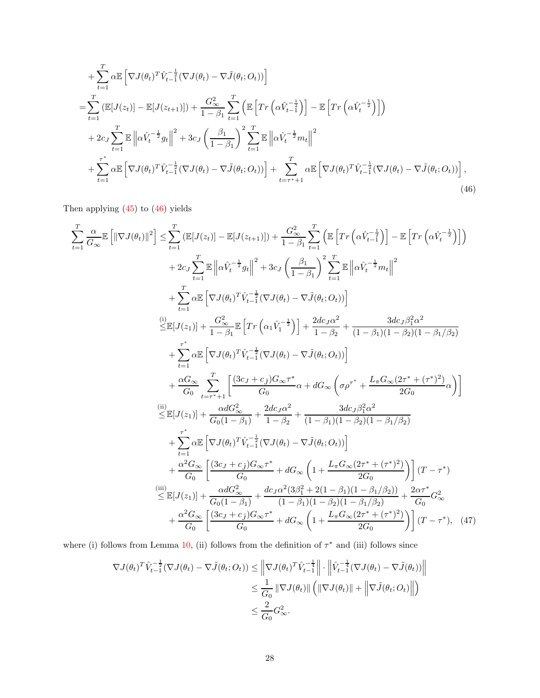$$
+\sum_{t=1}^{T} \alpha \mathbb{E} \left[ \nabla J(\theta_t)^T \hat{V}_{t-1}^{-\frac{1}{2}} (\nabla J(\theta_t) - \nabla \tilde{J}(\theta_t; O_t)) \right]
$$
  
\n
$$
=\sum_{t=1}^{T} \left( \mathbb{E} [J(z_t)] - \mathbb{E} [J(z_{t+1})] \right) + \frac{G_{\infty}^2}{1 - \beta_1} \sum_{t=1}^{T} \left( \mathbb{E} \left[ Tr \left( \alpha \hat{V}_{t-1}^{-\frac{1}{2}} \right) \right] - \mathbb{E} \left[ Tr \left( \alpha \hat{V}_{t-1}^{-\frac{1}{2}} \right) \right] \right)
$$
  
\n
$$
+ 2c_J \sum_{t=1}^{T} \mathbb{E} \left\| \alpha \hat{V}_{t-1}^{-\frac{1}{2}} g_t \right\|^2 + 3c_J \left( \frac{\beta_1}{1 - \beta_1} \right)^2 \sum_{t=1}^{T} \mathbb{E} \left\| \alpha \hat{V}_{t-1}^{-\frac{1}{2}} m_t \right\|^2
$$
  
\n
$$
+ \sum_{t=1}^{T} \alpha \mathbb{E} \left[ \nabla J(\theta_t)^T \hat{V}_{t-1}^{-\frac{1}{2}} (\nabla J(\theta_t) - \nabla \tilde{J}(\theta_t; O_t)) \right] + \sum_{t=\tau^*+1}^{T} \alpha \mathbb{E} \left[ \nabla J(\theta_t)^T \hat{V}_{t-1}^{-\frac{1}{2}} (\nabla J(\theta_t) - \nabla \tilde{J}(\theta_t; O_t)) \right],
$$
\n(46)

Then applying [\(45\)](#page-26-0) to [\(46\)](#page-27-0) yields

<span id="page-27-0"></span>
$$
\sum_{t=1}^{T} \frac{\alpha}{G_{\infty}} \mathbb{E} \left[ \|\nabla J(\theta_{t})\|^{2} \right] \leq \sum_{t=1}^{T} \left( \mathbb{E}[J(z_{t})] - \mathbb{E}[J(z_{t+1})] \right) + \frac{G_{\infty}^{2}}{1 - \beta_{1}} \sum_{t=1}^{T} \left( \mathbb{E} \left[ Tr \left( \alpha \hat{V}_{t-1}^{-\frac{1}{2}} \right) \right] - \mathbb{E} \left[ Tr \left( \alpha \hat{V}_{t-1}^{-\frac{1}{2}} \right) \right] \right) \n+ 2c \int \sum_{t=1}^{T} \mathbb{E} \left\| \alpha \hat{V}_{t}^{-\frac{1}{2}} g_{t} \right\|^{2} + 3c \int \left( \frac{\beta_{1}}{1 - \beta_{1}} \right)^{2} \sum_{t=1}^{T} \mathbb{E} \left\| \alpha \hat{V}_{t}^{-\frac{1}{2}} m_{t} \right\|^{2} \n+ \sum_{t=1}^{T} \alpha \mathbb{E} \left[ \nabla J(\theta_{t})^{T} \hat{V}_{t-1}^{-\frac{1}{2}} (\nabla J(\theta_{t}) - \nabla \tilde{J}(\theta_{t}, O_{t})) \right] \n\stackrel{(i)}{\leq} \mathbb{E}[J(z_{1})] + \frac{G_{\infty}^{2}}{1 - \beta_{1}} \mathbb{E} \left[ Tr \left( \alpha_{1} \hat{V}_{1}^{-\frac{1}{2}} \right) \right] + \frac{2dc_{J}\alpha^{2}}{1 - \beta_{2}} + \frac{3dc_{J}\beta_{1}^{2}\alpha^{2}}{(1 - \beta_{1})(1 - \beta_{2})(1 - \beta_{1}/\beta_{2})} \n+ \sum_{t=1}^{r} \alpha \mathbb{E} \left[ \nabla J(\theta_{t})^{T} \hat{V}_{t-1}^{-\frac{1}{2}} (\nabla J(\theta_{t}) - \nabla \tilde{J}(\theta_{t}, O_{t})) \right] \n+ \frac{\alpha G_{\infty}}{G_{0}} \sum_{t=r^{*}+1}^{r} \left[ \frac{(3c_{J} + c_{J})G_{\infty} \tau^{*}}{G_{0}} \alpha + dG_{\infty} \left( \sigma \
$$

where (i) follows from Lemma [10,](#page-22-4) (ii) follows from the definition of  $\tau^*$  and (iii) follows since

<span id="page-27-1"></span>
$$
\nabla J(\theta_t)^T \hat{V}_{t-1}^{-\frac{1}{2}} (\nabla J(\theta_t) - \nabla \tilde{J}(\theta_t; O_t)) \leq \left\| \nabla J(\theta_t)^T \hat{V}_{t-1}^{-\frac{1}{4}} \right\| \cdot \left\| \hat{V}_{t-1}^{-\frac{1}{4}} (\nabla J(\theta_t) - \nabla \tilde{J}(\theta_t)) \right\|
$$
  

$$
\leq \frac{1}{G_0} \left\| \nabla J(\theta_t) \right\| \left( \left\| \nabla J(\theta_t) \right\| + \left\| \nabla \tilde{J}(\theta_t; O_t) \right\| \right)
$$
  

$$
\leq \frac{2}{G_0} G_{\infty}^2.
$$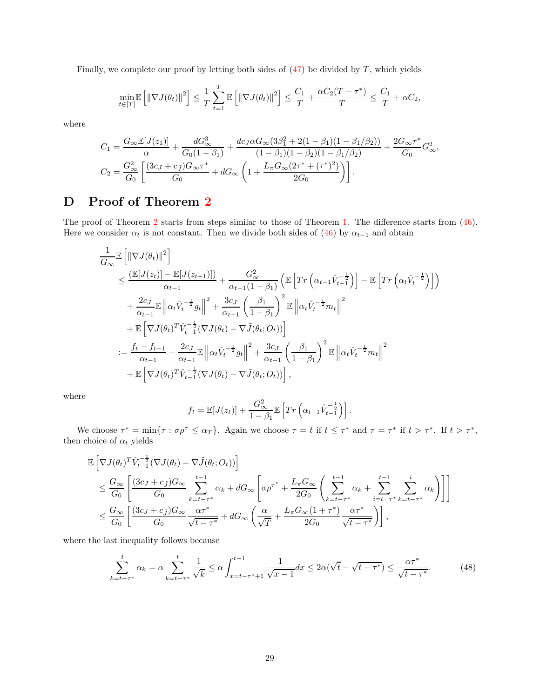Finally, we complete our proof by letting both sides of  $(47)$  be divided by T, which yields

$$
\min_{t \in [T]} \mathbb{E}\left[\left\|\nabla J(\theta_t)\right\|^2\right] \leq \frac{1}{T} \sum_{t=1}^T \mathbb{E}\left[\left\|\nabla J(\theta_t)\right\|^2\right] \leq \frac{C_1}{T} + \frac{\alpha C_2(T-\tau^*)}{T} \leq \frac{C_1}{T} + \alpha C_2,
$$

where

$$
C_1 = \frac{G_{\infty} \mathbb{E}[J(z_1)]}{\alpha} + \frac{dG_{\infty}^3}{G_0 (1 - \beta_1)} + \frac{dc_J \alpha G_{\infty} (3\beta_1^2 + 2(1 - \beta_1)(1 - \beta_1/\beta_2))}{(1 - \beta_1)(1 - \beta_2)(1 - \beta_1/\beta_2)} + \frac{2G_{\infty} \tau^*}{G_0} G_{\infty}^2,
$$
  

$$
C_2 = \frac{G_{\infty}^2}{G_0} \left[ \frac{(3c_J + c_{\tilde{J}})G_{\infty} \tau^*}{G_0} + dG_{\infty} \left( 1 + \frac{L_{\pi} G_{\infty} (2\tau^* + (\tau^*)^2)}{2G_0} \right) \right].
$$

# D Proof of Theorem [2](#page-6-1)

The proof of Theorem [2](#page-6-1) starts from steps similar to those of Theorem [1.](#page-5-3) The difference starts from [\(46\)](#page-27-0). Here we consider  $\alpha_t$  is not constant. Then we divide both sides of [\(46\)](#page-27-0) by  $\alpha_{t-1}$  and obtain

$$
\frac{1}{G_{\infty}}\mathbb{E}\left[\|\nabla J(\theta_t)\|^2\right] \n\leq \frac{\left(\mathbb{E}[J(z_t)] - \mathbb{E}[J(z_{t+1})]\right)}{\alpha_{t-1}} + \frac{G_{\infty}^2}{\alpha_{t-1}(1-\beta_1)} \left(\mathbb{E}\left[Tr\left(\alpha_{t-1}\hat{V}_{t-1}^{-\frac{1}{2}}\right)\right] - \mathbb{E}\left[Tr\left(\alpha_t\hat{V}_t^{-\frac{1}{2}}\right)\right]\right) \n+ \frac{2c_J}{\alpha_{t-1}}\mathbb{E}\left\|\alpha_t\hat{V}_t^{-\frac{1}{2}}g_t\right\|^2 + \frac{3c_J}{\alpha_{t-1}} \left(\frac{\beta_1}{1-\beta_1}\right)^2 \mathbb{E}\left\|\alpha_t\hat{V}_t^{-\frac{1}{2}}m_t\right\|^2 \n+ \mathbb{E}\left[\nabla J(\theta_t)^T\hat{V}_{t-1}^{-\frac{1}{2}}(\nabla J(\theta_t) - \nabla \tilde{J}(\theta_t; O_t))\right] \n:= \frac{f_t - f_{t+1}}{\alpha_{t-1}} + \frac{2c_J}{\alpha_{t-1}}\mathbb{E}\left\|\alpha_t\hat{V}_t^{-\frac{1}{2}}g_t\right\|^2 + \frac{3c_J}{\alpha_{t-1}} \left(\frac{\beta_1}{1-\beta_1}\right)^2 \mathbb{E}\left\|\alpha_t\hat{V}_t^{-\frac{1}{2}}m_t\right\|^2 \n+ \mathbb{E}\left[\nabla J(\theta_t)^T\hat{V}_{t-1}^{-\frac{1}{2}}(\nabla J(\theta_t) - \nabla \tilde{J}(\theta_t; O_t))\right],
$$

where

$$
f_t = \mathbb{E}[J(z_t)] + \frac{G_{\infty}^2}{1 - \beta_1} \mathbb{E}\left[Tr\left(\alpha_{t-1}\hat{V}_{t-1}^{-\frac{1}{2}}\right)\right].
$$

We choose  $\tau^* = \min\{\tau : \sigma\rho^{\tau} \leq \alpha_T\}$ . Again we choose  $\tau = t$  if  $t \leq \tau^*$  and  $\tau = \tau^*$  if  $t > \tau^*$ . If  $t > \tau^*$ , then choice of  $\alpha_t$  yields

$$
\mathbb{E}\left[\nabla J(\theta_t)^T \hat{V}_{t-1}^{-\frac{1}{2}} (\nabla J(\theta_t) - \nabla \tilde{J}(\theta_t; O_t))\right] \n\leq \frac{G_{\infty}}{G_0} \left[\frac{(3c_J + c_{\tilde{J}})G_{\infty}}{G_0} \sum_{k=t-\tau^*}^{t-1} \alpha_k + dG_{\infty} \left[\sigma \rho^{\tau^*} + \frac{L_{\pi} G_{\infty}}{2G_0} \left(\sum_{k=t-\tau^*}^{t-1} \alpha_k + \sum_{i=t-\tau^*}^{t-1} \sum_{k=t-\tau^*}^{i} \alpha_k\right)\right]\right] \n\leq \frac{G_{\infty}}{G_0} \left[\frac{(3c_J + c_{\tilde{J}})G_{\infty}}{G_0} \frac{\alpha \tau^*}{\sqrt{t-\tau^*}} + dG_{\infty} \left(\frac{\alpha}{\sqrt{T}} + \frac{L_{\pi} G_{\infty} (1+\tau^*)}{2G_0} \frac{\alpha \tau^*}{\sqrt{t-\tau^*}}\right)\right],
$$

where the last inequality follows because

<span id="page-28-0"></span>
$$
\sum_{k=t-\tau^*}^t \alpha_k = \alpha \sum_{k=t-\tau^*}^t \frac{1}{\sqrt{k}} \le \alpha \int_{x=t-\tau^*+1}^{t+1} \frac{1}{\sqrt{x-1}} dx \le 2\alpha(\sqrt{t}-\sqrt{t-\tau^*}) \le \frac{\alpha \tau^*}{\sqrt{t-\tau^*}}.
$$
(48)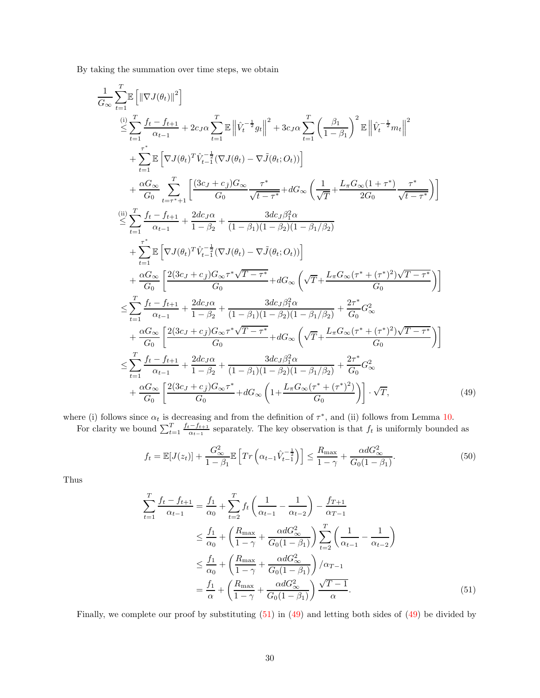By taking the summation over time steps, we obtain

$$
\frac{1}{G_{\infty}} \sum_{t=1}^{T} \mathbb{E} \left[ \|\nabla J(\theta_{t})\|^{2} \right]
$$
\n
$$
\stackrel{(i)}{\leq} \sum_{t=1}^{T} \frac{f_{t} - f_{t+1}}{\alpha_{t-1}} + 2c_{J}\alpha \sum_{t=1}^{T} \mathbb{E} \left\| \hat{V}_{t}^{-\frac{1}{2}} g_{t} \right\|^{2} + 3c_{J}\alpha \sum_{t=1}^{T} \left( \frac{\beta_{1}}{1 - \beta_{1}} \right)^{2} \mathbb{E} \left\| \hat{V}_{t}^{-\frac{1}{2}} m_{t} \right\|^{2}
$$
\n
$$
+ \sum_{t=1}^{r^{+}} \mathbb{E} \left[ \nabla J(\theta_{t})^{T} \hat{V}_{t-1}^{-\frac{1}{2}} (\nabla J(\theta_{t}) - \nabla \tilde{J}(\theta_{t}; \theta_{t})) \right]
$$
\n
$$
+ \frac{\alpha G_{\infty}}{G_{0}} \sum_{t=r^{+}+1}^{T} \left[ \frac{(3c_{J} + c_{J})G_{\infty}}{G_{0}} \frac{\tau^{*}}{\sqrt{t - \tau^{*}}} + dG_{\infty} \left( \frac{1}{\sqrt{T}} + \frac{L_{\pi} G_{\infty} (1 + \tau^{*})}{2G_{0}} \frac{\tau^{*}}{\sqrt{t - \tau^{*}}} \right) \right]
$$
\n
$$
\stackrel{(ii)}{\leq} \sum_{t=1}^{T} \frac{f_{t} - f_{t+1}}{\alpha_{t-1}} + \frac{2dc_{J}\alpha}{1 - \beta_{2}} + \frac{3dc_{J}\beta_{1}^{2}\alpha}{(1 - \beta_{1})(1 - \beta_{2})(1 - \beta_{1}/\beta_{2})}
$$
\n
$$
+ \sum_{t=1}^{r^{+}} \mathbb{E} \left[ \nabla J(\theta_{t})^{T} \hat{V}_{t-1}^{-\frac{1}{2}} (\nabla J(\theta_{t}) - \nabla \tilde{J}(\theta_{t}; \theta_{t})) \right]
$$
\n
$$
+ \frac{\alpha G_{\infty}}{G_{0}} \left[ \frac{2(3c_{J} + c_{J})G_{\infty} \tau^{*} \sqrt{T - \tau^{*}}}{G_{0}} + dG_{
$$

where (i) follows since  $\alpha_t$  is decreasing and from the definition of  $\tau^*$ , and (ii) follows from Lemma [10.](#page-22-4) For clarity we bound  $\sum_{t=1}^T \frac{f_t-f_{t+1}}{\alpha_{t-1}}$  separately. The key observation is that  $f_t$  is uniformly bounded as

<span id="page-29-1"></span>
$$
f_t = \mathbb{E}[J(z_t)] + \frac{G_{\infty}^2}{1 - \beta_1} \mathbb{E}\left[Tr\left(\alpha_{t-1}\hat{V}_{t-1}^{-\frac{1}{2}}\right)\right] \le \frac{R_{\max}}{1 - \gamma} + \frac{\alpha d G_{\infty}^2}{G_0 (1 - \beta_1)}.
$$
(50)

Thus

<span id="page-29-0"></span>
$$
\sum_{t=1}^{T} \frac{f_t - f_{t+1}}{\alpha_{t-1}} = \frac{f_1}{\alpha_0} + \sum_{t=2}^{T} f_t \left( \frac{1}{\alpha_{t-1}} - \frac{1}{\alpha_{t-2}} \right) - \frac{f_{T+1}}{\alpha_{T-1}}
$$
\n
$$
\leq \frac{f_1}{\alpha_0} + \left( \frac{R_{\max}}{1 - \gamma} + \frac{\alpha d G_{\infty}^2}{G_0 (1 - \beta_1)} \right) \sum_{t=2}^{T} \left( \frac{1}{\alpha_{t-1}} - \frac{1}{\alpha_{t-2}} \right)
$$
\n
$$
\leq \frac{f_1}{\alpha_0} + \left( \frac{R_{\max}}{1 - \gamma} + \frac{\alpha d G_{\infty}^2}{G_0 (1 - \beta_1)} \right) / \alpha_{T-1}
$$
\n
$$
= \frac{f_1}{\alpha} + \left( \frac{R_{\max}}{1 - \gamma} + \frac{\alpha d G_{\infty}^2}{G_0 (1 - \beta_1)} \right) \frac{\sqrt{T - 1}}{\alpha}.
$$
\n(51)

Finally, we complete our proof by substituting [\(51\)](#page-29-0) in [\(49\)](#page-29-1) and letting both sides of [\(49\)](#page-29-1) be divided by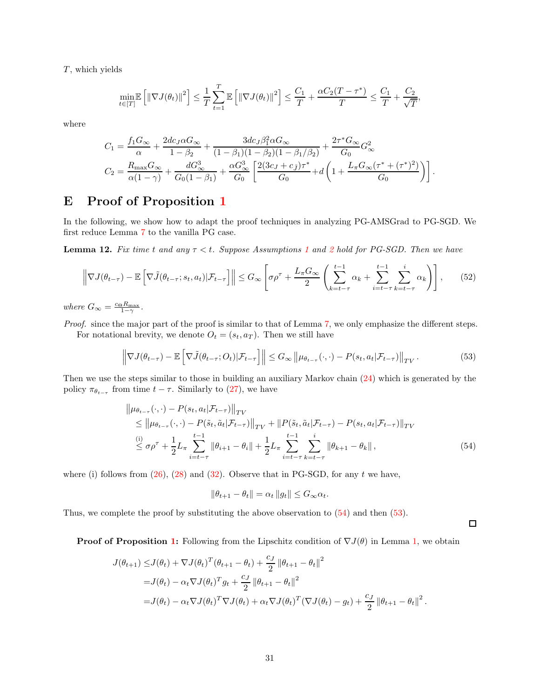$T$ , which yields

$$
\min_{t \in [T]} \mathbb{E}\left[\left\|\nabla J(\theta_t)\right\|^2\right] \leq \frac{1}{T} \sum_{t=1}^T \mathbb{E}\left[\left\|\nabla J(\theta_t)\right\|^2\right] \leq \frac{C_1}{T} + \frac{\alpha C_2(T-\tau^*)}{T} \leq \frac{C_1}{T} + \frac{C_2}{\sqrt{T}},
$$

where

$$
C_1 = \frac{f_1 G_{\infty}}{\alpha} + \frac{2dc_J \alpha G_{\infty}}{1 - \beta_2} + \frac{3dc_J \beta_1^2 \alpha G_{\infty}}{(1 - \beta_1)(1 - \beta_2)(1 - \beta_1/\beta_2)} + \frac{2\tau^* G_{\infty}}{G_0} G_{\infty}^2
$$
  
\n
$$
C_2 = \frac{R_{\max} G_{\infty}}{\alpha(1 - \gamma)} + \frac{dG_{\infty}^3}{G_0(1 - \beta_1)} + \frac{\alpha G_{\infty}^3}{G_0} \left[ \frac{2(3c_J + c_J)\tau^*}{G_0} + d\left(1 + \frac{L_{\pi} G_{\infty}(\tau^* + (\tau^*)^2)}{G_0}\right) \right].
$$

# E Proof of Proposition [1](#page-7-1)

In the following, we show how to adapt the proof techniques in analyzing PG-AMSGrad to PG-SGD. We first reduce Lemma [7](#page-19-4) to the vanilla PG case.

**Lemma [1](#page-4-2)[2](#page-5-0).** Fix time t and any  $\tau < t$ . Suppose Assumptions 1 and 2 hold for PG-SGD. Then we have

$$
\left\|\nabla J(\theta_{t-\tau}) - \mathbb{E}\left[\nabla \tilde{J}(\theta_{t-\tau}; s_t, a_t)|\mathcal{F}_{t-\tau}\right]\right\| \leq G_{\infty} \left[\sigma \rho^{\tau} + \frac{L_{\pi} G_{\infty}}{2} \left(\sum_{k=t-\tau}^{t-1} \alpha_k + \sum_{i=t-\tau}^{t-1} \sum_{k=t-\tau}^{i} \alpha_k\right)\right],\tag{52}
$$

where  $G_{\infty} = \frac{c_{\Theta} R_{\text{max}}}{1 - \gamma}$ .

Proof. since the major part of the proof is similar to that of Lemma [7,](#page-19-4) we only emphasize the different steps. For notational brevity, we denote  $O_t = (s_t, a_T)$ . Then we still have

$$
\left\|\nabla J(\theta_{t-\tau}) - \mathbb{E}\left[\nabla \tilde{J}(\theta_{t-\tau}; O_t)|\mathcal{F}_{t-\tau}\right]\right\| \leq G_{\infty} \left\|\mu_{\theta_{t-\tau}}(\cdot, \cdot) - P(s_t, a_t|\mathcal{F}_{t-\tau})\right\|_{TV}.
$$
\n(53)

Then we use the steps similar to those in building an auxiliary Markov chain [\(24\)](#page-19-1) which is generated by the policy  $\pi_{\theta_{t-\tau}}$  from time  $t-\tau$ . Similarly to [\(27\)](#page-20-1), we have

$$
\|\mu_{\theta_{t-\tau}}(\cdot,\cdot)-P(s_t, a_t|\mathcal{F}_{t-\tau})\|_{TV} \n\leq \|\mu_{\theta_{t-\tau}}(\cdot,\cdot)-P(\tilde{s}_t, \tilde{a}_t|\mathcal{F}_{t-\tau})\|_{TV} + \|P(\tilde{s}_t, \tilde{a}_t|\mathcal{F}_{t-\tau}) - P(s_t, a_t|\mathcal{F}_{t-\tau})\|_{TV} \n\overset{(i)}{\leq} \sigma \rho^{\tau} + \frac{1}{2} L_{\pi} \sum_{i=t-\tau}^{t-1} \|\theta_{i+1} - \theta_i\| + \frac{1}{2} L_{\pi} \sum_{i=t-\tau}^{t-1} \sum_{k=t-\tau}^{i} \|\theta_{k+1} - \theta_k\|,
$$
\n(54)

where (i) follows from  $(26)$ ,  $(28)$  and  $(32)$ . Observe that in PG-SGD, for any t we have,

$$
\|\theta_{t+1} - \theta_t\| = \alpha_t \|g_t\| \le G_\infty \alpha_t.
$$

Thus, we complete the proof by substituting the above observation to [\(54\)](#page-30-0) and then [\(53\)](#page-30-1).

<span id="page-30-1"></span><span id="page-30-0"></span> $\Box$ 

**Proof of Proposition [1:](#page-7-1)** Following from the Lipschitz condition of  $\nabla J(\theta)$  in Lemma [1,](#page-5-2) we obtain

$$
J(\theta_{t+1}) \leq J(\theta_t) + \nabla J(\theta_t)^T (\theta_{t+1} - \theta_t) + \frac{c_J}{2} ||\theta_{t+1} - \theta_t||^2
$$
  
=  $J(\theta_t) - \alpha_t \nabla J(\theta_t)^T g_t + \frac{c_J}{2} ||\theta_{t+1} - \theta_t||^2$   
=  $J(\theta_t) - \alpha_t \nabla J(\theta_t)^T \nabla J(\theta_t) + \alpha_t \nabla J(\theta_t)^T (\nabla J(\theta_t) - g_t) + \frac{c_J}{2} ||\theta_{t+1} - \theta_t||^2$ .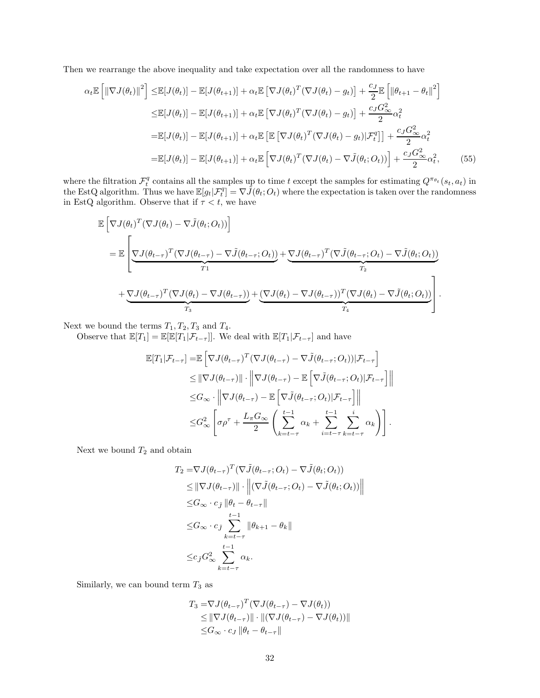Then we rearrange the above inequality and take expectation over all the randomness to have

$$
\alpha_t \mathbb{E}\left[\left\|\nabla J(\theta_t)\right\|^2\right] \leq \mathbb{E}[J(\theta_t)] - \mathbb{E}[J(\theta_{t+1})] + \alpha_t \mathbb{E}\left[\nabla J(\theta_t)^T(\nabla J(\theta_t) - g_t)\right] + \frac{c_J}{2} \mathbb{E}\left[\left\|\theta_{t+1} - \theta_t\right\|^2\right]
$$
  
\n
$$
\leq \mathbb{E}[J(\theta_t)] - \mathbb{E}[J(\theta_{t+1})] + \alpha_t \mathbb{E}\left[\nabla J(\theta_t)^T(\nabla J(\theta_t) - g_t)\right] + \frac{c_J G_{\infty}^2}{2} \alpha_t^2
$$
  
\n
$$
= \mathbb{E}[J(\theta_t)] - \mathbb{E}[J(\theta_{t+1})] + \alpha_t \mathbb{E}\left[\mathbb{E}\left[\nabla J(\theta_t)^T(\nabla J(\theta_t) - g_t)|\mathcal{F}_t^q\right]\right] + \frac{c_J G_{\infty}^2}{2} \alpha_t^2
$$
  
\n
$$
= \mathbb{E}[J(\theta_t)] - \mathbb{E}[J(\theta_{t+1})] + \alpha_t \mathbb{E}\left[\nabla J(\theta_t)^T(\nabla J(\theta_t) - \nabla \tilde{J}(\theta_t; O_t))\right] + \frac{c_J G_{\infty}^2}{2} \alpha_t^2,
$$
 (55)

where the filtration  $\mathcal{F}_t^q$  contains all the samples up to time t except the samples for estimating  $Q^{\pi_{\theta_t}}(s_t, a_t)$  in the EstQ algorithm. Thus we have  $\mathbb{E}[g_t|\mathcal{F}_t^q] = \nabla \tilde{J}(\theta_t; O_t)$  where the expectation is taken over the randomness in EstQ algorithm. Observe that if  $\tau < t$ , we have

<span id="page-31-0"></span>
$$
\mathbb{E}\left[\nabla J(\theta_t)^T(\nabla J(\theta_t) - \nabla \tilde{J}(\theta_t; O_t))\right]
$$
\n
$$
= \mathbb{E}\left[\underbrace{\nabla J(\theta_{t-\tau})^T(\nabla J(\theta_{t-\tau}) - \nabla \tilde{J}(\theta_{t-\tau}; O_t))}_{T_1} + \underbrace{\nabla J(\theta_{t-\tau})^T(\nabla \tilde{J}(\theta_{t-\tau}; O_t) - \nabla \tilde{J}(\theta_t; O_t))}_{T_2}\right]
$$
\n
$$
+ \underbrace{\nabla J(\theta_{t-\tau})^T(\nabla J(\theta_t) - \nabla J(\theta_{t-\tau}))}_{T_3} + \underbrace{(\nabla J(\theta_t) - \nabla J(\theta_{t-\tau}))^T(\nabla J(\theta_t) - \nabla \tilde{J}(\theta_t; O_t))}_{T_4}\right].
$$

Next we bound the terms  $T_1, T_2, T_3$  and  $T_4$ .

Observe that  $\mathbb{E}[T_1] = \mathbb{E}[\mathbb{E}[T_1|\mathcal{F}_{t-\tau}]]$ . We deal with  $\mathbb{E}[T_1|\mathcal{F}_{t-\tau}]$  and have

$$
\mathbb{E}[T_1|\mathcal{F}_{t-\tau}] = \mathbb{E}\left[\nabla J(\theta_{t-\tau})^T(\nabla J(\theta_{t-\tau}) - \nabla \tilde{J}(\theta_{t-\tau}; O_t))|\mathcal{F}_{t-\tau}\right] \n\leq \|\nabla J(\theta_{t-\tau})\| \cdot \left\|\nabla J(\theta_{t-\tau}) - \mathbb{E}\left[\nabla \tilde{J}(\theta_{t-\tau}; O_t)|\mathcal{F}_{t-\tau}\right]\right\| \n\leq G_{\infty} \cdot \left\|\nabla J(\theta_{t-\tau}) - \mathbb{E}\left[\nabla \tilde{J}(\theta_{t-\tau}; O_t)|\mathcal{F}_{t-\tau}\right]\right\| \n\leq G_{\infty}^2 \left[\sigma \rho^{\tau} + \frac{L_{\pi} G_{\infty}}{2} \left(\sum_{k=t-\tau}^{t-1} \alpha_k + \sum_{i=t-\tau}^{t-1} \sum_{k=t-\tau}^{i} \alpha_k\right)\right].
$$

Next we bound  $T_2$  and obtain

$$
T_2 = \nabla J(\theta_{t-\tau})^T (\nabla \tilde{J}(\theta_{t-\tau}; O_t) - \nabla \tilde{J}(\theta_t; O_t))
$$
  
\n
$$
\leq \|\nabla J(\theta_{t-\tau})\| \cdot \left\| (\nabla \tilde{J}(\theta_{t-\tau}; O_t) - \nabla \tilde{J}(\theta_t; O_t)) \right\|
$$
  
\n
$$
\leq G_{\infty} \cdot c_{\tilde{J}} \left\| \theta_t - \theta_{t-\tau} \right\|
$$
  
\n
$$
\leq G_{\infty} \cdot c_{\tilde{J}} \sum_{k=t-\tau}^{t-1} \|\theta_{k+1} - \theta_k\|
$$
  
\n
$$
\leq c_{\tilde{J}} G_{\infty}^2 \sum_{k=t-\tau}^{t-1} \alpha_k.
$$

Similarly, we can bound term  $T_3$  as

$$
T_3 = \nabla J(\theta_{t-\tau})^T (\nabla J(\theta_{t-\tau}) - \nabla J(\theta_t))
$$
  
\n
$$
\leq ||\nabla J(\theta_{t-\tau})|| \cdot ||(\nabla J(\theta_{t-\tau}) - \nabla J(\theta_t))||
$$
  
\n
$$
\leq G_{\infty} \cdot c_J ||\theta_t - \theta_{t-\tau}||
$$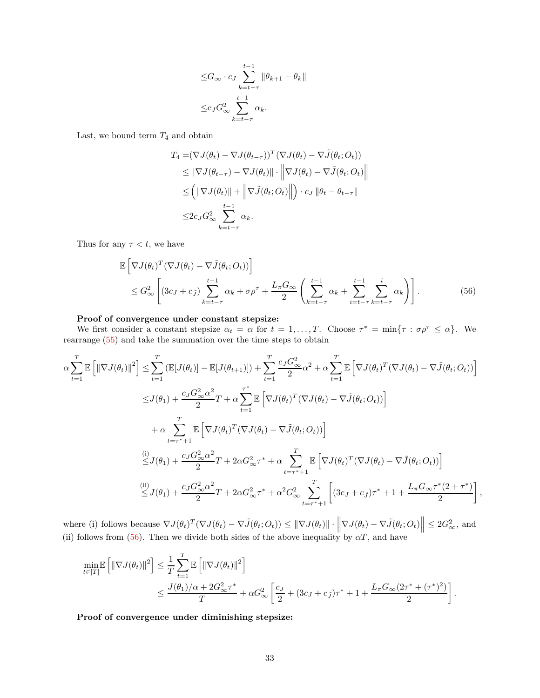$$
\leq G_{\infty} \cdot c_J \sum_{k=t-\tau}^{t-1} \|\theta_{k+1} - \theta_k\|
$$
  

$$
\leq c_J G_{\infty}^2 \sum_{k=t-\tau}^{t-1} \alpha_k.
$$

Last, we bound term  $T_4$  and obtain

<span id="page-32-0"></span>
$$
T_4 = (\nabla J(\theta_t) - \nabla J(\theta_{t-\tau}))^T (\nabla J(\theta_t) - \nabla \tilde{J}(\theta_t; O_t))
$$
  
\n
$$
\leq ||\nabla J(\theta_{t-\tau}) - \nabla J(\theta_t)|| \cdot ||\nabla J(\theta_t) - \nabla \tilde{J}(\theta_t; O_t)||
$$
  
\n
$$
\leq (||\nabla J(\theta_t)|| + ||\nabla \tilde{J}(\theta_t; O_t)||) \cdot c_J ||\theta_t - \theta_{t-\tau}||
$$
  
\n
$$
\leq 2c_J G_{\infty}^2 \sum_{k=t-\tau}^{t-1} \alpha_k.
$$

Thus for any  $\tau < t$ , we have

$$
\mathbb{E}\left[\nabla J(\theta_t)^T (\nabla J(\theta_t) - \nabla \tilde{J}(\theta_t; O_t))\right] \leq G_{\infty}^2 \left[ (3c_J + c_{\tilde{J}}) \sum_{k=t-\tau}^{t-1} \alpha_k + \sigma \rho^{\tau} + \frac{L_{\pi} G_{\infty}}{2} \left( \sum_{k=t-\tau}^{t-1} \alpha_k + \sum_{i=t-\tau}^{t-1} \sum_{k=t-\tau}^i \alpha_k \right) \right].
$$
\n(56)

### Proof of convergence under constant stepsize:

We first consider a constant stepsize  $\alpha_t = \alpha$  for  $t = 1, ..., T$ . Choose  $\tau^* = \min{\lbrace \tau : \sigma\rho^{\tau} \leq \alpha \rbrace}$ . We rearrange [\(55\)](#page-31-0) and take the summation over the time steps to obtain

$$
\alpha \sum_{t=1}^{T} \mathbb{E} \left[ \left\| \nabla J(\theta_t) \right\|^2 \right] \leq \sum_{t=1}^{T} \left( \mathbb{E} [J(\theta_t)] - \mathbb{E} [J(\theta_{t+1})] \right) + \sum_{t=1}^{T} \frac{c_J G_{\infty}^2}{2} \alpha^2 + \alpha \sum_{t=1}^{T} \mathbb{E} \left[ \nabla J(\theta_t)^T (\nabla J(\theta_t) - \nabla \tilde{J}(\theta_t; O_t)) \right]
$$
  
\n
$$
\leq J(\theta_1) + \frac{c_J G_{\infty}^2 \alpha^2}{2} T + \alpha \sum_{t=1}^{T^*} \mathbb{E} \left[ \nabla J(\theta_t)^T (\nabla J(\theta_t) - \nabla \tilde{J}(\theta_t; O_t)) \right]
$$
  
\n
$$
+ \alpha \sum_{t=\tau^*+1}^{T} \mathbb{E} \left[ \nabla J(\theta_t)^T (\nabla J(\theta_t) - \nabla \tilde{J}(\theta_t; O_t)) \right]
$$
  
\n(i) 
$$
\leq J(\theta_1) + \frac{c_J G_{\infty}^2 \alpha^2}{2} T + 2 \alpha G_{\infty}^2 \tau^* + \alpha \sum_{t=\tau^*+1}^{T} \mathbb{E} \left[ \nabla J(\theta_t)^T (\nabla J(\theta_t) - \nabla \tilde{J}(\theta_t; O_t)) \right]
$$
  
\n(ii) 
$$
\leq J(\theta_1) + \frac{c_J G_{\infty}^2 \alpha^2}{2} T + 2 \alpha G_{\infty}^2 \tau^* + \alpha^2 G_{\infty}^2 \sum_{t=\tau^*+1}^{T} \left[ (3c_J + c_{\tilde{J}}) \tau^* + 1 + \frac{L_{\pi} G_{\infty} \tau^* (2 + \tau^*)}{2} \right],
$$

where (i) follows because  $\nabla J(\theta_t)^T (\nabla J(\theta_t) - \nabla \tilde{J}(\theta_t; O_t)) \leq ||\nabla J(\theta_t)|| \cdot ||\nabla J(\theta_t) - \nabla \tilde{J}(\theta_t; O_t)|| \leq 2G_{\infty}^2$ , and (ii) follows from [\(56\)](#page-32-0). Then we divide both sides of the above inequality by  $\alpha T$ , and have

$$
\min_{t \in [T]} \mathbb{E} \left[ \left\| \nabla J(\theta_t) \right\|^2 \right] \leq \frac{1}{T} \sum_{t=1}^T \mathbb{E} \left[ \left\| \nabla J(\theta_t) \right\|^2 \right] \n\leq \frac{J(\theta_1)/\alpha + 2G_{\infty}^2 \tau^*}{T} + \alpha G_{\infty}^2 \left[ \frac{c_J}{2} + (3c_J + c_{\tilde{J}}) \tau^* + 1 + \frac{L_{\pi} G_{\infty} (2\tau^* + (\tau^*)^2)}{2} \right].
$$

Proof of convergence under diminishing stepsize: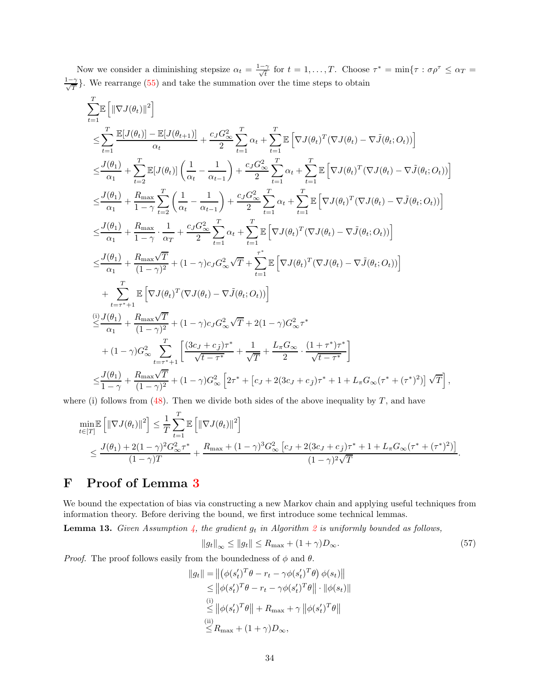Now we consider a diminishing stepsize  $\alpha_t = \frac{1-\gamma}{\sqrt{t}}$  for  $t = 1, \ldots, T$ . Choose  $\tau^* = \min\{\tau : \sigma\rho^\tau \leq \alpha_T = 1\}$  $\frac{1-\gamma}{\sqrt{T}}$ . We rearrange [\(55\)](#page-31-0) and take the summation over the time steps to obtain

$$
\sum_{t=1}^{T} \mathbb{E}\left[\|\nabla J(\theta_{t})\|^{2}\right] \n\leq \sum_{t=1}^{T} \frac{\mathbb{E}[J(\theta_{t})]-\mathbb{E}[J(\theta_{t+1})]}{\alpha_{t}} + \frac{c_{J}G_{\infty}^{2}}{2} \sum_{t=1}^{T} \alpha_{t} + \sum_{t=1}^{T} \mathbb{E}\left[\nabla J(\theta_{t})^{T}(\nabla J(\theta_{t})-\nabla \tilde{J}(\theta_{t};O_{t}))\right] \n\leq \frac{J(\theta_{1})}{\alpha_{1}} + \sum_{t=2}^{T} \mathbb{E}[J(\theta_{t})]\left(\frac{1}{\alpha_{t}}-\frac{1}{\alpha_{t-1}}\right) + \frac{c_{J}G_{\infty}^{2}}{2} \sum_{t=1}^{T} \alpha_{t} + \sum_{t=1}^{T} \mathbb{E}\left[\nabla J(\theta_{t})^{T}(\nabla J(\theta_{t})-\nabla \tilde{J}(\theta_{t};O_{t}))\right] \n\leq \frac{J(\theta_{1})}{\alpha_{1}} + \frac{R_{\max}}{1-\gamma} \sum_{t=2}^{T} \left(\frac{1}{\alpha_{t}}-\frac{1}{\alpha_{t-1}}\right) + \frac{c_{J}G_{\infty}^{2}}{2} \sum_{t=1}^{T} \alpha_{t} + \sum_{t=1}^{T} \mathbb{E}\left[\nabla J(\theta_{t})^{T}(\nabla J(\theta_{t})-\nabla \tilde{J}(\theta_{t};O_{t}))\right] \n\leq \frac{J(\theta_{1})}{\alpha_{1}} + \frac{R_{\max}}{1-\gamma} \cdot \frac{1}{\alpha_{T}} + \frac{c_{J}G_{\infty}^{2}}{2} \sum_{t=1}^{T} \alpha_{t} + \sum_{t=1}^{T} \mathbb{E}\left[\nabla J(\theta_{t})^{T}(\nabla J(\theta_{t})-\nabla \tilde{J}(\theta_{t};O_{t}))\right] \n\leq \frac{J(\theta_{1})}{\alpha_{1}} + \frac{R_{\max}\sqrt{T}}{(1-\gamma)^{2}} + (1-\gamma)c_{J}G_{\infty}^{2}\sqrt{T} + \sum_{t=1}^{T} \mathbb{E}\left[\nabla J(\theta
$$

where (i) follows from  $(48)$ . Then we divide both sides of the above inequality by T, and have

$$
\min_{t \in [T]} \mathbb{E} \left[ \|\nabla J(\theta_t)\|^2 \right] \leq \frac{1}{T} \sum_{t=1}^T \mathbb{E} \left[ \|\nabla J(\theta_t)\|^2 \right] \n\leq \frac{J(\theta_1) + 2(1 - \gamma)^2 G_{\infty}^2 \tau^*}{(1 - \gamma)T} + \frac{R_{\max} + (1 - \gamma)^3 G_{\infty}^2 \left[c_J + 2(3c_J + c_j)\tau^* + 1 + L_{\pi} G_{\infty}(\tau^* + (\tau^*)^2)\right]}{(1 - \gamma)^2 \sqrt{T}}
$$

## F Proof of Lemma [3](#page-9-2)

We bound the expectation of bias via constructing a new Markov chain and applying useful techniques from information theory. Before deriving the bound, we first introduce some technical lemmas.

<span id="page-33-0"></span>**Lemma 13.** Given Assumption [4,](#page-9-1) the gradient  $g_t$  in Algorithm [2](#page-8-1) is uniformly bounded as follows,

$$
\|g_t\|_{\infty} \le \|g_t\| \le R_{\max} + (1+\gamma)D_{\infty}.\tag{57}
$$

.

*Proof.* The proof follows easily from the boundedness of  $\phi$  and  $\theta$ .

kgtk = φ(s ′ t ) T θ − r<sup>t</sup> − γφ(s ′ t ) T θ φ(st) ≤ φ(s ′ t ) T θ − r<sup>t</sup> − γφ(s ′ t ) T θ · kφ(st)k (i) ≤ φ(s ′ t ) T θ + Rmax + γ φ(s ′ t ) T θ (ii) ≤Rmax + (1 + γ)D∞,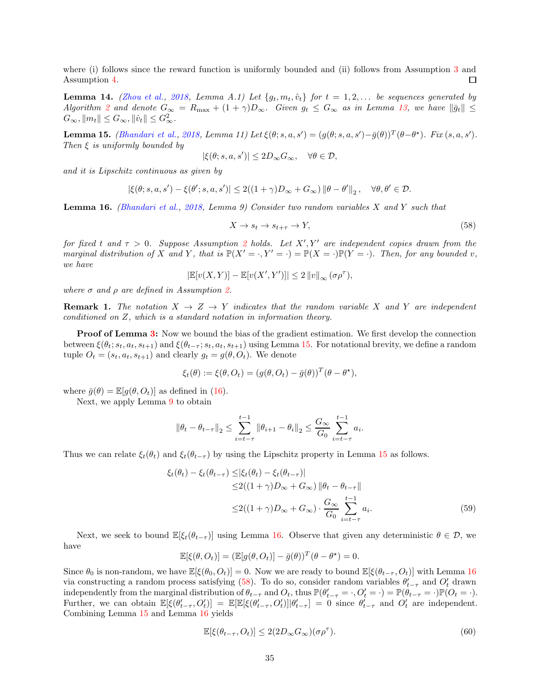where (i) follows since the reward function is uniformly bounded and (ii) follows from Assumption [3](#page-8-4) and Assumption [4.](#page-9-1) □

<span id="page-34-0"></span>**Lemma 14.** [\(Zhou et al.](#page-15-3), [2018](#page-15-3), Lemma A.1) Let  $\{g_t, m_t, \hat{v}_t\}$  for  $t = 1, 2, \ldots$  be sequences generated by Algorithm [2](#page-8-1) and denote  $G_{\infty} = R_{\text{max}} + (1 + \gamma)D_{\infty}$ . Given  $g_t \leq G_{\infty}$  as in Lemma [13,](#page-33-0) we have  $\|\bar{g}_t\| \leq$  $G_{\infty}$ ,  $||m_t|| \leq G_{\infty}$ ,  $||\hat{v}_t|| \leq G_{\infty}^2$ .

<span id="page-34-1"></span>**Lemma 15.** [\(Bhandari et al.](#page-12-14), [2018](#page-12-14), Lemma 11) Let  $\xi(\theta; s, a, s') = (g(\theta; s, a, s') - \bar{g}(\theta))^T(\theta - \theta^*)$ . Fix  $(s, a, s')$ . Then  $\xi$  is uniformly bounded by

$$
|\xi(\theta; s, a, s')| \le 2D_{\infty}G_{\infty}, \quad \forall \theta \in \mathcal{D},
$$

and it is Lipschitz continuous as given by

$$
\left|\xi(\theta;s,a,s')-\xi(\theta';s,a,s')\right|\leq 2((1+\gamma)D_\infty+G_\infty)\left\|\theta-\theta'\right\|_2,\quad \forall \theta,\theta'\in\mathcal{D}.
$$

<span id="page-34-2"></span>Lemma 16. [\(Bhandari et al.](#page-12-14), [2018](#page-12-14), Lemma 9) Consider two random variables X and Y such that

<span id="page-34-3"></span>
$$
X \to s_t \to s_{t+\tau} \to Y,\tag{58}
$$

for fixed t and  $\tau > 0$ . Suppose Assumption [2](#page-5-0) holds. Let X', Y' are independent copies drawn from the marginal distribution of X and Y, that is  $\mathbb{P}(X' = \cdot, Y' = \cdot) = \mathbb{P}(X = \cdot)\mathbb{P}(Y = \cdot)$ . Then, for any bounded v, we have

$$
|\mathbb{E}[v(X,Y)] - \mathbb{E}[v(X',Y')]|\leq 2 ||v||_{\infty} (\sigma \rho^{\tau}),
$$

where  $\sigma$  and  $\rho$  are defined in Assumption [2.](#page-5-0)

**Remark 1.** The notation  $X \to Z \to Y$  indicates that the random variable X and Y are independent conditioned on Z, which is a standard notation in information theory.

**Proof of Lemma [3:](#page-9-2)** Now we bound the bias of the gradient estimation. We first develop the connection between  $\xi(\theta_t; s_t, a_t, s_{t+1})$  and  $\xi(\theta_{t-\tau}; s_t, a_t, s_{t+1})$  using Lemma [15.](#page-34-1) For notational brevity, we define a random tuple  $O_t = (s_t, a_t, s_{t+1})$  and clearly  $g_t = g(\theta, O_t)$ . We denote

$$
\xi_t(\theta) := \xi(\theta, O_t) = (g(\theta, O_t) - \bar{g}(\theta))^T (\theta - \theta^*),
$$

where  $\bar{g}(\theta) = \mathbb{E}[g(\theta, O_t)]$  as defined in [\(16\)](#page-8-3).

Next, we apply Lemma [9](#page-22-0) to obtain

$$
\|\theta_t - \theta_{t-\tau}\|_2 \le \sum_{i=t-\tau}^{t-1} \|\theta_{i+1} - \theta_i\|_2 \le \frac{G_{\infty}}{G_0} \sum_{i=t-\tau}^{t-1} a_i.
$$

Thus we can relate  $\xi_t(\theta_t)$  and  $\xi_t(\theta_{t-\tau})$  by using the Lipschitz property in Lemma [15](#page-34-1) as follows.

$$
\xi_t(\theta_t) - \xi_t(\theta_{t-\tau}) \leq |\xi_t(\theta_t) - \xi_t(\theta_{t-\tau})|
$$
  
\n
$$
\leq 2((1+\gamma)D_{\infty} + G_{\infty}) \|\theta_t - \theta_{t-\tau}\|
$$
  
\n
$$
\leq 2((1+\gamma)D_{\infty} + G_{\infty}) \cdot \frac{G_{\infty}}{G_0} \sum_{i=t-\tau}^{t-1} a_i.
$$
 (59)

Next, we seek to bound  $\mathbb{E}[\xi_t(\theta_{t-\tau})]$  using Lemma [16.](#page-34-2) Observe that given any deterministic  $\theta \in \mathcal{D}$ , we have

$$
\mathbb{E}[\xi(\theta, O_t)] = (\mathbb{E}[g(\theta, O_t)] - \bar{g}(\theta))^T (\theta - \theta^*) = 0.
$$

Since  $\theta_0$  is non-random, we have  $\mathbb{E}[\xi(\theta_0, O_t)] = 0$ . Now we are ready to bound  $\mathbb{E}[\xi(\theta_{t-\tau}, O_t)]$  with Lemma [16](#page-34-2) via constructing a random process satisfying [\(58\)](#page-34-3). To do so, consider random variables  $\theta'_{t-\tau}$  and  $O'_{t}$  drawn independently from the marginal distribution of  $\theta_{t-\tau}$  and  $O_t$ , thus  $\mathbb{P}(\theta_{t-\tau}^t = \cdot, O_t^t = \cdot) = \mathbb{P}(\theta_{t-\tau} = \cdot)\mathbb{P}(O_t = \cdot)$ . Further, we can obtain  $\mathbb{E}[\xi(\theta'_{t-\tau}, O'_t)] = \mathbb{E}[\mathbb{E}[\xi(\theta'_{t-\tau}, O'_t)] | \theta'_{t-\tau}] = 0$  since  $\theta'_{t-\tau}$  and  $O'_t$  are independent. Combining Lemma [15](#page-34-1) and Lemma [16](#page-34-2) yields

<span id="page-34-5"></span><span id="page-34-4"></span>
$$
\mathbb{E}[\xi(\theta_{t-\tau}, O_t)] \le 2(2D_{\infty}G_{\infty})(\sigma\rho^{\tau}).
$$
\n(60)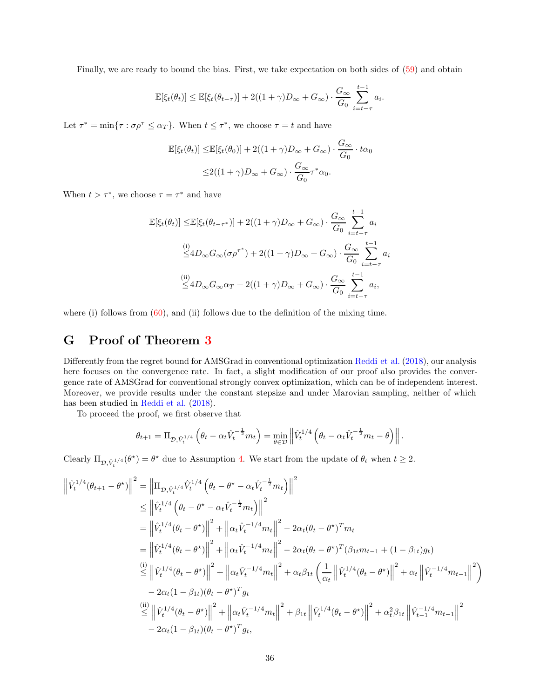Finally, we are ready to bound the bias. First, we take expectation on both sides of [\(59\)](#page-34-4) and obtain

$$
\mathbb{E}[\xi_t(\theta_t)] \leq \mathbb{E}[\xi_t(\theta_{t-\tau})] + 2((1+\gamma)D_{\infty} + G_{\infty}) \cdot \frac{G_{\infty}}{G_0} \sum_{i=t-\tau}^{t-1} a_i.
$$

Let  $\tau^* = \min{\lbrace \tau : \sigma\rho^{\tau} \leq \alpha_T \rbrace}$ . When  $t \leq \tau^*$ , we choose  $\tau = t$  and have

$$
\mathbb{E}[\xi_t(\theta_t)] \leq \mathbb{E}[\xi_t(\theta_0)] + 2((1+\gamma)D_{\infty} + G_{\infty}) \cdot \frac{G_{\infty}}{G_0} \cdot t\alpha_0
$$
  

$$
\leq 2((1+\gamma)D_{\infty} + G_{\infty}) \cdot \frac{G_{\infty}}{G_0}\tau^*\alpha_0.
$$

When  $t > \tau^*$ , we choose  $\tau = \tau^*$  and have

$$
\mathbb{E}[\xi_t(\theta_t)] \leq \mathbb{E}[\xi_t(\theta_{t-\tau^*})] + 2((1+\gamma)D_{\infty} + G_{\infty}) \cdot \frac{G_{\infty}}{G_0} \sum_{i=t-\tau}^{t-1} a_i
$$
  
\n
$$
\stackrel{\text{(i)}}{\leq} 4D_{\infty}G_{\infty}(\sigma \rho^{\tau^*}) + 2((1+\gamma)D_{\infty} + G_{\infty}) \cdot \frac{G_{\infty}}{G_0} \sum_{i=t-\tau}^{t-1} a_i
$$
  
\n
$$
\stackrel{\text{(ii)}}{\leq} 4D_{\infty}G_{\infty}\alpha_T + 2((1+\gamma)D_{\infty} + G_{\infty}) \cdot \frac{G_{\infty}}{G_0} \sum_{i=t-\tau}^{t-1} a_i,
$$

where (i) follows from  $(60)$ , and (ii) follows due to the definition of the mixing time.

# G Proof of Theorem [3](#page-10-0)

Differently from the regret bound for AMSGrad in conventional optimization [Reddi et al.](#page-13-17) [\(2018\)](#page-13-17), our analysis here focuses on the convergence rate. In fact, a slight modification of our proof also provides the convergence rate of AMSGrad for conventional strongly convex optimization, which can be of independent interest. Moreover, we provide results under the constant stepsize and under Marovian sampling, neither of which has been studied in [Reddi et al.](#page-13-17) [\(2018\)](#page-13-17).

To proceed the proof, we first observe that

$$
\theta_{t+1} = \Pi_{\mathcal{D}, \hat{V}_t^{1/4}} \left( \theta_t - \alpha_t \hat{V}_t^{-\frac{1}{2}} m_t \right) = \min_{\theta \in \mathcal{D}} \left\| \hat{V}_t^{1/4} \left( \theta_t - \alpha_t \hat{V}_t^{-\frac{1}{2}} m_t - \theta \right) \right\|.
$$

Clearly  $\Pi_{\mathcal{D}, \hat{V}_t^{1/4}}(\theta^*) = \theta^*$  due to Assumption [4.](#page-9-1) We start from the update of  $\theta_t$  when  $t \geq 2$ .

$$
\left\| \hat{V}_{t}^{1/4}(\theta_{t+1} - \theta^{\star}) \right\|^{2} = \left\| \Pi_{\mathcal{D}, \hat{V}_{t}^{1/4}} \hat{V}_{t}^{1/4} \left( \theta_{t} - \theta^{\star} - \alpha_{t} \hat{V}_{t}^{-\frac{1}{2}} m_{t} \right) \right\|^{2}
$$
  
\n
$$
\leq \left\| \hat{V}_{t}^{1/4} \left( \theta_{t} - \theta^{\star} - \alpha_{t} \hat{V}_{t}^{-\frac{1}{2}} m_{t} \right) \right\|^{2}
$$
  
\n
$$
= \left\| \hat{V}_{t}^{1/4} (\theta_{t} - \theta^{\star}) \right\|^{2} + \left\| \alpha_{t} \hat{V}_{t}^{-1/4} m_{t} \right\|^{2} - 2 \alpha_{t} (\theta_{t} - \theta^{\star})^{T} m_{t}
$$
  
\n
$$
= \left\| \hat{V}_{t}^{1/4} (\theta_{t} - \theta^{\star}) \right\|^{2} + \left\| \alpha_{t} \hat{V}_{t}^{-1/4} m_{t} \right\|^{2} - 2 \alpha_{t} (\theta_{t} - \theta^{\star})^{T} (\beta_{1t} m_{t-1} + (1 - \beta_{1t}) g_{t})
$$
  
\n
$$
\stackrel{(i)}{\leq} \left\| \hat{V}_{t}^{1/4} (\theta_{t} - \theta^{\star}) \right\|^{2} + \left\| \alpha_{t} \hat{V}_{t}^{-1/4} m_{t} \right\|^{2} + \alpha_{t} \beta_{1t} \left( \frac{1}{\alpha_{t}} \left\| \hat{V}_{t}^{1/4} (\theta_{t} - \theta^{\star}) \right\|^{2} + \alpha_{t} \left\| \hat{V}_{t}^{-1/4} m_{t-1} \right\|^{2} \right)
$$
  
\n
$$
- 2 \alpha_{t} (1 - \beta_{1t}) (\theta_{t} - \theta^{\star})^{T} g_{t}
$$
  
\n
$$
\stackrel{(ii)}{\leq} \left\| \hat{V}_{t}^{1/4} (\theta_{t} - \theta^{\star}) \right\|^{2} + \left\| \alpha_{t} \hat{V}_{t}^{-1/4} m_{t} \right\|^{
$$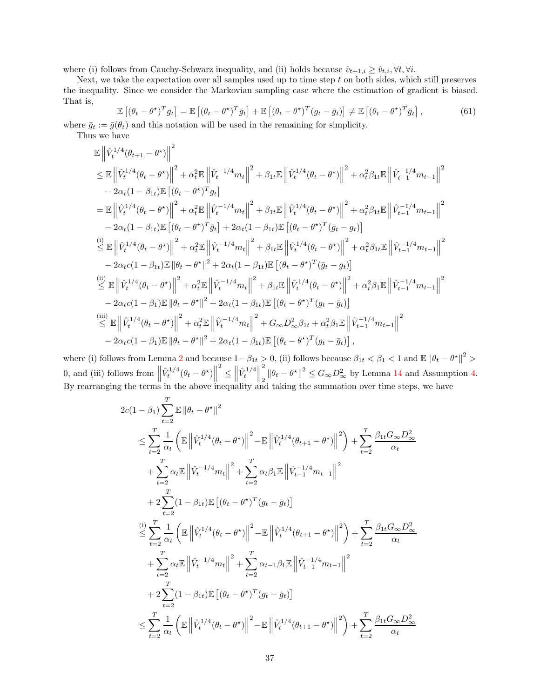where (i) follows from Cauchy-Schwarz inequality, and (ii) holds because  $\hat{v}_{t+1,i} \geq \hat{v}_{t,i}, \forall t, \forall i$ .

Next, we take the expectation over all samples used up to time step  $t$  on both sides, which still preserves the inequality. Since we consider the Markovian sampling case where the estimation of gradient is biased. That is,

$$
\mathbb{E}\left[ (\theta_t - \theta^{\star})^T g_t \right] = \mathbb{E}\left[ (\theta_t - \theta^{\star})^T \bar{g}_t \right] + \mathbb{E}\left[ (\theta_t - \theta^{\star})^T (g_t - \bar{g}_t) \right] \neq \mathbb{E}\left[ (\theta_t - \theta^{\star})^T \bar{g}_t \right],
$$
\n(61)

where  $\bar{g}_t := \bar{g}(\theta_t)$  and this notation will be used in the remaining for simplicity.

Thus we have

$$
\mathbb{E} \left\| \hat{V}_{t}^{1/4}(\theta_{t+1} - \theta^{*}) \right\|^{2}
$$
\n
$$
\leq \mathbb{E} \left\| \hat{V}_{t}^{1/4}(\theta_{t} - \theta^{*}) \right\|^{2} + \alpha_{t}^{2} \mathbb{E} \left\| \hat{V}_{t}^{-1/4} m_{t} \right\|^{2} + \beta_{1t} \mathbb{E} \left\| \hat{V}_{t}^{1/4}(\theta_{t} - \theta^{*}) \right\|^{2} + \alpha_{t}^{2} \beta_{1t} \mathbb{E} \left\| \hat{V}_{t-1}^{-1/4} m_{t-1} \right\|^{2}
$$
\n
$$
- 2\alpha_{t} (1 - \beta_{1t}) \mathbb{E} \left[ (\theta_{t} - \theta^{*})^{T} g_{t} \right]
$$
\n
$$
= \mathbb{E} \left\| \hat{V}_{t}^{1/4}(\theta_{t} - \theta^{*}) \right\|^{2} + \alpha_{t}^{2} \mathbb{E} \left\| \hat{V}_{t}^{-1/4} m_{t} \right\|^{2} + \beta_{1t} \mathbb{E} \left\| \hat{V}_{t}^{1/4}(\theta_{t} - \theta^{*}) \right\|^{2} + \alpha_{t}^{2} \beta_{1t} \mathbb{E} \left\| \hat{V}_{t-1}^{-1/4} m_{t-1} \right\|^{2}
$$
\n
$$
- 2\alpha_{t} (1 - \beta_{1t}) \mathbb{E} \left[ (\theta_{t} - \theta^{*})^{T} \bar{g}_{t} \right] + 2\alpha_{t} (1 - \beta_{1t}) \mathbb{E} \left[ (\theta_{t} - \theta^{*})^{T} (\bar{g}_{t} - g_{t}) \right]
$$
\n
$$
\stackrel{(i)}{\leq} \mathbb{E} \left\| \hat{V}_{t}^{1/4}(\theta_{t} - \theta^{*}) \right\|^{2} + \alpha_{t}^{2} \mathbb{E} \left\| \hat{V}_{t}^{-1/4} m_{t} \right\|^{2} + \beta_{1t} \mathbb{E} \left\| \hat{V}_{t}^{1/4}(\theta_{t} - \theta^{*}) \right\|^{2} + \alpha_{t}^{2} \beta_{1t} \mathbb
$$

where (i) follows from Lemma [2](#page-9-0) and because  $1-\beta_{1t} > 0$ , (ii) follows because  $\beta_{1t} < \beta_1 < 1$  and  $\mathbb{E} \|\theta_t - \theta^{\star}\|^2 >$ 0, and (iii) follows from  $\left\| \hat{V}_t^{1/4} (\theta_t - \theta^{\star}) \right\|$ 2 ≤  $\left\Vert \hat{V}_{t}^{1/4}\right\Vert$ 2  $\frac{2}{2} \|\theta_t - \theta^{\star}\|^2 \leq G_{\infty} D_{\infty}^2$  by Lemma [14](#page-34-0) and Assumption [4.](#page-9-1) By rearranging the terms in the above inequality and taking the summation over time steps, we have

$$
2c(1 - \beta_{1}) \sum_{t=2}^{T} \mathbb{E} ||\theta_{t} - \theta^{\star}||^{2}
$$
  
\n
$$
\leq \sum_{t=2}^{T} \frac{1}{\alpha_{t}} \left( \mathbb{E} \left\| \hat{V}_{t}^{1/4}(\theta_{t} - \theta^{\star}) \right\|^{2} - \mathbb{E} \left\| \hat{V}_{t}^{1/4}(\theta_{t+1} - \theta^{\star}) \right\|^{2} \right) + \sum_{t=2}^{T} \frac{\beta_{1t} G_{\infty} D_{\infty}^{2}}{\alpha_{t}}
$$
  
\n
$$
+ \sum_{t=2}^{T} \alpha_{t} \mathbb{E} \left\| \hat{V}_{t}^{-1/4} m_{t} \right\|^{2} + \sum_{t=2}^{T} \alpha_{t} \beta_{1} \mathbb{E} \left\| \hat{V}_{t-1}^{-1/4} m_{t-1} \right\|^{2}
$$
  
\n
$$
+ 2 \sum_{t=2}^{T} (1 - \beta_{1t}) \mathbb{E} \left[ (\theta_{t} - \theta^{\star})^{T} (g_{t} - \bar{g}_{t}) \right]
$$
  
\n
$$
\leq \sum_{t=2}^{T} \frac{1}{\alpha_{t}} \left( \mathbb{E} \left\| \hat{V}_{t}^{1/4}(\theta_{t} - \theta^{\star}) \right\|^{2} - \mathbb{E} \left\| \hat{V}_{t}^{1/4}(\theta_{t+1} - \theta^{\star}) \right\|^{2} \right) + \sum_{t=2}^{T} \frac{\beta_{1t} G_{\infty} D_{\infty}^{2}}{\alpha_{t}}
$$
  
\n
$$
+ \sum_{t=2}^{T} \alpha_{t} \mathbb{E} \left\| \hat{V}_{t}^{-1/4} m_{t} \right\|^{2} + \sum_{t=2}^{T} \alpha_{t-1} \beta_{1} \mathbb{E} \left\| \hat{V}_{t-1}^{-1/4} m_{t-1} \right\|^{2}
$$
  
\n
$$
+ 2 \sum_{t=2}^{T} (1 - \beta_{1t}) \mathbb{E} \left[ (\theta_{t} - \theta^{\star})^{T} (g_{t} - \bar{g}_{t}) \right]
$$
  
\n<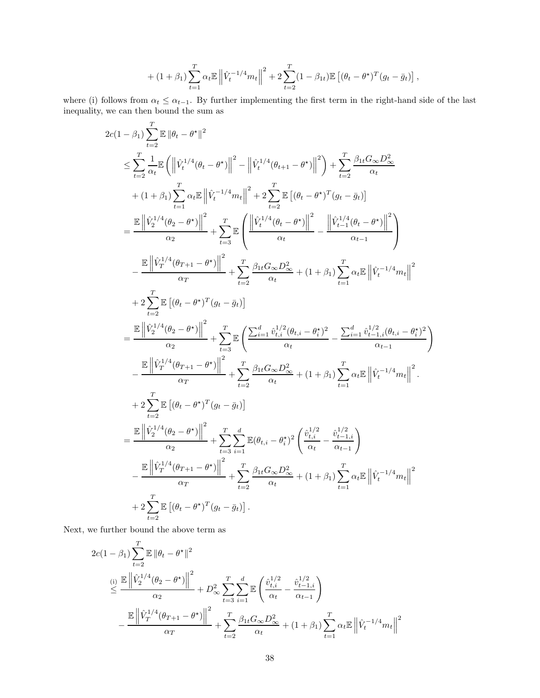+ 
$$
(1 + \beta_1) \sum_{t=1}^T \alpha_t \mathbb{E} \left\| \hat{V}_t^{-1/4} m_t \right\|^2 + 2 \sum_{t=2}^T (1 - \beta_{1t}) \mathbb{E} \left[ (\theta_t - \theta^{\star})^T (g_t - \bar{g}_t) \right],
$$

where (i) follows from  $\alpha_t \leq \alpha_{t-1}$ . By further implementing the first term in the right-hand side of the last inequality, we can then bound the sum as

$$
2c(1 - \beta_1) \sum_{t=2}^{T} \mathbb{E} ||\theta_t - \theta^*||^2
$$
  
\n
$$
\leq \sum_{t=2}^{T} \frac{1}{\alpha_t} \mathbb{E} \left( \left\| \hat{V}_t^{1/4} (\theta_t - \theta^*) \right\|^2 - \left\| \hat{V}_t^{1/4} (\theta_{t+1} - \theta^*) \right\|^2 \right) + \sum_{t=2}^{T} \frac{\beta_{1t} G_{\infty} D_{\infty}^2}{\alpha_t}
$$
  
\n
$$
+ (1 + \beta_1) \sum_{t=1}^{T} \alpha_t \mathbb{E} \left\| \hat{V}_t^{-1/4} m_t \right\|^2 + 2 \sum_{t=2}^{T} \mathbb{E} \left[ (\theta_t - \theta^*)^T (g_t - \bar{g}_t) \right]
$$
  
\n
$$
= \frac{\mathbb{E} \left\| \hat{V}_2^{1/4} (\theta_2 - \theta^*) \right\|^2}{\alpha_2} + \sum_{t=3}^{T} \mathbb{E} \left( \frac{\left\| \hat{V}_t^{1/4} (\theta_t - \theta^*) \right\|^2}{\alpha_t} - \frac{\left\| \hat{V}_t^{1/4} (\theta_t - \theta^*) \right\|^2}{\alpha_{t-1}} \right)
$$
  
\n
$$
- \frac{\mathbb{E} \left\| \hat{V}_T^{1/4} (\theta_{T+1} - \theta^*) \right\|^2}{\alpha_T} + \sum_{t=2}^{T} \frac{\beta_{1t} G_{\infty} D_{\infty}^2}{\alpha_t} + (1 + \beta_1) \sum_{t=1}^{T} \alpha_t \mathbb{E} \left\| \hat{V}_t^{-1/4} m_t \right\|^2
$$
  
\n
$$
+ 2 \sum_{t=2}^{T} \mathbb{E} \left[ (\theta_t - \theta^*)^T (g_t - \bar{g}_t) \right]
$$
  
\n
$$
= \frac{\mathbb{E} \left\| \hat{V}_2^{1/4} (\theta_2 - \theta^*) \right\|^2}{\alpha_2} + \sum_{t=3}^{T} \mathbb{E} \left( \frac{\sum_{i=1}^{d} \hat{v}_{t,i}^{1/2} (\theta_{t,i} - \theta_i^*)^2}{
$$

Next, we further bound the above term as

$$
2c(1 - \beta_1) \sum_{t=2}^{T} \mathbb{E} \| \theta_t - \theta^* \|^2
$$
  
\n
$$
\leq \frac{\mathbb{E} \left\| \hat{V}_2^{1/4} (\theta_2 - \theta^*) \right\|^2}{\alpha_2} + D_{\infty}^2 \sum_{t=3}^{T} \sum_{i=1}^d \mathbb{E} \left( \frac{\hat{v}_{t,i}^{1/2}}{\alpha_t} - \frac{\hat{v}_{t-1,i}^{1/2}}{\alpha_{t-1}} \right)
$$
  
\n
$$
- \frac{\mathbb{E} \left\| \hat{V}_T^{1/4} (\theta_{T+1} - \theta^*) \right\|^2}{\alpha_T} + \sum_{t=2}^{T} \frac{\beta_{1t} G_{\infty} D_{\infty}^2}{\alpha_t} + (1 + \beta_1) \sum_{t=1}^{T} \alpha_t \mathbb{E} \left\| \hat{V}_t^{-1/4} m_t \right\|^2
$$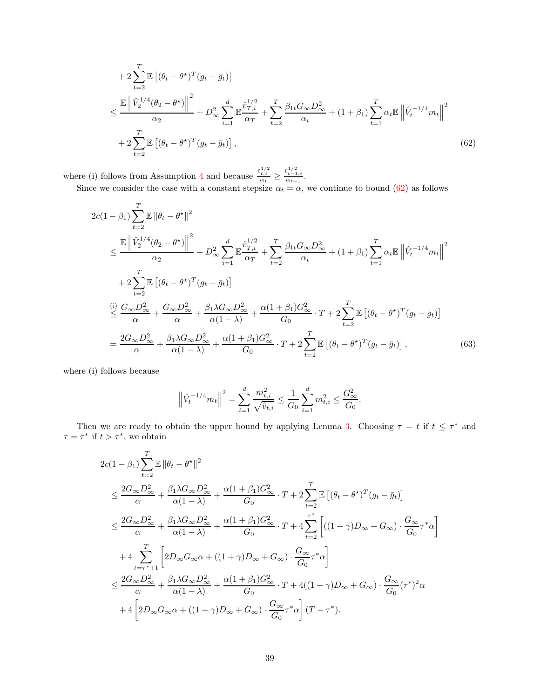<span id="page-38-0"></span>
$$
+ 2\sum_{t=2}^{T} \mathbb{E} \left[ (\theta_t - \theta^*)^T (g_t - \bar{g}_t) \right]
$$
  
\n
$$
\leq \frac{\mathbb{E} \left\| \hat{V}_2^{1/4} (\theta_2 - \theta^*) \right\|^2}{\alpha_2} + D_{\infty}^2 \sum_{i=1}^d \mathbb{E} \frac{\hat{v}_{T,i}^{1/2}}{\alpha_T} + \sum_{t=2}^T \frac{\beta_{1t} G_{\infty} D_{\infty}^2}{\alpha_t} + (1 + \beta_1) \sum_{t=1}^T \alpha_t \mathbb{E} \left\| \hat{V}_t^{-1/4} m_t \right\|^2
$$
  
\n
$$
+ 2\sum_{t=2}^T \mathbb{E} \left[ (\theta_t - \theta^*)^T (g_t - \bar{g}_t) \right],
$$
\n(62)

where (i) follows from Assumption [4](#page-9-1) and because  $\frac{\hat{v}_{t,i}^{1/2}}{\alpha_t} \ge \frac{\hat{v}_{t-1,i}^{1/2}}{\alpha_{t-1}}$ .

Since we consider the case with a constant stepsize  $\alpha_t = \alpha$ , we continue to bound [\(62\)](#page-38-0) as follows

$$
2c(1 - \beta_1) \sum_{t=2}^{T} \mathbb{E} ||\theta_t - \theta^*||^2
$$
  
\n
$$
\leq \frac{\mathbb{E} \left\| \hat{V}_2^{1/4} (\theta_2 - \theta^*) \right\|^2}{\alpha_2} + D_{\infty}^2 \sum_{i=1}^d \mathbb{E} \frac{\hat{v}_{T,i}^{1/2}}{\alpha_T} + \sum_{t=2}^{T} \frac{\beta_{1t} G_{\infty} D_{\infty}^2}{\alpha_t} + (1 + \beta_1) \sum_{t=1}^{T} \alpha_t \mathbb{E} \left\| \hat{V}_t^{-1/4} m_t \right\|^2
$$
  
\n
$$
+ 2 \sum_{t=2}^{T} \mathbb{E} \left[ (\theta_t - \theta^*)^T (g_t - \bar{g}_t) \right]
$$
  
\n
$$
\stackrel{\text{(i)}{=} \frac{G_{\infty} D_{\infty}^2}{\alpha} + \frac{G_{\infty} D_{\infty}^2}{\alpha} + \frac{\beta_1 \lambda G_{\infty} D_{\infty}^2}{\alpha (1 - \lambda)} + \frac{\alpha (1 + \beta_1) G_{\infty}^2}{G_0} \cdot T + 2 \sum_{t=2}^{T} \mathbb{E} \left[ (\theta_t - \theta^*)^T (g_t - \bar{g}_t) \right]
$$
  
\n
$$
= \frac{2G_{\infty} D_{\infty}^2}{\alpha} + \frac{\beta_1 \lambda G_{\infty} D_{\infty}^2}{\alpha (1 - \lambda)} + \frac{\alpha (1 + \beta_1) G_{\infty}^2}{G_0} \cdot T + 2 \sum_{t=2}^{T} \mathbb{E} \left[ (\theta_t - \theta^*)^T (g_t - \bar{g}_t) \right], \tag{63}
$$

where (i) follows because

<span id="page-38-1"></span>
$$
\left\|\hat{V}_t^{-1/4}m_t\right\|^2 = \sum_{i=1}^d \frac{m_{t,i}^2}{\sqrt{\hat{v}_{t,i}}} \le \frac{1}{G_0}\sum_{i=1}^d m_{t,i}^2 \le \frac{G_{\infty}^2}{G_0}.
$$

Then we are ready to obtain the upper bound by applying Lemma [3.](#page-9-2) Choosing  $\tau = t$  if  $t \leq \tau^*$  and  $\tau = \tau^*$  if  $t > \tau^*$ , we obtain

$$
2c(1 - \beta_1) \sum_{t=2}^T \mathbb{E} ||\theta_t - \theta^*||^2
$$
  
\n
$$
\leq \frac{2G_{\infty}D_{\infty}^2}{\alpha} + \frac{\beta_1\lambda G_{\infty}D_{\infty}^2}{\alpha(1 - \lambda)} + \frac{\alpha(1 + \beta_1)G_{\infty}^2}{G_0} \cdot T + 2\sum_{t=2}^T \mathbb{E}[(\theta_t - \theta^*)^T(g_t - \bar{g}_t)]
$$
  
\n
$$
\leq \frac{2G_{\infty}D_{\infty}^2}{\alpha} + \frac{\beta_1\lambda G_{\infty}D_{\infty}^2}{\alpha(1 - \lambda)} + \frac{\alpha(1 + \beta_1)G_{\infty}^2}{G_0} \cdot T + 4\sum_{t=2}^{\tau^*} \left[((1 + \gamma)D_{\infty} + G_{\infty}) \cdot \frac{G_{\infty}}{G_0} \tau^* \alpha\right]
$$
  
\n
$$
+ 4\sum_{t=\tau^*+1}^T \left[2D_{\infty}G_{\infty}\alpha + ((1 + \gamma)D_{\infty} + G_{\infty}) \cdot \frac{G_{\infty}}{G_0} \tau^* \alpha\right]
$$
  
\n
$$
\leq \frac{2G_{\infty}D_{\infty}^2}{\alpha} + \frac{\beta_1\lambda G_{\infty}D_{\infty}^2}{\alpha(1 - \lambda)} + \frac{\alpha(1 + \beta_1)G_{\infty}^2}{G_0} \cdot T + 4((1 + \gamma)D_{\infty} + G_{\infty}) \cdot \frac{G_{\infty}}{G_0} (\tau^*)^2 \alpha
$$
  
\n
$$
+ 4\left[2D_{\infty}G_{\infty}\alpha + ((1 + \gamma)D_{\infty} + G_{\infty}) \cdot \frac{G_{\infty}}{G_0} \tau^* \alpha\right] (T - \tau^*).
$$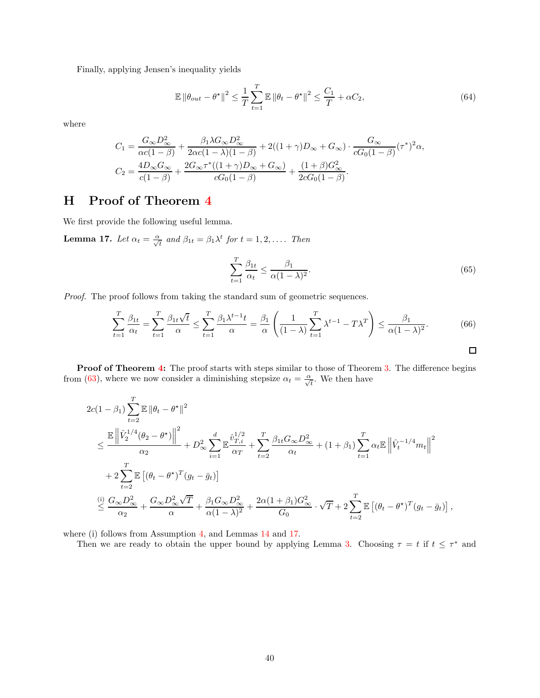Finally, applying Jensen's inequality yields

$$
\mathbb{E}\left\|\theta_{out} - \theta^{\star}\right\|^2 \le \frac{1}{T} \sum_{t=1}^T \mathbb{E}\left\|\theta_t - \theta^{\star}\right\|^2 \le \frac{C_1}{T} + \alpha C_2,\tag{64}
$$

where

$$
C_1 = \frac{G_{\infty}D_{\infty}^2}{\alpha c(1-\beta)} + \frac{\beta_1 \lambda G_{\infty}D_{\infty}^2}{2\alpha c(1-\lambda)(1-\beta)} + 2((1+\gamma)D_{\infty} + G_{\infty}) \cdot \frac{G_{\infty}}{cG_0(1-\beta)}(\tau^*)^2 \alpha,
$$
  
\n
$$
C_2 = \frac{4D_{\infty}G_{\infty}}{c(1-\beta)} + \frac{2G_{\infty}\tau^*((1+\gamma)D_{\infty} + G_{\infty})}{cG_0(1-\beta)} + \frac{(1+\beta)G_{\infty}^2}{2cG_0(1-\beta)}.
$$

# H Proof of Theorem [4](#page-10-1)

<span id="page-39-0"></span>We first provide the following useful lemma.

**Lemma 17.** Let  $\alpha_t = \frac{\alpha}{\sqrt{t}}$  and  $\beta_{1t} = \beta_1 \lambda^t$  for  $t = 1, 2, \ldots$ . Then

$$
\sum_{t=1}^{T} \frac{\beta_{1t}}{\alpha_t} \le \frac{\beta_1}{\alpha (1 - \lambda)^2}.
$$
\n(65)

Proof. The proof follows from taking the standard sum of geometric sequences.

$$
\sum_{t=1}^{T} \frac{\beta_{1t}}{\alpha_t} = \sum_{t=1}^{T} \frac{\beta_{1t}\sqrt{t}}{\alpha} \le \sum_{t=1}^{T} \frac{\beta_1\lambda^{t-1}t}{\alpha} = \frac{\beta_1}{\alpha} \left( \frac{1}{(1-\lambda)} \sum_{t=1}^{T} \lambda^{t-1} - T\lambda^T \right) \le \frac{\beta_1}{\alpha(1-\lambda)^2}.
$$
(66)

Proof of Theorem [4:](#page-10-1) The proof starts with steps similar to those of Theorem [3.](#page-10-0) The difference begins from [\(63\)](#page-38-1), where we now consider a diminishing stepsize  $\alpha_t = \frac{\alpha}{\sqrt{t}}$ . We then have

$$
2c(1 - \beta_1) \sum_{t=2}^T \mathbb{E} ||\theta_t - \theta^*||^2
$$
  
\n
$$
\leq \frac{\mathbb{E} \left\| \hat{V}_2^{1/4} (\theta_2 - \theta^*) \right\|^2}{\alpha_2} + D_{\infty}^2 \sum_{i=1}^d \mathbb{E} \frac{\hat{v}_{T,i}^{1/2}}{\alpha_T} + \sum_{t=2}^T \frac{\beta_{1t} G_{\infty} D_{\infty}^2}{\alpha_t} + (1 + \beta_1) \sum_{t=1}^T \alpha_t \mathbb{E} \left\| \hat{V}_t^{-1/4} m_t \right\|^2
$$
  
\n
$$
+ 2 \sum_{t=2}^T \mathbb{E} \left[ (\theta_t - \theta^*)^T (g_t - \bar{g}_t) \right]
$$
  
\n
$$
\stackrel{\text{(i)}{=}}{\leq} \frac{G_{\infty} D_{\infty}^2}{\alpha_2} + \frac{G_{\infty} D_{\infty}^2 \sqrt{T}}{\alpha} + \frac{\beta_1 G_{\infty} D_{\infty}^2}{\alpha (1 - \lambda)^2} + \frac{2\alpha (1 + \beta_1) G_{\infty}^2}{G_0} \cdot \sqrt{T} + 2 \sum_{t=2}^T \mathbb{E} \left[ (\theta_t - \theta^*)^T (g_t - \bar{g}_t) \right],
$$

where (i) follows from Assumption [4,](#page-9-1) and Lemmas [14](#page-34-0) and [17.](#page-39-0)

Then we are ready to obtain the upper bound by applying Lemma [3.](#page-9-2) Choosing  $\tau = t$  if  $t \leq \tau^*$  and